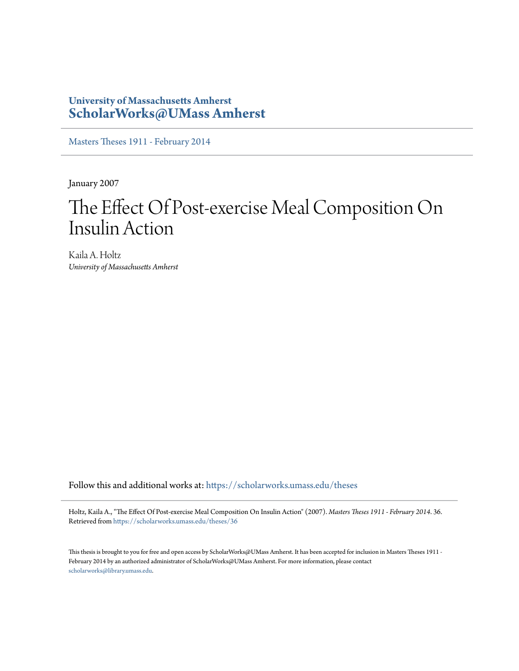## **University of Massachusetts Amherst [ScholarWorks@UMass Amherst](https://scholarworks.umass.edu?utm_source=scholarworks.umass.edu%2Ftheses%2F36&utm_medium=PDF&utm_campaign=PDFCoverPages)**

[Masters Theses 1911 - February 2014](https://scholarworks.umass.edu/theses?utm_source=scholarworks.umass.edu%2Ftheses%2F36&utm_medium=PDF&utm_campaign=PDFCoverPages)

January 2007

## The Effect Of Post-exercise Meal Composition On Insulin Action

Kaila A. Holtz *University of Massachusetts Amherst*

Follow this and additional works at: [https://scholarworks.umass.edu/theses](https://scholarworks.umass.edu/theses?utm_source=scholarworks.umass.edu%2Ftheses%2F36&utm_medium=PDF&utm_campaign=PDFCoverPages)

Holtz, Kaila A., "The Effect Of Post-exercise Meal Composition On Insulin Action" (2007). *Masters Theses 1911 - February 2014*. 36. Retrieved from [https://scholarworks.umass.edu/theses/36](https://scholarworks.umass.edu/theses/36?utm_source=scholarworks.umass.edu%2Ftheses%2F36&utm_medium=PDF&utm_campaign=PDFCoverPages)

This thesis is brought to you for free and open access by ScholarWorks@UMass Amherst. It has been accepted for inclusion in Masters Theses 1911 - February 2014 by an authorized administrator of ScholarWorks@UMass Amherst. For more information, please contact [scholarworks@library.umass.edu](mailto:scholarworks@library.umass.edu).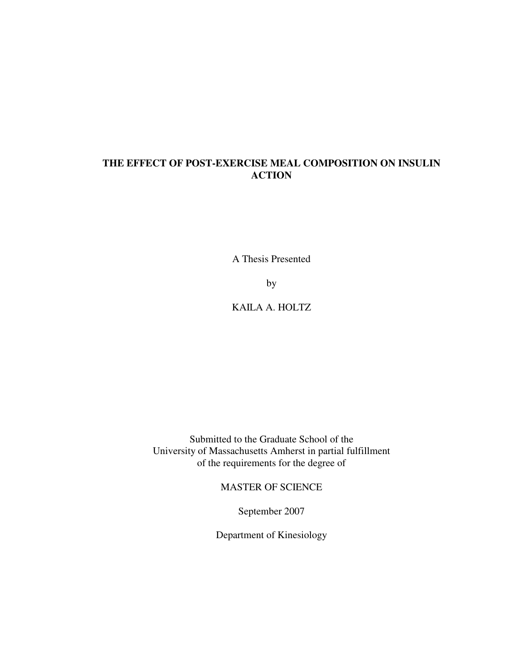## **THE EFFECT OF POST-EXERCISE MEAL COMPOSITION ON INSULIN ACTION**

A Thesis Presented

by

KAILA A. HOLTZ

Submitted to the Graduate School of the University of Massachusetts Amherst in partial fulfillment of the requirements for the degree of

MASTER OF SCIENCE

September 2007

Department of Kinesiology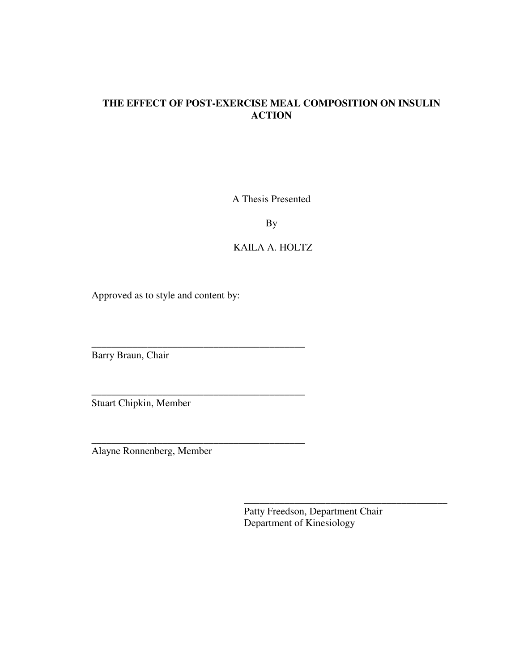## **THE EFFECT OF POST-EXERCISE MEAL COMPOSITION ON INSULIN ACTION**

A Thesis Presented

By

### KAILA A. HOLTZ

Approved as to style and content by:

\_\_\_\_\_\_\_\_\_\_\_\_\_\_\_\_\_\_\_\_\_\_\_\_\_\_\_\_\_\_\_\_\_\_\_\_\_\_\_\_\_\_

\_\_\_\_\_\_\_\_\_\_\_\_\_\_\_\_\_\_\_\_\_\_\_\_\_\_\_\_\_\_\_\_\_\_\_\_\_\_\_\_\_\_

\_\_\_\_\_\_\_\_\_\_\_\_\_\_\_\_\_\_\_\_\_\_\_\_\_\_\_\_\_\_\_\_\_\_\_\_\_\_\_\_\_\_

Barry Braun, Chair

Stuart Chipkin, Member

Alayne Ronnenberg, Member

Patty Freedson, Department Chair Department of Kinesiology

 $\frac{1}{2}$  ,  $\frac{1}{2}$  ,  $\frac{1}{2}$  ,  $\frac{1}{2}$  ,  $\frac{1}{2}$  ,  $\frac{1}{2}$  ,  $\frac{1}{2}$  ,  $\frac{1}{2}$  ,  $\frac{1}{2}$  ,  $\frac{1}{2}$  ,  $\frac{1}{2}$  ,  $\frac{1}{2}$  ,  $\frac{1}{2}$  ,  $\frac{1}{2}$  ,  $\frac{1}{2}$  ,  $\frac{1}{2}$  ,  $\frac{1}{2}$  ,  $\frac{1}{2}$  ,  $\frac{1$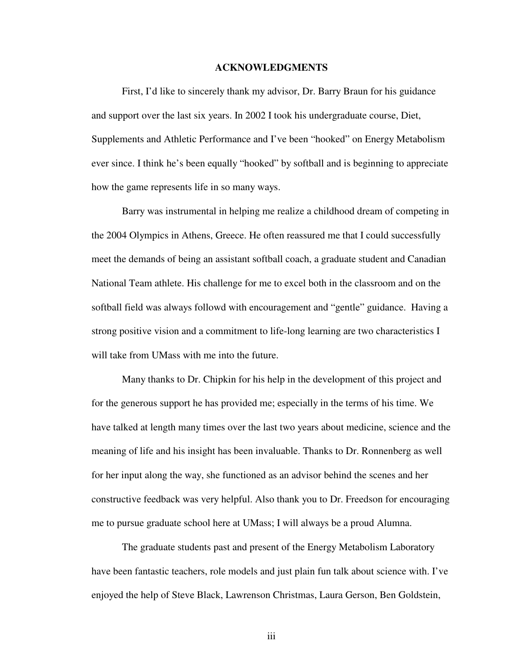#### **ACKNOWLEDGMENTS**

First, I'd like to sincerely thank my advisor, Dr. Barry Braun for his guidance and support over the last six years. In 2002 I took his undergraduate course, Diet, Supplements and Athletic Performance and I've been "hooked" on Energy Metabolism ever since. I think he's been equally "hooked" by softball and is beginning to appreciate how the game represents life in so many ways.

Barry was instrumental in helping me realize a childhood dream of competing in the 2004 Olympics in Athens, Greece. He often reassured me that I could successfully meet the demands of being an assistant softball coach, a graduate student and Canadian National Team athlete. His challenge for me to excel both in the classroom and on the softball field was always followd with encouragement and "gentle" guidance. Having a strong positive vision and a commitment to life-long learning are two characteristics I will take from UMass with me into the future.

Many thanks to Dr. Chipkin for his help in the development of this project and for the generous support he has provided me; especially in the terms of his time. We have talked at length many times over the last two years about medicine, science and the meaning of life and his insight has been invaluable. Thanks to Dr. Ronnenberg as well for her input along the way, she functioned as an advisor behind the scenes and her constructive feedback was very helpful. Also thank you to Dr. Freedson for encouraging me to pursue graduate school here at UMass; I will always be a proud Alumna.

The graduate students past and present of the Energy Metabolism Laboratory have been fantastic teachers, role models and just plain fun talk about science with. I've enjoyed the help of Steve Black, Lawrenson Christmas, Laura Gerson, Ben Goldstein,

iii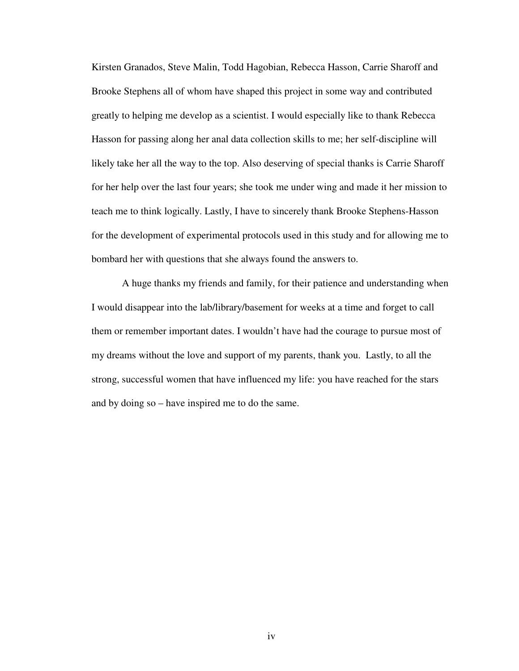Kirsten Granados, Steve Malin, Todd Hagobian, Rebecca Hasson, Carrie Sharoff and Brooke Stephens all of whom have shaped this project in some way and contributed greatly to helping me develop as a scientist. I would especially like to thank Rebecca Hasson for passing along her anal data collection skills to me; her self-discipline will likely take her all the way to the top. Also deserving of special thanks is Carrie Sharoff for her help over the last four years; she took me under wing and made it her mission to teach me to think logically. Lastly, I have to sincerely thank Brooke Stephens-Hasson for the development of experimental protocols used in this study and for allowing me to bombard her with questions that she always found the answers to.

A huge thanks my friends and family, for their patience and understanding when I would disappear into the lab/library/basement for weeks at a time and forget to call them or remember important dates. I wouldn't have had the courage to pursue most of my dreams without the love and support of my parents, thank you. Lastly, to all the strong, successful women that have influenced my life: you have reached for the stars and by doing so – have inspired me to do the same.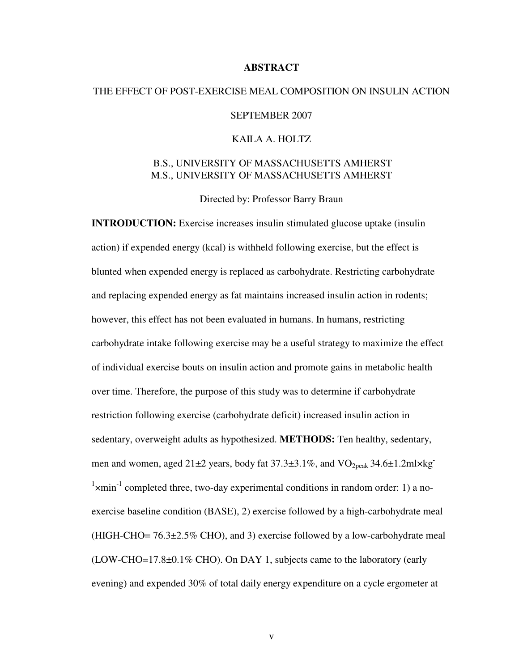#### **ABSTRACT**

# THE EFFECT OF POST-EXERCISE MEAL COMPOSITION ON INSULIN ACTION SEPTEMBER 2007 KAILA A. HOLTZ

### B.S., UNIVERSITY OF MASSACHUSETTS AMHERST M.S., UNIVERSITY OF MASSACHUSETTS AMHERST

Directed by: Professor Barry Braun

**INTRODUCTION:** Exercise increases insulin stimulated glucose uptake (insulin action) if expended energy (kcal) is withheld following exercise, but the effect is blunted when expended energy is replaced as carbohydrate. Restricting carbohydrate and replacing expended energy as fat maintains increased insulin action in rodents; however, this effect has not been evaluated in humans. In humans, restricting carbohydrate intake following exercise may be a useful strategy to maximize the effect of individual exercise bouts on insulin action and promote gains in metabolic health over time. Therefore, the purpose of this study was to determine if carbohydrate restriction following exercise (carbohydrate deficit) increased insulin action in sedentary, overweight adults as hypothesized. **METHODS:** Ten healthy, sedentary, men and women, aged  $21\pm 2$  years, body fat  $37.3\pm 3.1\%$ , and  $\rm VO_{2peak}$   $34.6\pm 1.2$ ml $\times$ kg<sup>-</sup>  $\frac{1}{x}$  xmin<sup>-1</sup> completed three, two-day experimental conditions in random order: 1) a noexercise baseline condition (BASE), 2) exercise followed by a high-carbohydrate meal (HIGH-CHO=  $76.3\pm2.5\%$  CHO), and 3) exercise followed by a low-carbohydrate meal (LOW-CHO=17.8±0.1% CHO). On DAY 1, subjects came to the laboratory (early evening) and expended 30% of total daily energy expenditure on a cycle ergometer at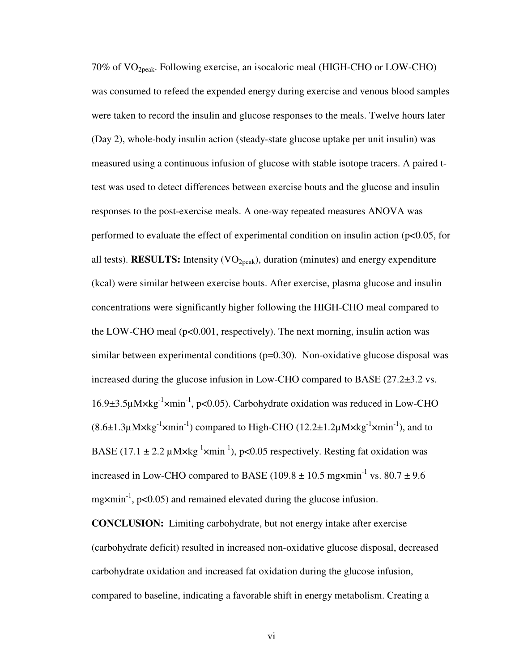70% of VO2peak. Following exercise, an isocaloric meal (HIGH-CHO or LOW-CHO) was consumed to refeed the expended energy during exercise and venous blood samples were taken to record the insulin and glucose responses to the meals. Twelve hours later (Day 2), whole-body insulin action (steady-state glucose uptake per unit insulin) was measured using a continuous infusion of glucose with stable isotope tracers. A paired ttest was used to detect differences between exercise bouts and the glucose and insulin responses to the post-exercise meals. A one-way repeated measures ANOVA was performed to evaluate the effect of experimental condition on insulin action (p<0.05, for all tests). **RESULTS:** Intensity (VO<sub>2peak</sub>), duration (minutes) and energy expenditure (kcal) were similar between exercise bouts. After exercise, plasma glucose and insulin concentrations were significantly higher following the HIGH-CHO meal compared to the LOW-CHO meal ( $p<0.001$ , respectively). The next morning, insulin action was similar between experimental conditions  $(p=0.30)$ . Non-oxidative glucose disposal was increased during the glucose infusion in Low-CHO compared to BASE (27.2±3.2 vs. 16.9 $\pm$ 3.5 $\mu$ M $\times$ kg<sup>-1</sup> $\times$ min<sup>-1</sup>, p<0.05). Carbohydrate oxidation was reduced in Low-CHO  $(8.6\pm1.3\mu M\times kg^{-1}\times min^{-1})$  compared to High-CHO  $(12.2\pm1.2\mu M\times kg^{-1}\times min^{-1})$ , and to BASE (17.1  $\pm$  2.2 µM $\times$ kg<sup>-1</sup> $\times$ min<sup>-1</sup>), p<0.05 respectively. Resting fat oxidation was increased in Low-CHO compared to BASE (109.8  $\pm$  10.5 mg $\times$ min<sup>-1</sup> vs. 80.7  $\pm$  9.6 mg $\times$ min<sup>-1</sup>, p<0.05) and remained elevated during the glucose infusion.

**CONCLUSION:** Limiting carbohydrate, but not energy intake after exercise (carbohydrate deficit) resulted in increased non-oxidative glucose disposal, decreased carbohydrate oxidation and increased fat oxidation during the glucose infusion, compared to baseline, indicating a favorable shift in energy metabolism. Creating a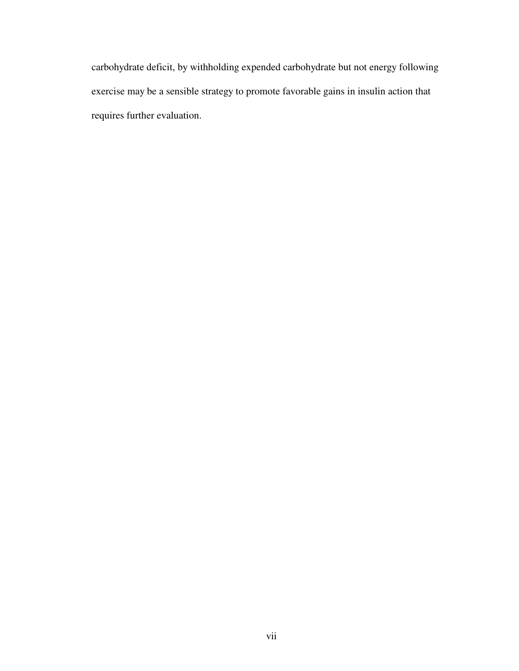carbohydrate deficit, by withholding expended carbohydrate but not energy following exercise may be a sensible strategy to promote favorable gains in insulin action that requires further evaluation.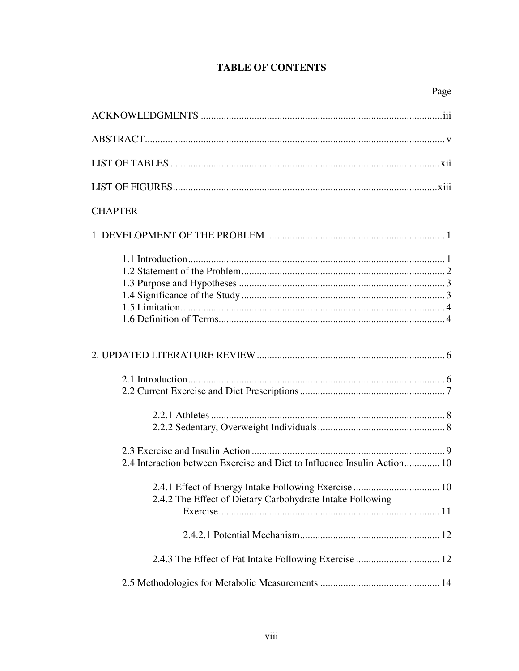## **TABLE OF CONTENTS**

| <b>CHAPTER</b>                                                           |
|--------------------------------------------------------------------------|
|                                                                          |
|                                                                          |
|                                                                          |
|                                                                          |
|                                                                          |
| 2.4 Interaction between Exercise and Diet to Influence Insulin Action 10 |
| 2.4.2 The Effect of Dietary Carbohydrate Intake Following                |
|                                                                          |
|                                                                          |
|                                                                          |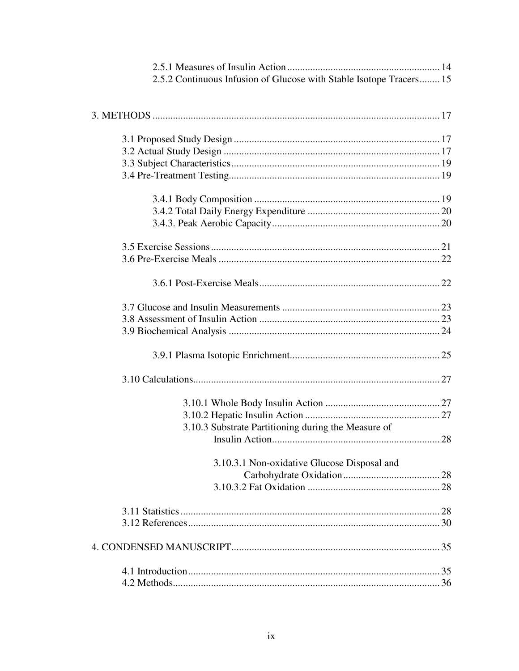| 2.5.2 Continuous Infusion of Glucose with Stable Isotope Tracers 15 |  |
|---------------------------------------------------------------------|--|
|                                                                     |  |
|                                                                     |  |
|                                                                     |  |
|                                                                     |  |
|                                                                     |  |
|                                                                     |  |
|                                                                     |  |
|                                                                     |  |
|                                                                     |  |
|                                                                     |  |
|                                                                     |  |
|                                                                     |  |
|                                                                     |  |
|                                                                     |  |
|                                                                     |  |
|                                                                     |  |
|                                                                     |  |
|                                                                     |  |
|                                                                     |  |
| 3.10.3 Substrate Partitioning during the Measure of                 |  |
|                                                                     |  |
| 3.10.3.1 Non-oxidative Glucose Disposal and                         |  |
|                                                                     |  |
|                                                                     |  |
|                                                                     |  |
|                                                                     |  |
|                                                                     |  |
|                                                                     |  |
|                                                                     |  |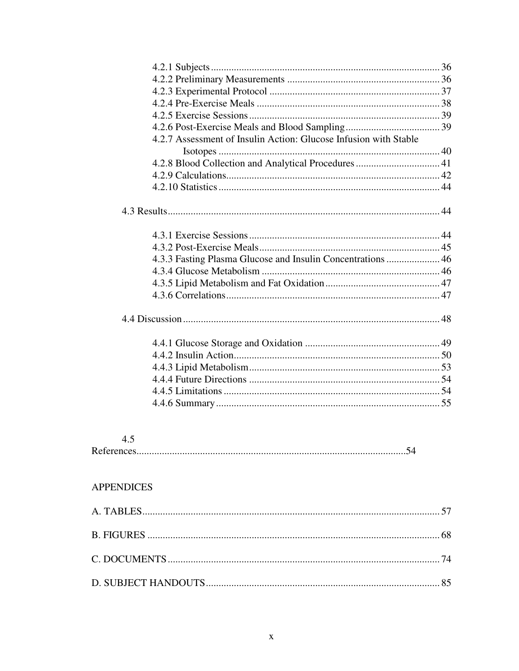|                   | 4.2.7 Assessment of Insulin Action: Glucose Infusion with Stable |  |
|-------------------|------------------------------------------------------------------|--|
|                   |                                                                  |  |
|                   | 4.2.8 Blood Collection and Analytical Procedures  41             |  |
|                   |                                                                  |  |
|                   |                                                                  |  |
|                   |                                                                  |  |
|                   |                                                                  |  |
|                   |                                                                  |  |
|                   | 4.3.3 Fasting Plasma Glucose and Insulin Concentrations  46      |  |
|                   |                                                                  |  |
|                   |                                                                  |  |
|                   |                                                                  |  |
|                   |                                                                  |  |
|                   |                                                                  |  |
|                   |                                                                  |  |
|                   |                                                                  |  |
|                   |                                                                  |  |
|                   |                                                                  |  |
|                   |                                                                  |  |
|                   |                                                                  |  |
| 4.5               |                                                                  |  |
| <b>APPENDICES</b> |                                                                  |  |
|                   |                                                                  |  |
|                   |                                                                  |  |
|                   |                                                                  |  |
|                   |                                                                  |  |
|                   |                                                                  |  |
|                   |                                                                  |  |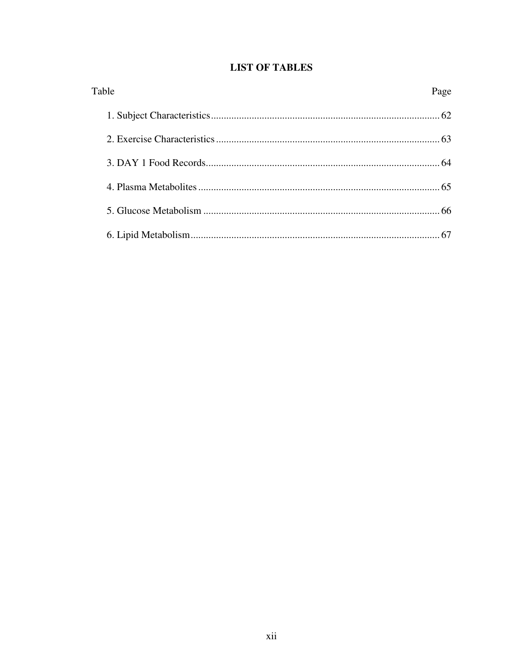| <b>LIST OF TABLES</b> |  |  |  |  |
|-----------------------|--|--|--|--|
|-----------------------|--|--|--|--|

| Table | Page |
|-------|------|
|       | 62   |
|       | 63   |
|       |      |
|       |      |
|       |      |
|       |      |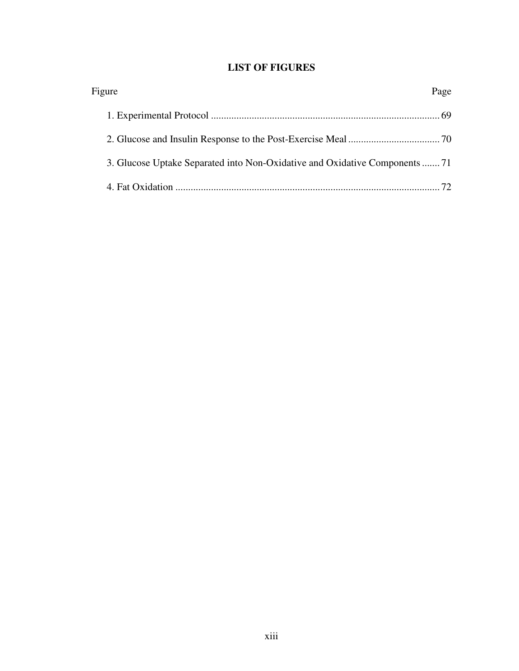## **LIST OF FIGURES**

| Figure                                                                     | Page |
|----------------------------------------------------------------------------|------|
|                                                                            |      |
|                                                                            |      |
| 3. Glucose Uptake Separated into Non-Oxidative and Oxidative Components 71 |      |
|                                                                            |      |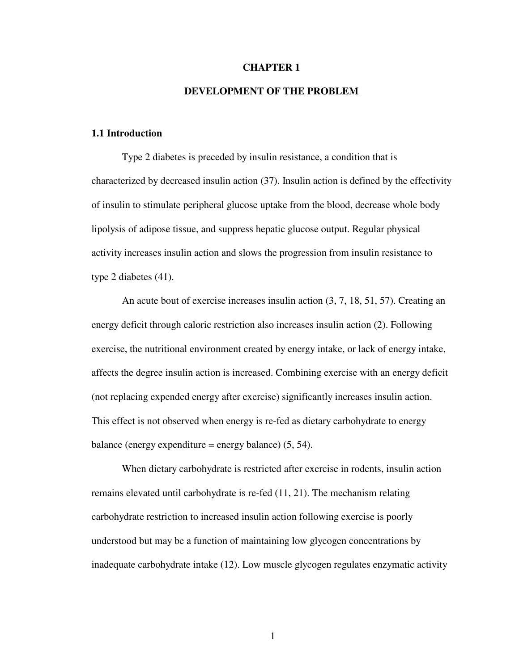#### **CHAPTER 1**

#### **DEVELOPMENT OF THE PROBLEM**

#### **1.1 Introduction**

Type 2 diabetes is preceded by insulin resistance, a condition that is characterized by decreased insulin action (37). Insulin action is defined by the effectivity of insulin to stimulate peripheral glucose uptake from the blood, decrease whole body lipolysis of adipose tissue, and suppress hepatic glucose output. Regular physical activity increases insulin action and slows the progression from insulin resistance to type 2 diabetes (41).

An acute bout of exercise increases insulin action (3, 7, 18, 51, 57). Creating an energy deficit through caloric restriction also increases insulin action (2). Following exercise, the nutritional environment created by energy intake, or lack of energy intake, affects the degree insulin action is increased. Combining exercise with an energy deficit (not replacing expended energy after exercise) significantly increases insulin action. This effect is not observed when energy is re-fed as dietary carbohydrate to energy balance (energy expenditure = energy balance)  $(5, 54)$ .

When dietary carbohydrate is restricted after exercise in rodents, insulin action remains elevated until carbohydrate is re-fed (11, 21). The mechanism relating carbohydrate restriction to increased insulin action following exercise is poorly understood but may be a function of maintaining low glycogen concentrations by inadequate carbohydrate intake (12). Low muscle glycogen regulates enzymatic activity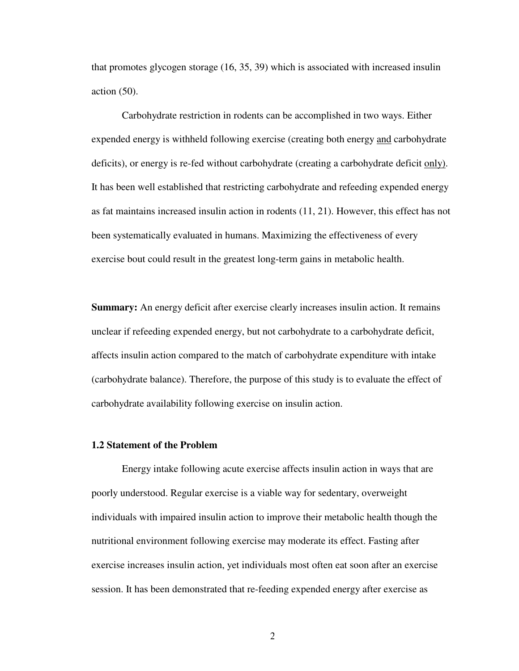that promotes glycogen storage (16, 35, 39) which is associated with increased insulin action (50).

Carbohydrate restriction in rodents can be accomplished in two ways. Either expended energy is withheld following exercise (creating both energy and carbohydrate deficits), or energy is re-fed without carbohydrate (creating a carbohydrate deficit only). It has been well established that restricting carbohydrate and refeeding expended energy as fat maintains increased insulin action in rodents (11, 21). However, this effect has not been systematically evaluated in humans. Maximizing the effectiveness of every exercise bout could result in the greatest long-term gains in metabolic health.

**Summary:** An energy deficit after exercise clearly increases insulin action. It remains unclear if refeeding expended energy, but not carbohydrate to a carbohydrate deficit, affects insulin action compared to the match of carbohydrate expenditure with intake (carbohydrate balance). Therefore, the purpose of this study is to evaluate the effect of carbohydrate availability following exercise on insulin action.

#### **1.2 Statement of the Problem**

Energy intake following acute exercise affects insulin action in ways that are poorly understood. Regular exercise is a viable way for sedentary, overweight individuals with impaired insulin action to improve their metabolic health though the nutritional environment following exercise may moderate its effect. Fasting after exercise increases insulin action, yet individuals most often eat soon after an exercise session. It has been demonstrated that re-feeding expended energy after exercise as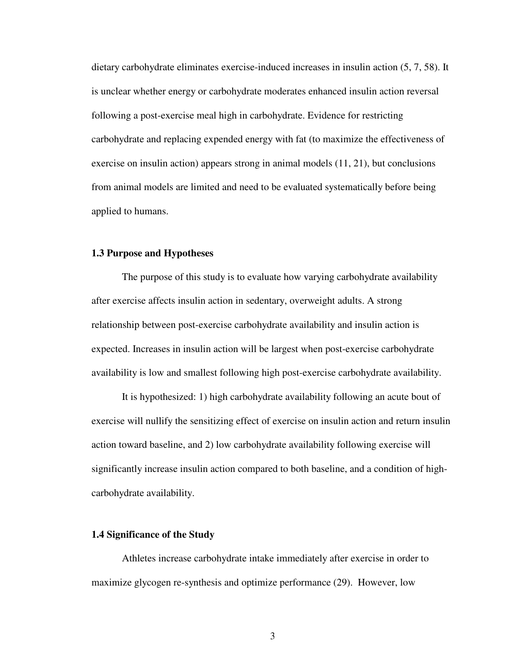dietary carbohydrate eliminates exercise-induced increases in insulin action (5, 7, 58). It is unclear whether energy or carbohydrate moderates enhanced insulin action reversal following a post-exercise meal high in carbohydrate. Evidence for restricting carbohydrate and replacing expended energy with fat (to maximize the effectiveness of exercise on insulin action) appears strong in animal models (11, 21), but conclusions from animal models are limited and need to be evaluated systematically before being applied to humans.

#### **1.3 Purpose and Hypotheses**

The purpose of this study is to evaluate how varying carbohydrate availability after exercise affects insulin action in sedentary, overweight adults. A strong relationship between post-exercise carbohydrate availability and insulin action is expected. Increases in insulin action will be largest when post-exercise carbohydrate availability is low and smallest following high post-exercise carbohydrate availability.

It is hypothesized: 1) high carbohydrate availability following an acute bout of exercise will nullify the sensitizing effect of exercise on insulin action and return insulin action toward baseline, and 2) low carbohydrate availability following exercise will significantly increase insulin action compared to both baseline, and a condition of highcarbohydrate availability.

#### **1.4 Significance of the Study**

Athletes increase carbohydrate intake immediately after exercise in order to maximize glycogen re-synthesis and optimize performance (29). However, low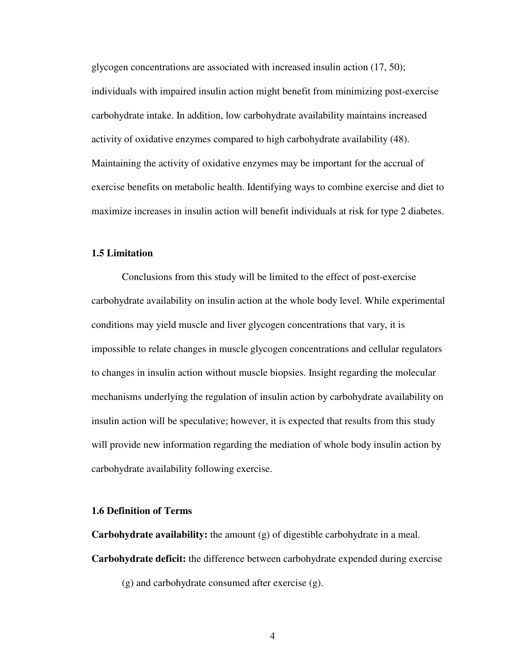glycogen concentrations are associated with increased insulin action (17, 50); individuals with impaired insulin action might benefit from minimizing post-exercise carbohydrate intake. In addition, low carbohydrate availability maintains increased activity of oxidative enzymes compared to high carbohydrate availability (48). Maintaining the activity of oxidative enzymes may be important for the accrual of exercise benefits on metabolic health. Identifying ways to combine exercise and diet to maximize increases in insulin action will benefit individuals at risk for type 2 diabetes.

#### **1.5 Limitation**

Conclusions from this study will be limited to the effect of post-exercise carbohydrate availability on insulin action at the whole body level. While experimental conditions may yield muscle and liver glycogen concentrations that vary, it is impossible to relate changes in muscle glycogen concentrations and cellular regulators to changes in insulin action without muscle biopsies. Insight regarding the molecular mechanisms underlying the regulation of insulin action by carbohydrate availability on insulin action will be speculative; however, it is expected that results from this study will provide new information regarding the mediation of whole body insulin action by carbohydrate availability following exercise.

#### **1.6 Definition of Terms**

**Carbohydrate availability:** the amount (g) of digestible carbohydrate in a meal. **Carbohydrate deficit:** the difference between carbohydrate expended during exercise

(g) and carbohydrate consumed after exercise (g).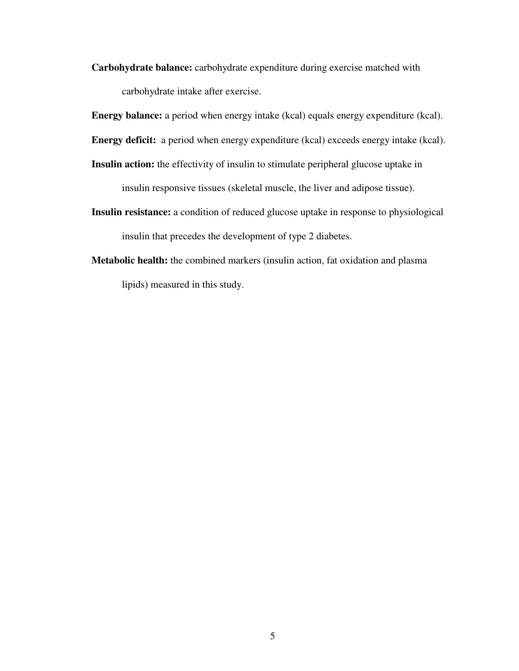**Carbohydrate balance:** carbohydrate expenditure during exercise matched with carbohydrate intake after exercise.

**Energy balance:** a period when energy intake (kcal) equals energy expenditure (kcal).

**Energy deficit:** a period when energy expenditure (kcal) exceeds energy intake (kcal).

**Insulin action:** the effectivity of insulin to stimulate peripheral glucose uptake in

insulin responsive tissues (skeletal muscle, the liver and adipose tissue).

- **Insulin resistance:** a condition of reduced glucose uptake in response to physiological insulin that precedes the development of type 2 diabetes.
- **Metabolic health:** the combined markers (insulin action, fat oxidation and plasma lipids) measured in this study.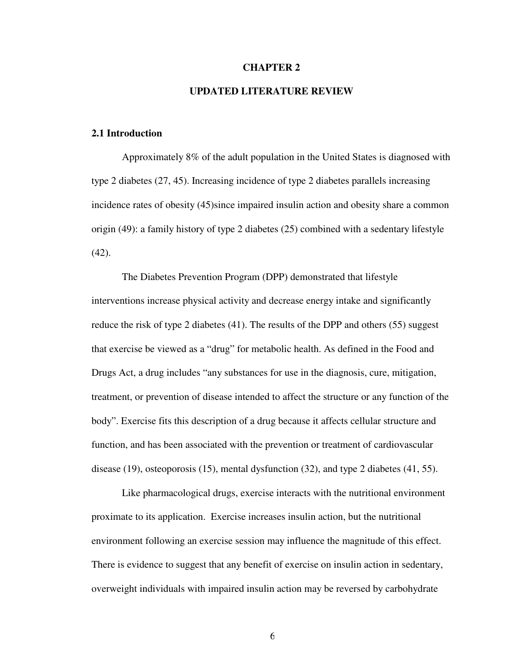#### **CHAPTER 2**

#### **UPDATED LITERATURE REVIEW**

#### **2.1 Introduction**

Approximately 8% of the adult population in the United States is diagnosed with type 2 diabetes (27, 45). Increasing incidence of type 2 diabetes parallels increasing incidence rates of obesity (45)since impaired insulin action and obesity share a common origin (49): a family history of type 2 diabetes (25) combined with a sedentary lifestyle  $(42)$ .

The Diabetes Prevention Program (DPP) demonstrated that lifestyle interventions increase physical activity and decrease energy intake and significantly reduce the risk of type 2 diabetes (41). The results of the DPP and others (55) suggest that exercise be viewed as a "drug" for metabolic health. As defined in the Food and Drugs Act, a drug includes "any substances for use in the diagnosis, cure, mitigation, treatment, or prevention of disease intended to affect the structure or any function of the body". Exercise fits this description of a drug because it affects cellular structure and function, and has been associated with the prevention or treatment of cardiovascular disease (19), osteoporosis (15), mental dysfunction (32), and type 2 diabetes (41, 55).

Like pharmacological drugs, exercise interacts with the nutritional environment proximate to its application. Exercise increases insulin action, but the nutritional environment following an exercise session may influence the magnitude of this effect. There is evidence to suggest that any benefit of exercise on insulin action in sedentary, overweight individuals with impaired insulin action may be reversed by carbohydrate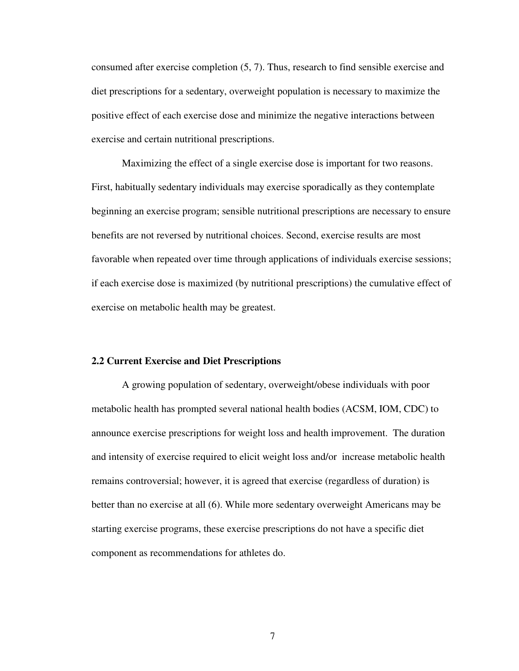consumed after exercise completion (5, 7). Thus, research to find sensible exercise and diet prescriptions for a sedentary, overweight population is necessary to maximize the positive effect of each exercise dose and minimize the negative interactions between exercise and certain nutritional prescriptions.

Maximizing the effect of a single exercise dose is important for two reasons. First, habitually sedentary individuals may exercise sporadically as they contemplate beginning an exercise program; sensible nutritional prescriptions are necessary to ensure benefits are not reversed by nutritional choices. Second, exercise results are most favorable when repeated over time through applications of individuals exercise sessions; if each exercise dose is maximized (by nutritional prescriptions) the cumulative effect of exercise on metabolic health may be greatest.

#### **2.2 Current Exercise and Diet Prescriptions**

A growing population of sedentary, overweight/obese individuals with poor metabolic health has prompted several national health bodies (ACSM, IOM, CDC) to announce exercise prescriptions for weight loss and health improvement. The duration and intensity of exercise required to elicit weight loss and/or increase metabolic health remains controversial; however, it is agreed that exercise (regardless of duration) is better than no exercise at all (6). While more sedentary overweight Americans may be starting exercise programs, these exercise prescriptions do not have a specific diet component as recommendations for athletes do.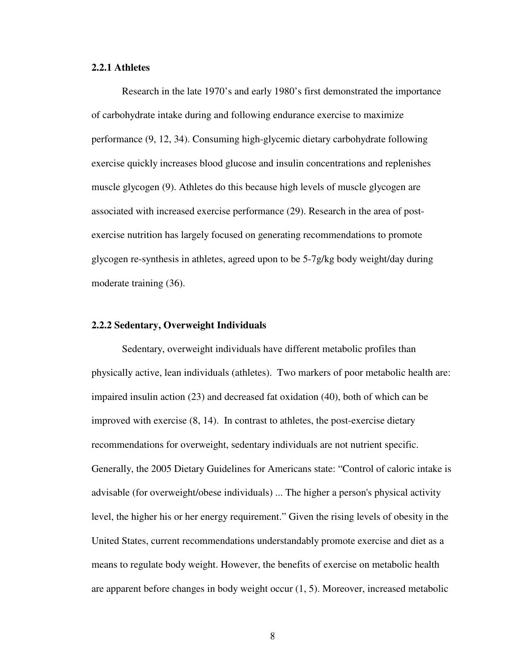#### **2.2.1 Athletes**

Research in the late 1970's and early 1980's first demonstrated the importance of carbohydrate intake during and following endurance exercise to maximize performance (9, 12, 34). Consuming high-glycemic dietary carbohydrate following exercise quickly increases blood glucose and insulin concentrations and replenishes muscle glycogen (9). Athletes do this because high levels of muscle glycogen are associated with increased exercise performance (29). Research in the area of postexercise nutrition has largely focused on generating recommendations to promote glycogen re-synthesis in athletes, agreed upon to be 5-7g/kg body weight/day during moderate training (36).

#### **2.2.2 Sedentary, Overweight Individuals**

Sedentary, overweight individuals have different metabolic profiles than physically active, lean individuals (athletes). Two markers of poor metabolic health are: impaired insulin action (23) and decreased fat oxidation (40), both of which can be improved with exercise (8, 14). In contrast to athletes, the post-exercise dietary recommendations for overweight, sedentary individuals are not nutrient specific. Generally, the 2005 Dietary Guidelines for Americans state: "Control of caloric intake is advisable (for overweight/obese individuals) ... The higher a person's physical activity level, the higher his or her energy requirement." Given the rising levels of obesity in the United States, current recommendations understandably promote exercise and diet as a means to regulate body weight. However, the benefits of exercise on metabolic health are apparent before changes in body weight occur (1, 5). Moreover, increased metabolic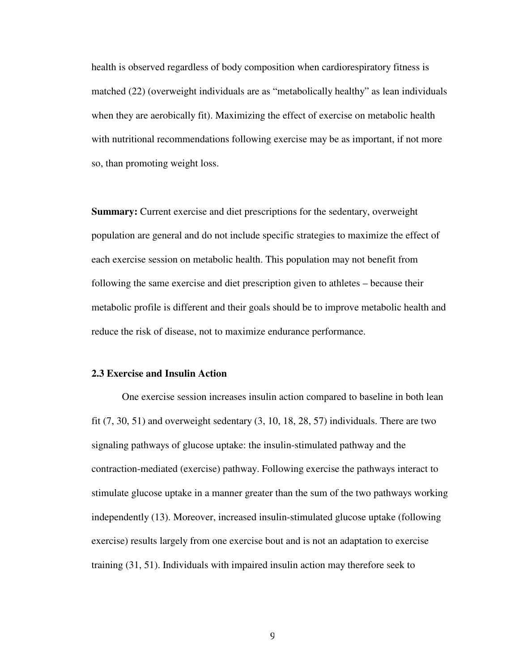health is observed regardless of body composition when cardiorespiratory fitness is matched (22) (overweight individuals are as "metabolically healthy" as lean individuals when they are aerobically fit). Maximizing the effect of exercise on metabolic health with nutritional recommendations following exercise may be as important, if not more so, than promoting weight loss.

**Summary:** Current exercise and diet prescriptions for the sedentary, overweight population are general and do not include specific strategies to maximize the effect of each exercise session on metabolic health. This population may not benefit from following the same exercise and diet prescription given to athletes – because their metabolic profile is different and their goals should be to improve metabolic health and reduce the risk of disease, not to maximize endurance performance.

#### **2.3 Exercise and Insulin Action**

One exercise session increases insulin action compared to baseline in both lean fit  $(7, 30, 51)$  and overweight sedentary  $(3, 10, 18, 28, 57)$  individuals. There are two signaling pathways of glucose uptake: the insulin-stimulated pathway and the contraction-mediated (exercise) pathway. Following exercise the pathways interact to stimulate glucose uptake in a manner greater than the sum of the two pathways working independently (13). Moreover, increased insulin-stimulated glucose uptake (following exercise) results largely from one exercise bout and is not an adaptation to exercise training (31, 51). Individuals with impaired insulin action may therefore seek to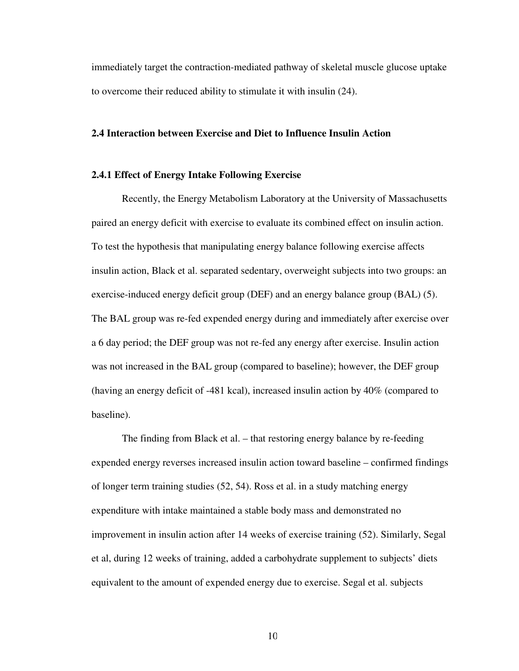immediately target the contraction-mediated pathway of skeletal muscle glucose uptake to overcome their reduced ability to stimulate it with insulin (24).

#### **2.4 Interaction between Exercise and Diet to Influence Insulin Action**

#### **2.4.1 Effect of Energy Intake Following Exercise**

Recently, the Energy Metabolism Laboratory at the University of Massachusetts paired an energy deficit with exercise to evaluate its combined effect on insulin action. To test the hypothesis that manipulating energy balance following exercise affects insulin action, Black et al. separated sedentary, overweight subjects into two groups: an exercise-induced energy deficit group (DEF) and an energy balance group (BAL) (5). The BAL group was re-fed expended energy during and immediately after exercise over a 6 day period; the DEF group was not re-fed any energy after exercise. Insulin action was not increased in the BAL group (compared to baseline); however, the DEF group (having an energy deficit of -481 kcal), increased insulin action by 40% (compared to baseline).

The finding from Black et al. – that restoring energy balance by re-feeding expended energy reverses increased insulin action toward baseline – confirmed findings of longer term training studies (52, 54). Ross et al. in a study matching energy expenditure with intake maintained a stable body mass and demonstrated no improvement in insulin action after 14 weeks of exercise training (52). Similarly, Segal et al, during 12 weeks of training, added a carbohydrate supplement to subjects' diets equivalent to the amount of expended energy due to exercise. Segal et al. subjects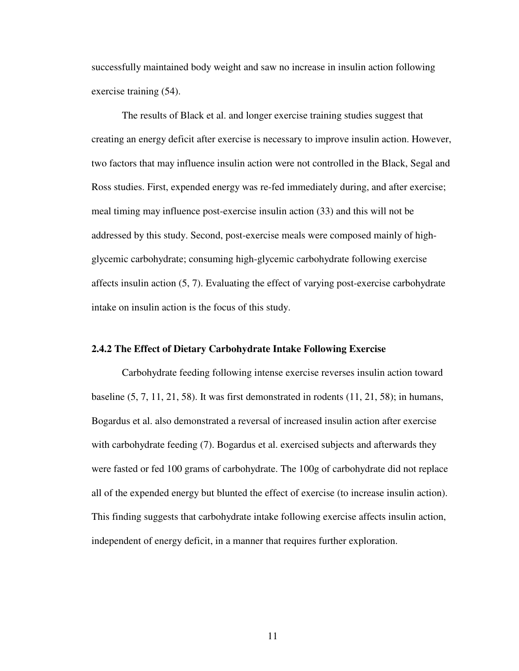successfully maintained body weight and saw no increase in insulin action following exercise training (54).

The results of Black et al. and longer exercise training studies suggest that creating an energy deficit after exercise is necessary to improve insulin action. However, two factors that may influence insulin action were not controlled in the Black, Segal and Ross studies. First, expended energy was re-fed immediately during, and after exercise; meal timing may influence post-exercise insulin action (33) and this will not be addressed by this study. Second, post-exercise meals were composed mainly of highglycemic carbohydrate; consuming high-glycemic carbohydrate following exercise affects insulin action (5, 7). Evaluating the effect of varying post-exercise carbohydrate intake on insulin action is the focus of this study.

#### **2.4.2 The Effect of Dietary Carbohydrate Intake Following Exercise**

Carbohydrate feeding following intense exercise reverses insulin action toward baseline (5, 7, 11, 21, 58). It was first demonstrated in rodents (11, 21, 58); in humans, Bogardus et al. also demonstrated a reversal of increased insulin action after exercise with carbohydrate feeding (7). Bogardus et al. exercised subjects and afterwards they were fasted or fed 100 grams of carbohydrate. The 100g of carbohydrate did not replace all of the expended energy but blunted the effect of exercise (to increase insulin action). This finding suggests that carbohydrate intake following exercise affects insulin action, independent of energy deficit, in a manner that requires further exploration.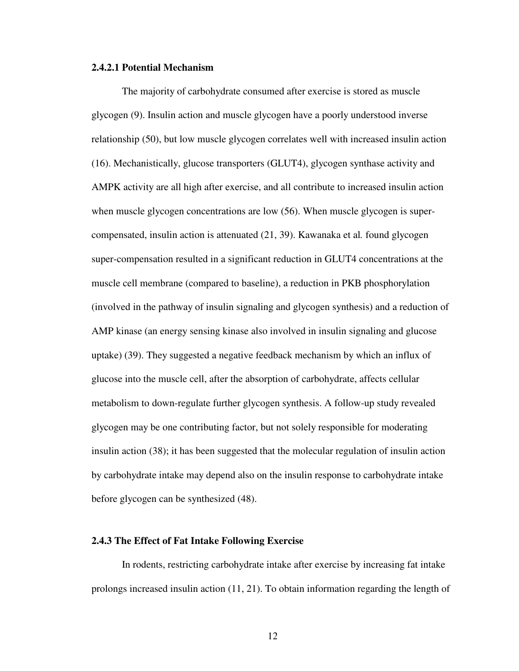#### **2.4.2.1 Potential Mechanism**

The majority of carbohydrate consumed after exercise is stored as muscle glycogen (9). Insulin action and muscle glycogen have a poorly understood inverse relationship (50), but low muscle glycogen correlates well with increased insulin action (16). Mechanistically, glucose transporters (GLUT4), glycogen synthase activity and AMPK activity are all high after exercise, and all contribute to increased insulin action when muscle glycogen concentrations are low (56). When muscle glycogen is supercompensated, insulin action is attenuated (21, 39). Kawanaka et al*.* found glycogen super-compensation resulted in a significant reduction in GLUT4 concentrations at the muscle cell membrane (compared to baseline), a reduction in PKB phosphorylation (involved in the pathway of insulin signaling and glycogen synthesis) and a reduction of AMP kinase (an energy sensing kinase also involved in insulin signaling and glucose uptake) (39). They suggested a negative feedback mechanism by which an influx of glucose into the muscle cell, after the absorption of carbohydrate, affects cellular metabolism to down-regulate further glycogen synthesis. A follow-up study revealed glycogen may be one contributing factor, but not solely responsible for moderating insulin action (38); it has been suggested that the molecular regulation of insulin action by carbohydrate intake may depend also on the insulin response to carbohydrate intake before glycogen can be synthesized (48).

#### **2.4.3 The Effect of Fat Intake Following Exercise**

In rodents, restricting carbohydrate intake after exercise by increasing fat intake prolongs increased insulin action (11, 21). To obtain information regarding the length of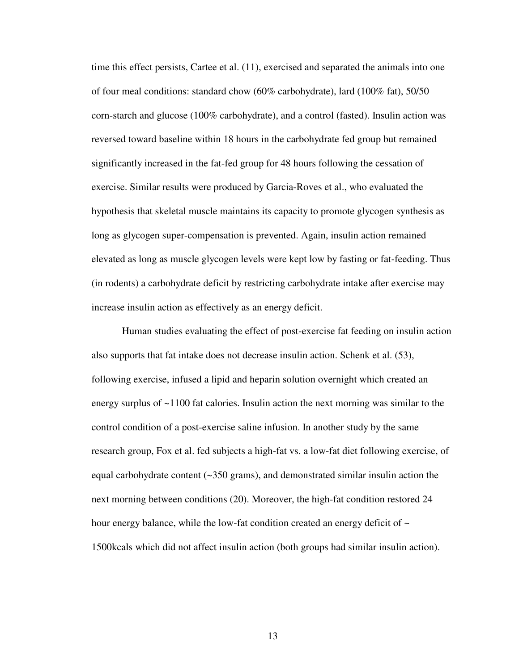time this effect persists, Cartee et al. (11), exercised and separated the animals into one of four meal conditions: standard chow (60% carbohydrate), lard (100% fat), 50/50 corn-starch and glucose (100% carbohydrate), and a control (fasted). Insulin action was reversed toward baseline within 18 hours in the carbohydrate fed group but remained significantly increased in the fat-fed group for 48 hours following the cessation of exercise. Similar results were produced by Garcia-Roves et al., who evaluated the hypothesis that skeletal muscle maintains its capacity to promote glycogen synthesis as long as glycogen super-compensation is prevented. Again, insulin action remained elevated as long as muscle glycogen levels were kept low by fasting or fat-feeding. Thus (in rodents) a carbohydrate deficit by restricting carbohydrate intake after exercise may increase insulin action as effectively as an energy deficit.

Human studies evaluating the effect of post-exercise fat feeding on insulin action also supports that fat intake does not decrease insulin action. Schenk et al. (53), following exercise, infused a lipid and heparin solution overnight which created an energy surplus of  $\sim$ 1100 fat calories. Insulin action the next morning was similar to the control condition of a post-exercise saline infusion. In another study by the same research group, Fox et al. fed subjects a high-fat vs. a low-fat diet following exercise, of equal carbohydrate content (~350 grams), and demonstrated similar insulin action the next morning between conditions (20). Moreover, the high-fat condition restored 24 hour energy balance, while the low-fat condition created an energy deficit of  $\sim$ 1500kcals which did not affect insulin action (both groups had similar insulin action).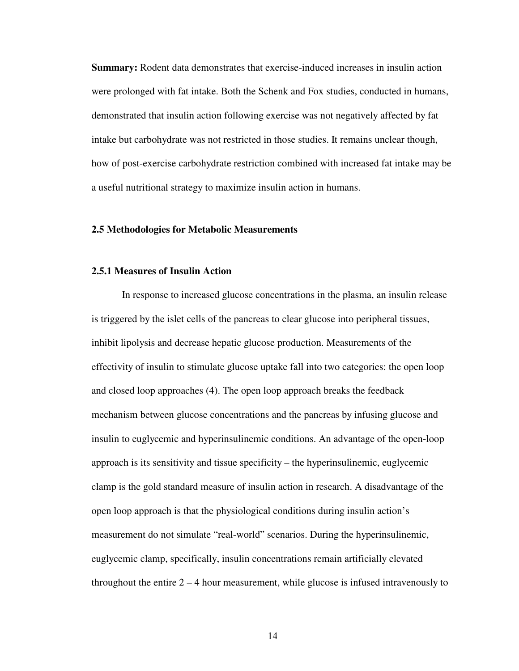**Summary:** Rodent data demonstrates that exercise-induced increases in insulin action were prolonged with fat intake. Both the Schenk and Fox studies, conducted in humans, demonstrated that insulin action following exercise was not negatively affected by fat intake but carbohydrate was not restricted in those studies. It remains unclear though, how of post-exercise carbohydrate restriction combined with increased fat intake may be a useful nutritional strategy to maximize insulin action in humans.

#### **2.5 Methodologies for Metabolic Measurements**

#### **2.5.1 Measures of Insulin Action**

In response to increased glucose concentrations in the plasma, an insulin release is triggered by the islet cells of the pancreas to clear glucose into peripheral tissues, inhibit lipolysis and decrease hepatic glucose production. Measurements of the effectivity of insulin to stimulate glucose uptake fall into two categories: the open loop and closed loop approaches (4). The open loop approach breaks the feedback mechanism between glucose concentrations and the pancreas by infusing glucose and insulin to euglycemic and hyperinsulinemic conditions. An advantage of the open-loop approach is its sensitivity and tissue specificity – the hyperinsulinemic, euglycemic clamp is the gold standard measure of insulin action in research. A disadvantage of the open loop approach is that the physiological conditions during insulin action's measurement do not simulate "real-world" scenarios. During the hyperinsulinemic, euglycemic clamp, specifically, insulin concentrations remain artificially elevated throughout the entire  $2 - 4$  hour measurement, while glucose is infused intravenously to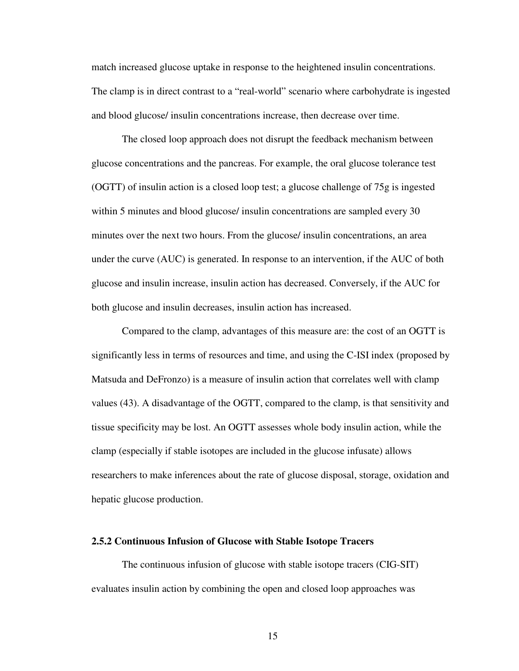match increased glucose uptake in response to the heightened insulin concentrations. The clamp is in direct contrast to a "real-world" scenario where carbohydrate is ingested and blood glucose/ insulin concentrations increase, then decrease over time.

The closed loop approach does not disrupt the feedback mechanism between glucose concentrations and the pancreas. For example, the oral glucose tolerance test (OGTT) of insulin action is a closed loop test; a glucose challenge of 75g is ingested within 5 minutes and blood glucose/ insulin concentrations are sampled every 30 minutes over the next two hours. From the glucose/ insulin concentrations, an area under the curve (AUC) is generated. In response to an intervention, if the AUC of both glucose and insulin increase, insulin action has decreased. Conversely, if the AUC for both glucose and insulin decreases, insulin action has increased.

Compared to the clamp, advantages of this measure are: the cost of an OGTT is significantly less in terms of resources and time, and using the C-ISI index (proposed by Matsuda and DeFronzo) is a measure of insulin action that correlates well with clamp values (43). A disadvantage of the OGTT, compared to the clamp, is that sensitivity and tissue specificity may be lost. An OGTT assesses whole body insulin action, while the clamp (especially if stable isotopes are included in the glucose infusate) allows researchers to make inferences about the rate of glucose disposal, storage, oxidation and hepatic glucose production.

#### **2.5.2 Continuous Infusion of Glucose with Stable Isotope Tracers**

The continuous infusion of glucose with stable isotope tracers (CIG-SIT) evaluates insulin action by combining the open and closed loop approaches was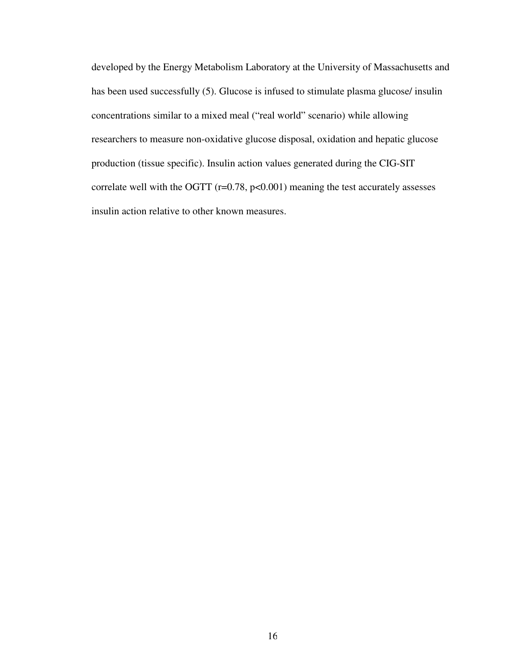developed by the Energy Metabolism Laboratory at the University of Massachusetts and has been used successfully (5). Glucose is infused to stimulate plasma glucose/ insulin concentrations similar to a mixed meal ("real world" scenario) while allowing researchers to measure non-oxidative glucose disposal, oxidation and hepatic glucose production (tissue specific). Insulin action values generated during the CIG-SIT correlate well with the OGTT  $(r=0.78, p<0.001)$  meaning the test accurately assesses insulin action relative to other known measures.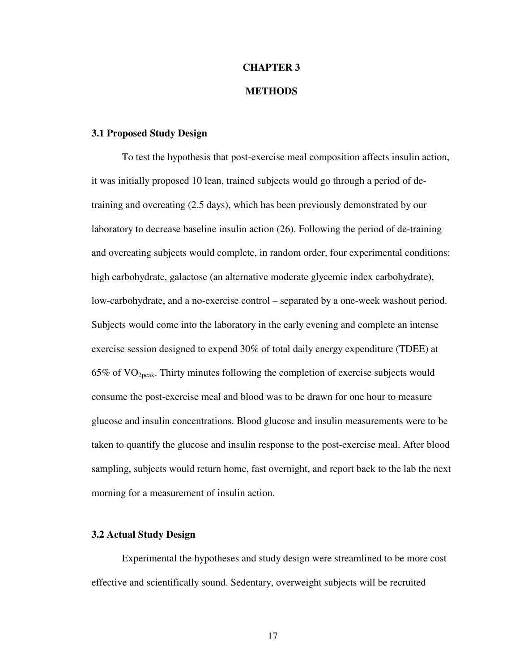## **CHAPTER 3 METHODS**

#### **3.1 Proposed Study Design**

To test the hypothesis that post-exercise meal composition affects insulin action, it was initially proposed 10 lean, trained subjects would go through a period of detraining and overeating (2.5 days), which has been previously demonstrated by our laboratory to decrease baseline insulin action (26). Following the period of de-training and overeating subjects would complete, in random order, four experimental conditions: high carbohydrate, galactose (an alternative moderate glycemic index carbohydrate), low-carbohydrate, and a no-exercise control – separated by a one-week washout period. Subjects would come into the laboratory in the early evening and complete an intense exercise session designed to expend 30% of total daily energy expenditure (TDEE) at  $65\%$  of VO<sub>2peak</sub>. Thirty minutes following the completion of exercise subjects would consume the post-exercise meal and blood was to be drawn for one hour to measure glucose and insulin concentrations. Blood glucose and insulin measurements were to be taken to quantify the glucose and insulin response to the post-exercise meal. After blood sampling, subjects would return home, fast overnight, and report back to the lab the next morning for a measurement of insulin action.

#### **3.2 Actual Study Design**

Experimental the hypotheses and study design were streamlined to be more cost effective and scientifically sound. Sedentary, overweight subjects will be recruited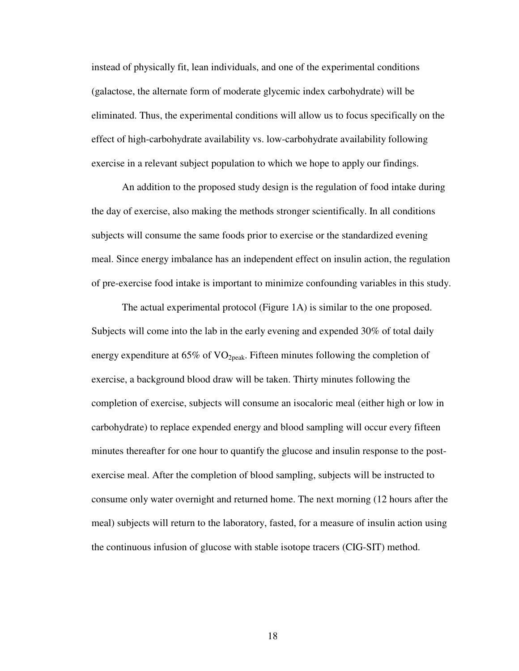instead of physically fit, lean individuals, and one of the experimental conditions (galactose, the alternate form of moderate glycemic index carbohydrate) will be eliminated. Thus, the experimental conditions will allow us to focus specifically on the effect of high-carbohydrate availability vs. low-carbohydrate availability following exercise in a relevant subject population to which we hope to apply our findings.

An addition to the proposed study design is the regulation of food intake during the day of exercise, also making the methods stronger scientifically. In all conditions subjects will consume the same foods prior to exercise or the standardized evening meal. Since energy imbalance has an independent effect on insulin action, the regulation of pre-exercise food intake is important to minimize confounding variables in this study.

The actual experimental protocol (Figure 1A) is similar to the one proposed. Subjects will come into the lab in the early evening and expended 30% of total daily energy expenditure at  $65\%$  of VO<sub>2peak</sub>. Fifteen minutes following the completion of exercise, a background blood draw will be taken. Thirty minutes following the completion of exercise, subjects will consume an isocaloric meal (either high or low in carbohydrate) to replace expended energy and blood sampling will occur every fifteen minutes thereafter for one hour to quantify the glucose and insulin response to the postexercise meal. After the completion of blood sampling, subjects will be instructed to consume only water overnight and returned home. The next morning (12 hours after the meal) subjects will return to the laboratory, fasted, for a measure of insulin action using the continuous infusion of glucose with stable isotope tracers (CIG-SIT) method.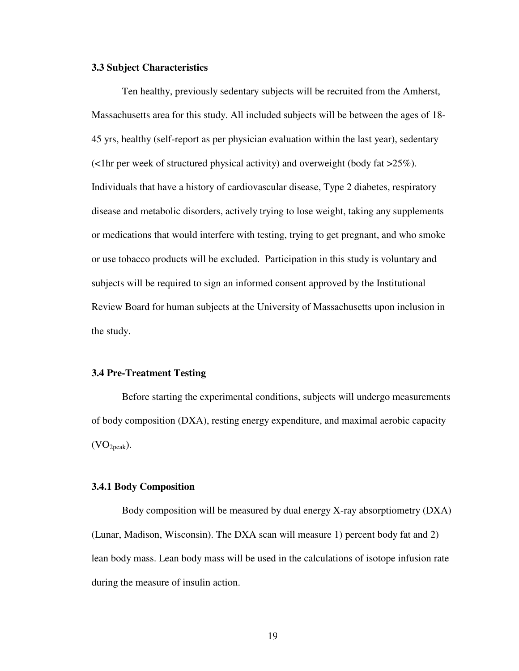#### **3.3 Subject Characteristics**

Ten healthy, previously sedentary subjects will be recruited from the Amherst, Massachusetts area for this study. All included subjects will be between the ages of 18- 45 yrs, healthy (self-report as per physician evaluation within the last year), sedentary (<1hr per week of structured physical activity) and overweight (body fat >25%). Individuals that have a history of cardiovascular disease, Type 2 diabetes, respiratory disease and metabolic disorders, actively trying to lose weight, taking any supplements or medications that would interfere with testing, trying to get pregnant, and who smoke or use tobacco products will be excluded. Participation in this study is voluntary and subjects will be required to sign an informed consent approved by the Institutional Review Board for human subjects at the University of Massachusetts upon inclusion in the study.

#### **3.4 Pre-Treatment Testing**

Before starting the experimental conditions, subjects will undergo measurements of body composition (DXA), resting energy expenditure, and maximal aerobic capacity  $(VO<sub>2peak</sub>)$ .

#### **3.4.1 Body Composition**

Body composition will be measured by dual energy X-ray absorptiometry (DXA) (Lunar, Madison, Wisconsin). The DXA scan will measure 1) percent body fat and 2) lean body mass. Lean body mass will be used in the calculations of isotope infusion rate during the measure of insulin action.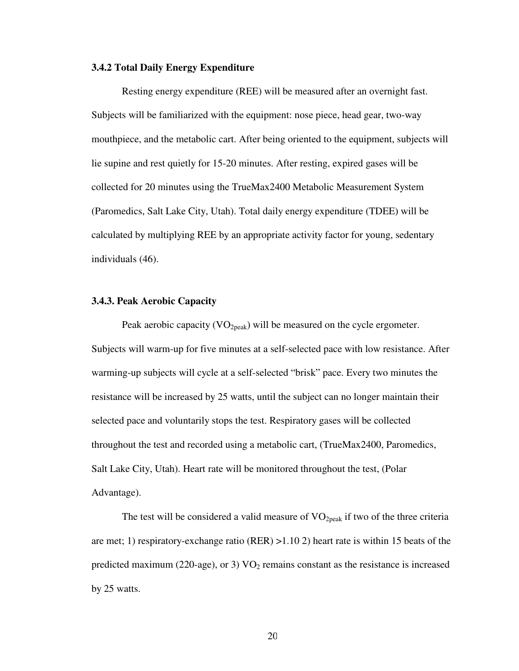#### **3.4.2 Total Daily Energy Expenditure**

Resting energy expenditure (REE) will be measured after an overnight fast. Subjects will be familiarized with the equipment: nose piece, head gear, two-way mouthpiece, and the metabolic cart. After being oriented to the equipment, subjects will lie supine and rest quietly for 15-20 minutes. After resting, expired gases will be collected for 20 minutes using the TrueMax2400 Metabolic Measurement System (Paromedics, Salt Lake City, Utah). Total daily energy expenditure (TDEE) will be calculated by multiplying REE by an appropriate activity factor for young, sedentary individuals (46).

#### **3.4.3. Peak Aerobic Capacity**

Peak aerobic capacity  $(VO_{2peak})$  will be measured on the cycle ergometer. Subjects will warm-up for five minutes at a self-selected pace with low resistance. After warming-up subjects will cycle at a self-selected "brisk" pace. Every two minutes the resistance will be increased by 25 watts, until the subject can no longer maintain their selected pace and voluntarily stops the test. Respiratory gases will be collected throughout the test and recorded using a metabolic cart, (TrueMax2400, Paromedics, Salt Lake City, Utah). Heart rate will be monitored throughout the test, (Polar Advantage).

The test will be considered a valid measure of  $VO<sub>2peak</sub>$  if two of the three criteria are met; 1) respiratory-exchange ratio (RER) >1.10 2) heart rate is within 15 beats of the predicted maximum (220-age), or 3)  $VO<sub>2</sub>$  remains constant as the resistance is increased by 25 watts.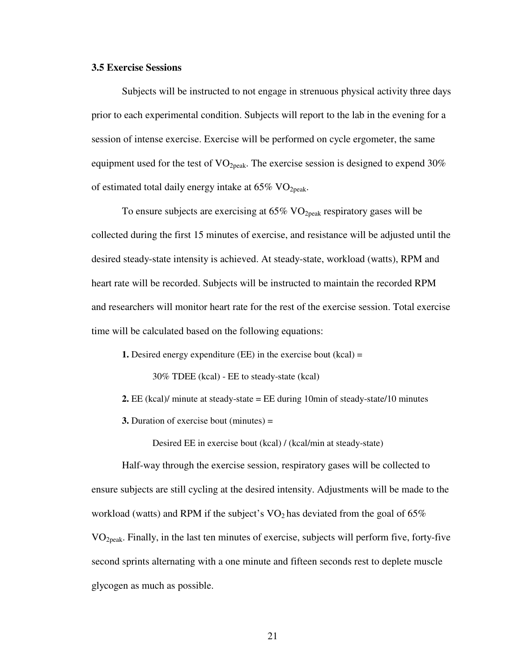#### **3.5 Exercise Sessions**

Subjects will be instructed to not engage in strenuous physical activity three days prior to each experimental condition. Subjects will report to the lab in the evening for a session of intense exercise. Exercise will be performed on cycle ergometer, the same equipment used for the test of  $VO<sub>2peak</sub>$ . The exercise session is designed to expend 30% of estimated total daily energy intake at  $65\%$  VO<sub>2peak</sub>.

To ensure subjects are exercising at  $65\%$  VO<sub>2peak</sub> respiratory gases will be collected during the first 15 minutes of exercise, and resistance will be adjusted until the desired steady-state intensity is achieved. At steady-state, workload (watts), RPM and heart rate will be recorded. Subjects will be instructed to maintain the recorded RPM and researchers will monitor heart rate for the rest of the exercise session. Total exercise time will be calculated based on the following equations:

**1.** Desired energy expenditure (EE) in the exercise bout (kcal) =

30% TDEE (kcal) - EE to steady-state (kcal)

- **2.** EE (kcal)/ minute at steady-state = EE during 10min of steady-state/10 minutes
- **3.** Duration of exercise bout (minutes) =

Desired EE in exercise bout (kcal) / (kcal/min at steady-state)

Half-way through the exercise session, respiratory gases will be collected to ensure subjects are still cycling at the desired intensity. Adjustments will be made to the workload (watts) and RPM if the subject's  $VO<sub>2</sub>$  has deviated from the goal of 65% VO2peak. Finally, in the last ten minutes of exercise, subjects will perform five, forty-five second sprints alternating with a one minute and fifteen seconds rest to deplete muscle glycogen as much as possible.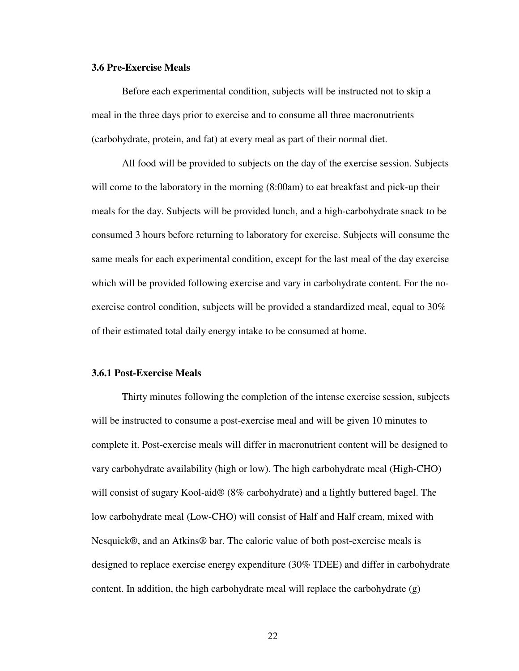#### **3.6 Pre-Exercise Meals**

Before each experimental condition, subjects will be instructed not to skip a meal in the three days prior to exercise and to consume all three macronutrients (carbohydrate, protein, and fat) at every meal as part of their normal diet.

All food will be provided to subjects on the day of the exercise session. Subjects will come to the laboratory in the morning  $(8:00am)$  to eat breakfast and pick-up their meals for the day. Subjects will be provided lunch, and a high-carbohydrate snack to be consumed 3 hours before returning to laboratory for exercise. Subjects will consume the same meals for each experimental condition, except for the last meal of the day exercise which will be provided following exercise and vary in carbohydrate content. For the noexercise control condition, subjects will be provided a standardized meal, equal to 30% of their estimated total daily energy intake to be consumed at home.

#### **3.6.1 Post-Exercise Meals**

Thirty minutes following the completion of the intense exercise session, subjects will be instructed to consume a post-exercise meal and will be given 10 minutes to complete it. Post-exercise meals will differ in macronutrient content will be designed to vary carbohydrate availability (high or low). The high carbohydrate meal (High-CHO) will consist of sugary Kool-aid® (8% carbohydrate) and a lightly buttered bagel. The low carbohydrate meal (Low-CHO) will consist of Half and Half cream, mixed with Nesquick®, and an Atkins® bar. The caloric value of both post-exercise meals is designed to replace exercise energy expenditure (30% TDEE) and differ in carbohydrate content. In addition, the high carbohydrate meal will replace the carbohydrate (g)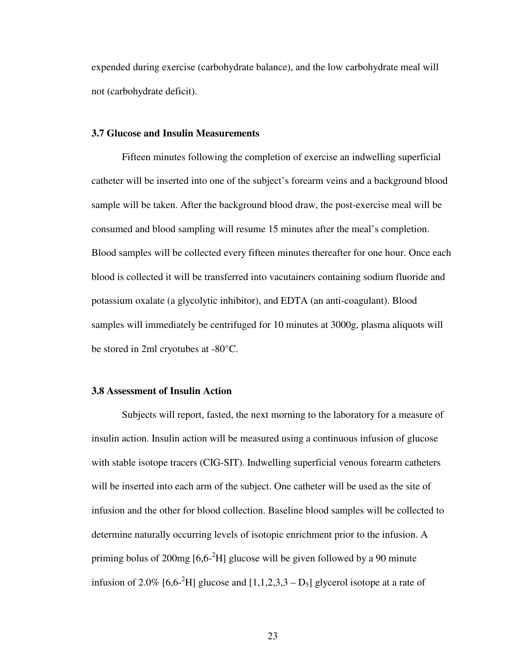expended during exercise (carbohydrate balance), and the low carbohydrate meal will not (carbohydrate deficit).

### **3.7 Glucose and Insulin Measurements**

Fifteen minutes following the completion of exercise an indwelling superficial catheter will be inserted into one of the subject's forearm veins and a background blood sample will be taken. After the background blood draw, the post-exercise meal will be consumed and blood sampling will resume 15 minutes after the meal's completion. Blood samples will be collected every fifteen minutes thereafter for one hour. Once each blood is collected it will be transferred into vacutainers containing sodium fluoride and potassium oxalate (a glycolytic inhibitor), and EDTA (an anti-coagulant). Blood samples will immediately be centrifuged for 10 minutes at 3000g, plasma aliquots will be stored in 2ml cryotubes at -80°C.

## **3.8 Assessment of Insulin Action**

Subjects will report, fasted, the next morning to the laboratory for a measure of insulin action. Insulin action will be measured using a continuous infusion of glucose with stable isotope tracers (CIG-SIT). Indwelling superficial venous forearm catheters will be inserted into each arm of the subject. One catheter will be used as the site of infusion and the other for blood collection. Baseline blood samples will be collected to determine naturally occurring levels of isotopic enrichment prior to the infusion. A priming bolus of 200mg  $[6,6^{-2}H]$  glucose will be given followed by a 90 minute infusion of 2.0% [6,6<sup>-2</sup>H] glucose and  $[1,1,2,3,3 - D<sub>5</sub>]$  glycerol isotope at a rate of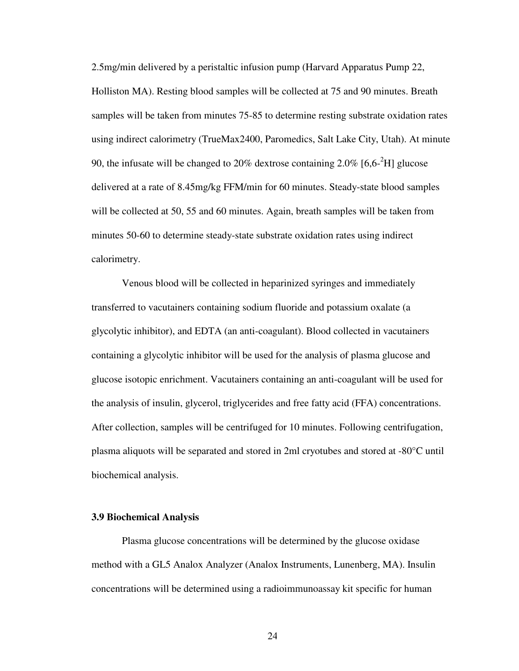2.5mg/min delivered by a peristaltic infusion pump (Harvard Apparatus Pump 22, Holliston MA). Resting blood samples will be collected at 75 and 90 minutes. Breath samples will be taken from minutes 75-85 to determine resting substrate oxidation rates using indirect calorimetry (TrueMax2400, Paromedics, Salt Lake City, Utah). At minute 90, the infusate will be changed to 20% dextrose containing 2.0% [6,6- $^{2}$ H] glucose delivered at a rate of 8.45mg/kg FFM/min for 60 minutes. Steady-state blood samples will be collected at 50, 55 and 60 minutes. Again, breath samples will be taken from minutes 50-60 to determine steady-state substrate oxidation rates using indirect calorimetry.

Venous blood will be collected in heparinized syringes and immediately transferred to vacutainers containing sodium fluoride and potassium oxalate (a glycolytic inhibitor), and EDTA (an anti-coagulant). Blood collected in vacutainers containing a glycolytic inhibitor will be used for the analysis of plasma glucose and glucose isotopic enrichment. Vacutainers containing an anti-coagulant will be used for the analysis of insulin, glycerol, triglycerides and free fatty acid (FFA) concentrations. After collection, samples will be centrifuged for 10 minutes. Following centrifugation, plasma aliquots will be separated and stored in 2ml cryotubes and stored at -80°C until biochemical analysis.

## **3.9 Biochemical Analysis**

Plasma glucose concentrations will be determined by the glucose oxidase method with a GL5 Analox Analyzer (Analox Instruments, Lunenberg, MA). Insulin concentrations will be determined using a radioimmunoassay kit specific for human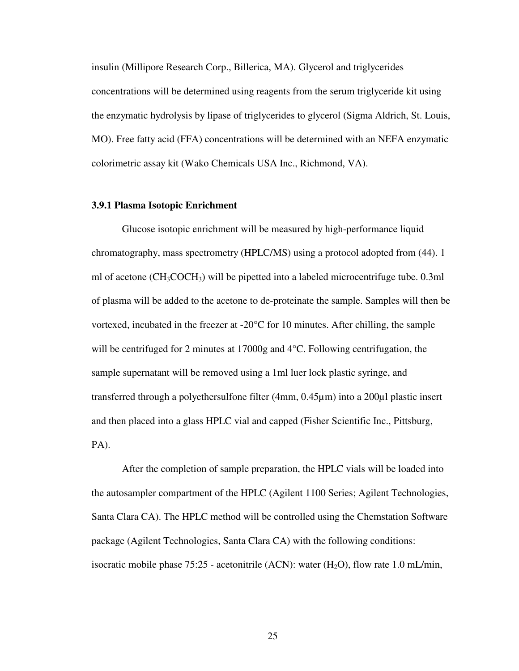insulin (Millipore Research Corp., Billerica, MA). Glycerol and triglycerides concentrations will be determined using reagents from the serum triglyceride kit using the enzymatic hydrolysis by lipase of triglycerides to glycerol (Sigma Aldrich, St. Louis, MO). Free fatty acid (FFA) concentrations will be determined with an NEFA enzymatic colorimetric assay kit (Wako Chemicals USA Inc., Richmond, VA).

### **3.9.1 Plasma Isotopic Enrichment**

Glucose isotopic enrichment will be measured by high-performance liquid chromatography, mass spectrometry (HPLC/MS) using a protocol adopted from (44). 1 ml of acetone  $(CH_3COCH_3)$  will be pipetted into a labeled microcentrifuge tube. 0.3ml of plasma will be added to the acetone to de-proteinate the sample. Samples will then be vortexed, incubated in the freezer at  $-20^{\circ}$ C for 10 minutes. After chilling, the sample will be centrifuged for 2 minutes at 17000g and 4°C. Following centrifugation, the sample supernatant will be removed using a 1ml luer lock plastic syringe, and transferred through a polyethersulfone filter (4mm, 0.45µm) into a 200µl plastic insert and then placed into a glass HPLC vial and capped (Fisher Scientific Inc., Pittsburg, PA).

After the completion of sample preparation, the HPLC vials will be loaded into the autosampler compartment of the HPLC (Agilent 1100 Series; Agilent Technologies, Santa Clara CA). The HPLC method will be controlled using the Chemstation Software package (Agilent Technologies, Santa Clara CA) with the following conditions: isocratic mobile phase  $75:25$  - acetonitrile (ACN): water (H<sub>2</sub>O), flow rate 1.0 mL/min,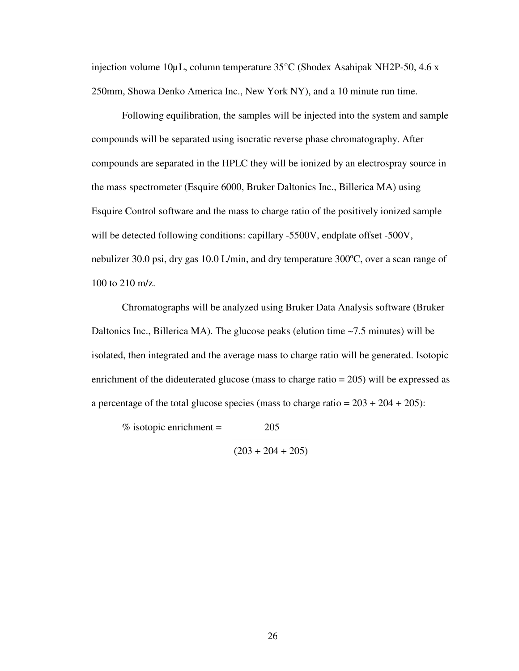injection volume 10µL, column temperature  $35^{\circ}$ C (Shodex Asahipak NH2P-50, 4.6 x 250mm, Showa Denko America Inc., New York NY), and a 10 minute run time.

Following equilibration, the samples will be injected into the system and sample compounds will be separated using isocratic reverse phase chromatography. After compounds are separated in the HPLC they will be ionized by an electrospray source in the mass spectrometer (Esquire 6000, Bruker Daltonics Inc., Billerica MA) using Esquire Control software and the mass to charge ratio of the positively ionized sample will be detected following conditions: capillary -5500V, endplate offset -500V, nebulizer 30.0 psi, dry gas 10.0 L/min, and dry temperature 300ºC, over a scan range of 100 to 210 m/z.

Chromatographs will be analyzed using Bruker Data Analysis software (Bruker Daltonics Inc., Billerica MA). The glucose peaks (elution time ~7.5 minutes) will be isolated, then integrated and the average mass to charge ratio will be generated. Isotopic enrichment of the dideuterated glucose (mass to charge ratio = 205) will be expressed as a percentage of the total glucose species (mass to charge ratio  $= 203 + 204 + 205$ ):

 $\%$  isotopic enrichment = 205

 $(203 + 204 + 205)$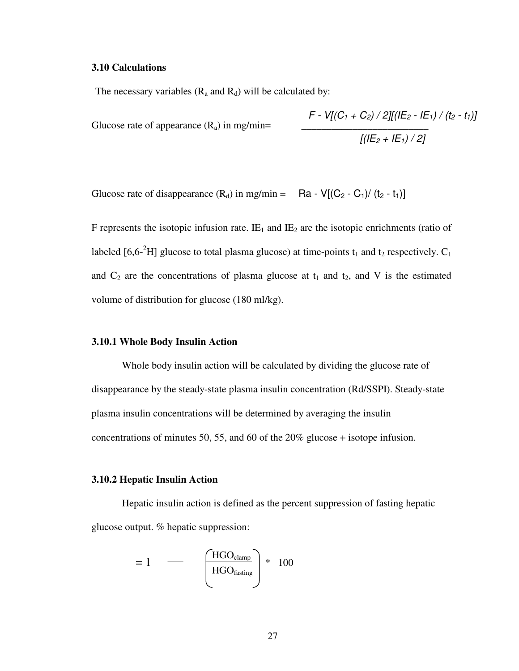#### **3.10 Calculations**

The necessary variables  $(R_a$  and  $R_d)$  will be calculated by:

Glucose rate of appearance  $(R_a)$  in mg/min=

$$
F - V[(C_1 + C_2) / 2][(I|E_2 - IE_1) / (t_2 - t_1)]
$$
  

$$
[(IE_2 + IE_1) / 2]
$$

Glucose rate of disappearance  $(R_d)$  in mg/min = Ra - V[ $(C_2 - C_1) / (t_2 - t_1)$ ]

F represents the isotopic infusion rate.  $I\!E_1$  and  $I\!E_2$  are the isotopic enrichments (ratio of labeled [6,6<sup>-2</sup>H] glucose to total plasma glucose) at time-points  $t_1$  and  $t_2$  respectively.  $C_1$ and  $C_2$  are the concentrations of plasma glucose at  $t_1$  and  $t_2$ , and V is the estimated volume of distribution for glucose (180 ml/kg).

## **3.10.1 Whole Body Insulin Action**

Whole body insulin action will be calculated by dividing the glucose rate of disappearance by the steady-state plasma insulin concentration (Rd/SSPI). Steady-state plasma insulin concentrations will be determined by averaging the insulin concentrations of minutes 50, 55, and 60 of the 20% glucose + isotope infusion.

### **3.10.2 Hepatic Insulin Action**

Hepatic insulin action is defined as the percent suppression of fasting hepatic glucose output. % hepatic suppression:

$$
= 1 \quad \longrightarrow \quad \left(\frac{\text{HGO}_{\text{clamp}}}{\text{HGO}_{\text{fasting}}}\right) * 100
$$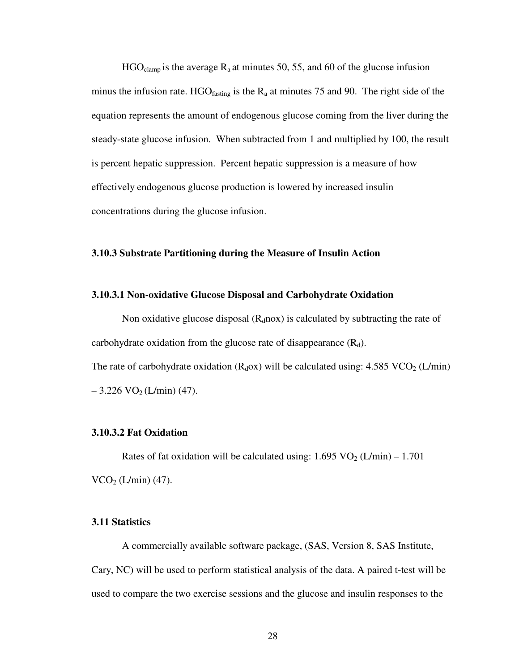$HGO<sub>clamp</sub>$  is the average  $R_a$  at minutes 50, 55, and 60 of the glucose infusion minus the infusion rate. HGO $_{\text{fasting}}$  is the R<sub>a</sub> at minutes 75 and 90. The right side of the equation represents the amount of endogenous glucose coming from the liver during the steady-state glucose infusion. When subtracted from 1 and multiplied by 100, the result is percent hepatic suppression. Percent hepatic suppression is a measure of how effectively endogenous glucose production is lowered by increased insulin concentrations during the glucose infusion.

## **3.10.3 Substrate Partitioning during the Measure of Insulin Action**

### **3.10.3.1 Non-oxidative Glucose Disposal and Carbohydrate Oxidation**

Non oxidative glucose disposal  $(R_d \text{nox})$  is calculated by subtracting the rate of carbohydrate oxidation from the glucose rate of disappearance  $(R_d)$ . The rate of carbohydrate oxidation  $(R_d \text{o}x)$  will be calculated using: 4.585 VCO<sub>2</sub> (L/min)  $-3.226 \text{ VO}_2 \left( \frac{\text{L}}{\text{min}} \right) (47)$ .

## **3.10.3.2 Fat Oxidation**

Rates of fat oxidation will be calculated using:  $1.695 \text{ VO}_2 \left( \frac{\text{L}}{\text{min}} \right) - 1.701$  $VCO<sub>2</sub> (L/min) (47).$ 

## **3.11 Statistics**

A commercially available software package, (SAS, Version 8, SAS Institute, Cary, NC) will be used to perform statistical analysis of the data. A paired t-test will be used to compare the two exercise sessions and the glucose and insulin responses to the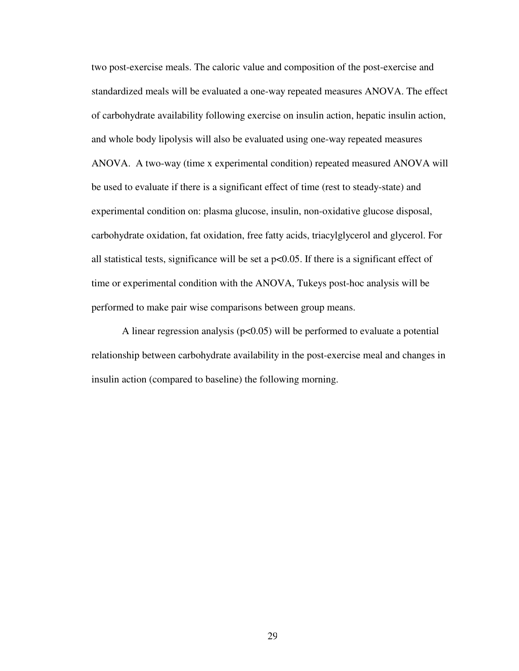two post-exercise meals. The caloric value and composition of the post-exercise and standardized meals will be evaluated a one-way repeated measures ANOVA. The effect of carbohydrate availability following exercise on insulin action, hepatic insulin action, and whole body lipolysis will also be evaluated using one-way repeated measures ANOVA. A two-way (time x experimental condition) repeated measured ANOVA will be used to evaluate if there is a significant effect of time (rest to steady-state) and experimental condition on: plasma glucose, insulin, non-oxidative glucose disposal, carbohydrate oxidation, fat oxidation, free fatty acids, triacylglycerol and glycerol. For all statistical tests, significance will be set a  $p<0.05$ . If there is a significant effect of time or experimental condition with the ANOVA, Tukeys post-hoc analysis will be performed to make pair wise comparisons between group means.

A linear regression analysis ( $p<0.05$ ) will be performed to evaluate a potential relationship between carbohydrate availability in the post-exercise meal and changes in insulin action (compared to baseline) the following morning.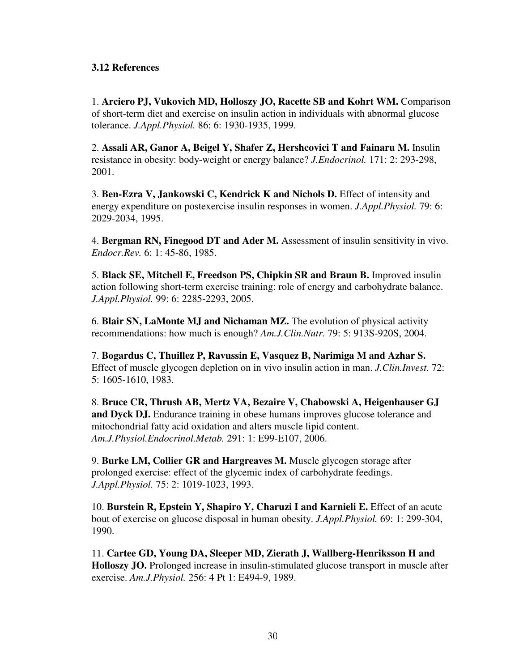# **3.12 References**

1. **Arciero PJ, Vukovich MD, Holloszy JO, Racette SB and Kohrt WM.** Comparison of short-term diet and exercise on insulin action in individuals with abnormal glucose tolerance. *J.Appl.Physiol.* 86: 6: 1930-1935, 1999.

2. **Assali AR, Ganor A, Beigel Y, Shafer Z, Hershcovici T and Fainaru M.** Insulin resistance in obesity: body-weight or energy balance? *J.Endocrinol.* 171: 2: 293-298, 2001.

3. **Ben-Ezra V, Jankowski C, Kendrick K and Nichols D.** Effect of intensity and energy expenditure on postexercise insulin responses in women. *J.Appl.Physiol.* 79: 6: 2029-2034, 1995.

4. **Bergman RN, Finegood DT and Ader M.** Assessment of insulin sensitivity in vivo. *Endocr.Rev.* 6: 1: 45-86, 1985.

5. **Black SE, Mitchell E, Freedson PS, Chipkin SR and Braun B.** Improved insulin action following short-term exercise training: role of energy and carbohydrate balance. *J.Appl.Physiol.* 99: 6: 2285-2293, 2005.

6. **Blair SN, LaMonte MJ and Nichaman MZ.** The evolution of physical activity recommendations: how much is enough? *Am.J.Clin.Nutr.* 79: 5: 913S-920S, 2004.

7. **Bogardus C, Thuillez P, Ravussin E, Vasquez B, Narimiga M and Azhar S.**  Effect of muscle glycogen depletion on in vivo insulin action in man. *J.Clin.Invest.* 72: 5: 1605-1610, 1983.

8. **Bruce CR, Thrush AB, Mertz VA, Bezaire V, Chabowski A, Heigenhauser GJ**  and Dyck DJ. Endurance training in obese humans improves glucose tolerance and mitochondrial fatty acid oxidation and alters muscle lipid content. *Am.J.Physiol.Endocrinol.Metab.* 291: 1: E99-E107, 2006.

9. **Burke LM, Collier GR and Hargreaves M.** Muscle glycogen storage after prolonged exercise: effect of the glycemic index of carbohydrate feedings. *J.Appl.Physiol.* 75: 2: 1019-1023, 1993.

10. **Burstein R, Epstein Y, Shapiro Y, Charuzi I and Karnieli E.** Effect of an acute bout of exercise on glucose disposal in human obesity. *J.Appl.Physiol.* 69: 1: 299-304, 1990.

11. **Cartee GD, Young DA, Sleeper MD, Zierath J, Wallberg-Henriksson H and Holloszy JO.** Prolonged increase in insulin-stimulated glucose transport in muscle after exercise. *Am.J.Physiol.* 256: 4 Pt 1: E494-9, 1989.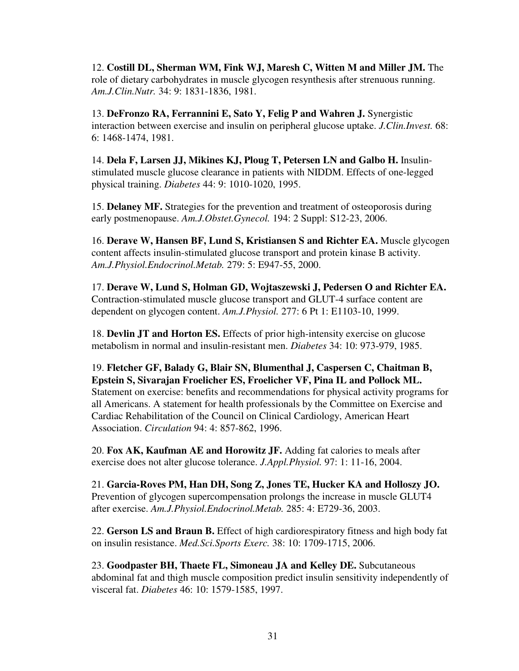12. **Costill DL, Sherman WM, Fink WJ, Maresh C, Witten M and Miller JM.** The role of dietary carbohydrates in muscle glycogen resynthesis after strenuous running. *Am.J.Clin.Nutr.* 34: 9: 1831-1836, 1981.

13. **DeFronzo RA, Ferrannini E, Sato Y, Felig P and Wahren J.** Synergistic interaction between exercise and insulin on peripheral glucose uptake. *J.Clin.Invest.* 68: 6: 1468-1474, 1981.

14. **Dela F, Larsen JJ, Mikines KJ, Ploug T, Petersen LN and Galbo H.** Insulinstimulated muscle glucose clearance in patients with NIDDM. Effects of one-legged physical training. *Diabetes* 44: 9: 1010-1020, 1995.

15. **Delaney MF.** Strategies for the prevention and treatment of osteoporosis during early postmenopause. *Am.J.Obstet.Gynecol.* 194: 2 Suppl: S12-23, 2006.

16. **Derave W, Hansen BF, Lund S, Kristiansen S and Richter EA.** Muscle glycogen content affects insulin-stimulated glucose transport and protein kinase B activity. *Am.J.Physiol.Endocrinol.Metab.* 279: 5: E947-55, 2000.

17. **Derave W, Lund S, Holman GD, Wojtaszewski J, Pedersen O and Richter EA.**  Contraction-stimulated muscle glucose transport and GLUT-4 surface content are dependent on glycogen content. *Am.J.Physiol.* 277: 6 Pt 1: E1103-10, 1999.

18. **Devlin JT and Horton ES.** Effects of prior high-intensity exercise on glucose metabolism in normal and insulin-resistant men. *Diabetes* 34: 10: 973-979, 1985.

19. **Fletcher GF, Balady G, Blair SN, Blumenthal J, Caspersen C, Chaitman B, Epstein S, Sivarajan Froelicher ES, Froelicher VF, Pina IL and Pollock ML.**  Statement on exercise: benefits and recommendations for physical activity programs for all Americans. A statement for health professionals by the Committee on Exercise and Cardiac Rehabilitation of the Council on Clinical Cardiology, American Heart Association. *Circulation* 94: 4: 857-862, 1996.

20. **Fox AK, Kaufman AE and Horowitz JF.** Adding fat calories to meals after exercise does not alter glucose tolerance. *J.Appl.Physiol.* 97: 1: 11-16, 2004.

21. **Garcia-Roves PM, Han DH, Song Z, Jones TE, Hucker KA and Holloszy JO.**  Prevention of glycogen supercompensation prolongs the increase in muscle GLUT4 after exercise. *Am.J.Physiol.Endocrinol.Metab.* 285: 4: E729-36, 2003.

22. **Gerson LS and Braun B.** Effect of high cardiorespiratory fitness and high body fat on insulin resistance. *Med.Sci.Sports Exerc.* 38: 10: 1709-1715, 2006.

23. **Goodpaster BH, Thaete FL, Simoneau JA and Kelley DE.** Subcutaneous abdominal fat and thigh muscle composition predict insulin sensitivity independently of visceral fat. *Diabetes* 46: 10: 1579-1585, 1997.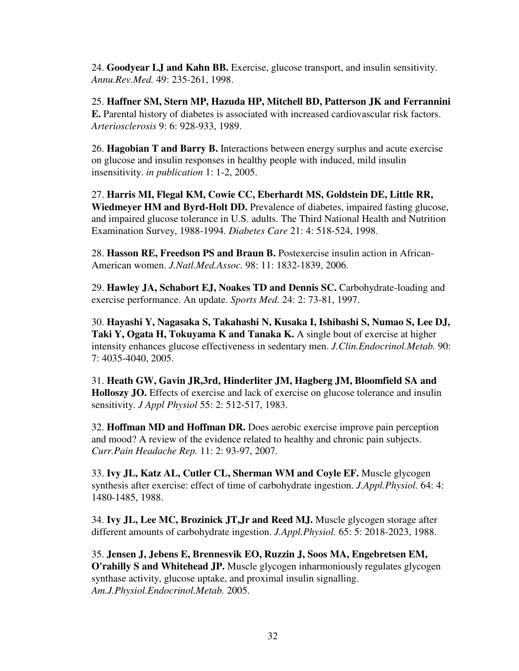24. **Goodyear LJ and Kahn BB.** Exercise, glucose transport, and insulin sensitivity. *Annu.Rev.Med.* 49: 235-261, 1998.

25. **Haffner SM, Stern MP, Hazuda HP, Mitchell BD, Patterson JK and Ferrannini E.** Parental history of diabetes is associated with increased cardiovascular risk factors. *Arteriosclerosis* 9: 6: 928-933, 1989.

26. **Hagobian T and Barry B.** Interactions between energy surplus and acute exercise on glucose and insulin responses in healthy people with induced, mild insulin insensitivity. *in publication* 1: 1-2, 2005.

27. **Harris MI, Flegal KM, Cowie CC, Eberhardt MS, Goldstein DE, Little RR, Wiedmeyer HM and Byrd-Holt DD.** Prevalence of diabetes, impaired fasting glucose, and impaired glucose tolerance in U.S. adults. The Third National Health and Nutrition Examination Survey, 1988-1994. *Diabetes Care* 21: 4: 518-524, 1998.

28. **Hasson RE, Freedson PS and Braun B.** Postexercise insulin action in African-American women. *J.Natl.Med.Assoc.* 98: 11: 1832-1839, 2006.

29. **Hawley JA, Schabort EJ, Noakes TD and Dennis SC.** Carbohydrate-loading and exercise performance. An update. *Sports Med.* 24: 2: 73-81, 1997.

30. **Hayashi Y, Nagasaka S, Takahashi N, Kusaka I, Ishibashi S, Numao S, Lee DJ, Taki Y, Ogata H, Tokuyama K and Tanaka K.** A single bout of exercise at higher intensity enhances glucose effectiveness in sedentary men. *J.Clin.Endocrinol.Metab.* 90: 7: 4035-4040, 2005.

31. **Heath GW, Gavin JR,3rd, Hinderliter JM, Hagberg JM, Bloomfield SA and Holloszy JO.** Effects of exercise and lack of exercise on glucose tolerance and insulin sensitivity. *J Appl Physiol* 55: 2: 512-517, 1983.

32. **Hoffman MD and Hoffman DR.** Does aerobic exercise improve pain perception and mood? A review of the evidence related to healthy and chronic pain subjects. *Curr.Pain Headache Rep.* 11: 2: 93-97, 2007.

33. **Ivy JL, Katz AL, Cutler CL, Sherman WM and Coyle EF.** Muscle glycogen synthesis after exercise: effect of time of carbohydrate ingestion. *J.Appl.Physiol.* 64: 4: 1480-1485, 1988.

34. **Ivy JL, Lee MC, Brozinick JT,Jr and Reed MJ.** Muscle glycogen storage after different amounts of carbohydrate ingestion. *J.Appl.Physiol.* 65: 5: 2018-2023, 1988.

35. **Jensen J, Jebens E, Brennesvik EO, Ruzzin J, Soos MA, Engebretsen EM, O'rahilly S and Whitehead JP.** Muscle glycogen inharmoniously regulates glycogen synthase activity, glucose uptake, and proximal insulin signalling. *Am.J.Physiol.Endocrinol.Metab.* 2005.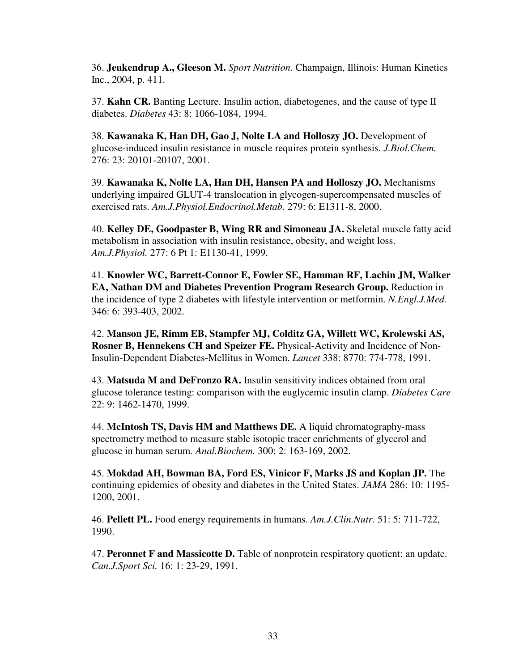36. **Jeukendrup A., Gleeson M.** *Sport Nutrition.* Champaign, Illinois: Human Kinetics Inc., 2004, p. 411.

37. **Kahn CR.** Banting Lecture. Insulin action, diabetogenes, and the cause of type II diabetes. *Diabetes* 43: 8: 1066-1084, 1994.

38. **Kawanaka K, Han DH, Gao J, Nolte LA and Holloszy JO.** Development of glucose-induced insulin resistance in muscle requires protein synthesis. *J.Biol.Chem.*  276: 23: 20101-20107, 2001.

39. **Kawanaka K, Nolte LA, Han DH, Hansen PA and Holloszy JO.** Mechanisms underlying impaired GLUT-4 translocation in glycogen-supercompensated muscles of exercised rats. *Am.J.Physiol.Endocrinol.Metab.* 279: 6: E1311-8, 2000.

40. **Kelley DE, Goodpaster B, Wing RR and Simoneau JA.** Skeletal muscle fatty acid metabolism in association with insulin resistance, obesity, and weight loss. *Am.J.Physiol.* 277: 6 Pt 1: E1130-41, 1999.

41. **Knowler WC, Barrett-Connor E, Fowler SE, Hamman RF, Lachin JM, Walker EA, Nathan DM and Diabetes Prevention Program Research Group.** Reduction in the incidence of type 2 diabetes with lifestyle intervention or metformin. *N.Engl.J.Med.*  346: 6: 393-403, 2002.

42. **Manson JE, Rimm EB, Stampfer MJ, Colditz GA, Willett WC, Krolewski AS, Rosner B, Hennekens CH and Speizer FE.** Physical-Activity and Incidence of Non-Insulin-Dependent Diabetes-Mellitus in Women. *Lancet* 338: 8770: 774-778, 1991.

43. **Matsuda M and DeFronzo RA.** Insulin sensitivity indices obtained from oral glucose tolerance testing: comparison with the euglycemic insulin clamp. *Diabetes Care*  22: 9: 1462-1470, 1999.

44. **McIntosh TS, Davis HM and Matthews DE.** A liquid chromatography-mass spectrometry method to measure stable isotopic tracer enrichments of glycerol and glucose in human serum. *Anal.Biochem.* 300: 2: 163-169, 2002.

45. **Mokdad AH, Bowman BA, Ford ES, Vinicor F, Marks JS and Koplan JP.** The continuing epidemics of obesity and diabetes in the United States. *JAMA* 286: 10: 1195- 1200, 2001.

46. **Pellett PL.** Food energy requirements in humans. *Am.J.Clin.Nutr.* 51: 5: 711-722, 1990.

47. **Peronnet F and Massicotte D.** Table of nonprotein respiratory quotient: an update. *Can.J.Sport Sci.* 16: 1: 23-29, 1991.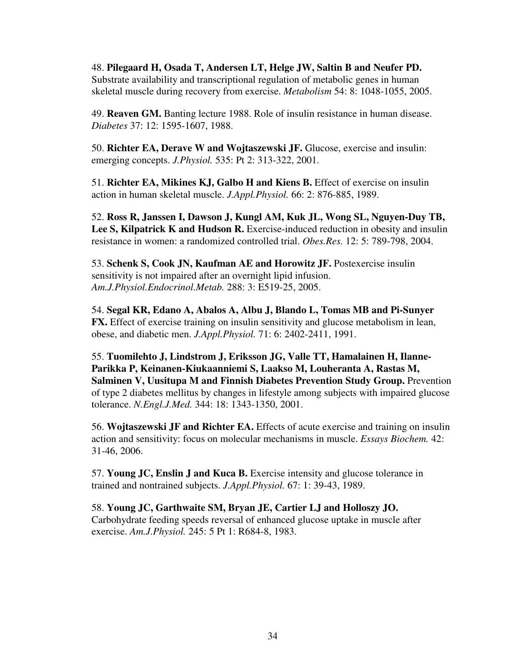48. **Pilegaard H, Osada T, Andersen LT, Helge JW, Saltin B and Neufer PD.**  Substrate availability and transcriptional regulation of metabolic genes in human skeletal muscle during recovery from exercise. *Metabolism* 54: 8: 1048-1055, 2005.

49. **Reaven GM.** Banting lecture 1988. Role of insulin resistance in human disease. *Diabetes* 37: 12: 1595-1607, 1988.

50. **Richter EA, Derave W and Wojtaszewski JF.** Glucose, exercise and insulin: emerging concepts. *J.Physiol.* 535: Pt 2: 313-322, 2001.

51. **Richter EA, Mikines KJ, Galbo H and Kiens B.** Effect of exercise on insulin action in human skeletal muscle. *J.Appl.Physiol.* 66: 2: 876-885, 1989.

52. **Ross R, Janssen I, Dawson J, Kungl AM, Kuk JL, Wong SL, Nguyen-Duy TB,**  Lee S, Kilpatrick K and Hudson R. Exercise-induced reduction in obesity and insulin resistance in women: a randomized controlled trial. *Obes.Res.* 12: 5: 789-798, 2004.

53. **Schenk S, Cook JN, Kaufman AE and Horowitz JF.** Postexercise insulin sensitivity is not impaired after an overnight lipid infusion. *Am.J.Physiol.Endocrinol.Metab.* 288: 3: E519-25, 2005.

54. **Segal KR, Edano A, Abalos A, Albu J, Blando L, Tomas MB and Pi-Sunyer FX.** Effect of exercise training on insulin sensitivity and glucose metabolism in lean, obese, and diabetic men. *J.Appl.Physiol.* 71: 6: 2402-2411, 1991.

55. **Tuomilehto J, Lindstrom J, Eriksson JG, Valle TT, Hamalainen H, Ilanne-Parikka P, Keinanen-Kiukaanniemi S, Laakso M, Louheranta A, Rastas M, Salminen V, Uusitupa M and Finnish Diabetes Prevention Study Group.** Prevention of type 2 diabetes mellitus by changes in lifestyle among subjects with impaired glucose tolerance. *N.Engl.J.Med.* 344: 18: 1343-1350, 2001.

56. **Wojtaszewski JF and Richter EA.** Effects of acute exercise and training on insulin action and sensitivity: focus on molecular mechanisms in muscle. *Essays Biochem.* 42: 31-46, 2006.

57. **Young JC, Enslin J and Kuca B.** Exercise intensity and glucose tolerance in trained and nontrained subjects. *J.Appl.Physiol.* 67: 1: 39-43, 1989.

58. **Young JC, Garthwaite SM, Bryan JE, Cartier LJ and Holloszy JO.**  Carbohydrate feeding speeds reversal of enhanced glucose uptake in muscle after exercise. *Am.J.Physiol.* 245: 5 Pt 1: R684-8, 1983.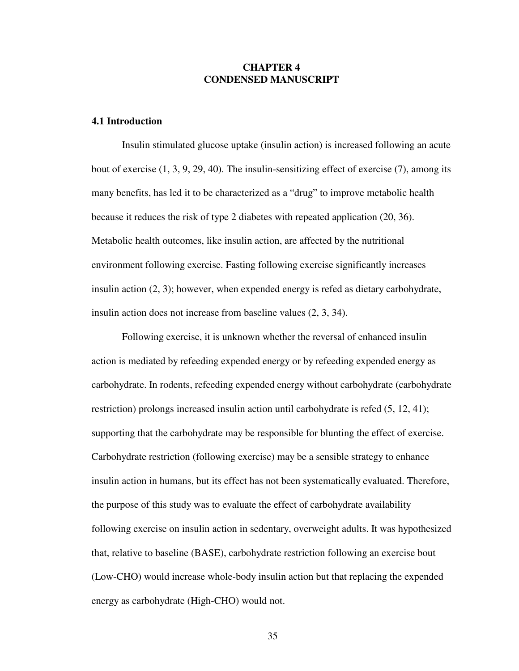## **CHAPTER 4 CONDENSED MANUSCRIPT**

## **4.1 Introduction**

Insulin stimulated glucose uptake (insulin action) is increased following an acute bout of exercise (1, 3, 9, 29, 40). The insulin-sensitizing effect of exercise (7), among its many benefits, has led it to be characterized as a "drug" to improve metabolic health because it reduces the risk of type 2 diabetes with repeated application (20, 36). Metabolic health outcomes, like insulin action, are affected by the nutritional environment following exercise. Fasting following exercise significantly increases insulin action (2, 3); however, when expended energy is refed as dietary carbohydrate, insulin action does not increase from baseline values (2, 3, 34).

Following exercise, it is unknown whether the reversal of enhanced insulin action is mediated by refeeding expended energy or by refeeding expended energy as carbohydrate. In rodents, refeeding expended energy without carbohydrate (carbohydrate restriction) prolongs increased insulin action until carbohydrate is refed  $(5, 12, 41)$ ; supporting that the carbohydrate may be responsible for blunting the effect of exercise. Carbohydrate restriction (following exercise) may be a sensible strategy to enhance insulin action in humans, but its effect has not been systematically evaluated. Therefore, the purpose of this study was to evaluate the effect of carbohydrate availability following exercise on insulin action in sedentary, overweight adults. It was hypothesized that, relative to baseline (BASE), carbohydrate restriction following an exercise bout (Low-CHO) would increase whole-body insulin action but that replacing the expended energy as carbohydrate (High-CHO) would not.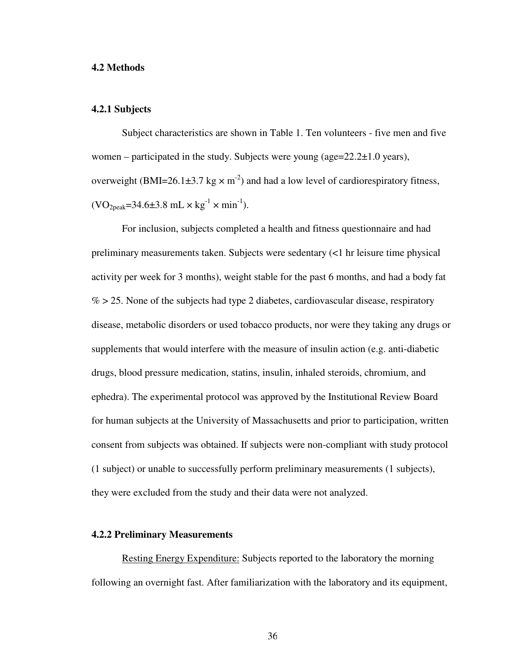#### **4.2 Methods**

#### **4.2.1 Subjects**

Subject characteristics are shown in Table 1. Ten volunteers - five men and five women – participated in the study. Subjects were young (age= $22.2\pm1.0$  years), overweight (BMI=26.1 $\pm$ 3.7 kg  $\times$  m<sup>-2</sup>) and had a low level of cardiorespiratory fitness,  $(VO_{2\text{peak}}=34.6\pm3.8 \text{ mL} \times \text{kg}^{-1} \times \text{min}^{-1}).$ 

For inclusion, subjects completed a health and fitness questionnaire and had preliminary measurements taken. Subjects were sedentary (<1 hr leisure time physical activity per week for 3 months), weight stable for the past 6 months, and had a body fat  $\%$  > 25. None of the subjects had type 2 diabetes, cardiovascular disease, respiratory disease, metabolic disorders or used tobacco products, nor were they taking any drugs or supplements that would interfere with the measure of insulin action (e.g. anti-diabetic drugs, blood pressure medication, statins, insulin, inhaled steroids, chromium, and ephedra). The experimental protocol was approved by the Institutional Review Board for human subjects at the University of Massachusetts and prior to participation, written consent from subjects was obtained. If subjects were non-compliant with study protocol (1 subject) or unable to successfully perform preliminary measurements (1 subjects), they were excluded from the study and their data were not analyzed.

#### **4.2.2 Preliminary Measurements**

Resting Energy Expenditure: Subjects reported to the laboratory the morning following an overnight fast. After familiarization with the laboratory and its equipment,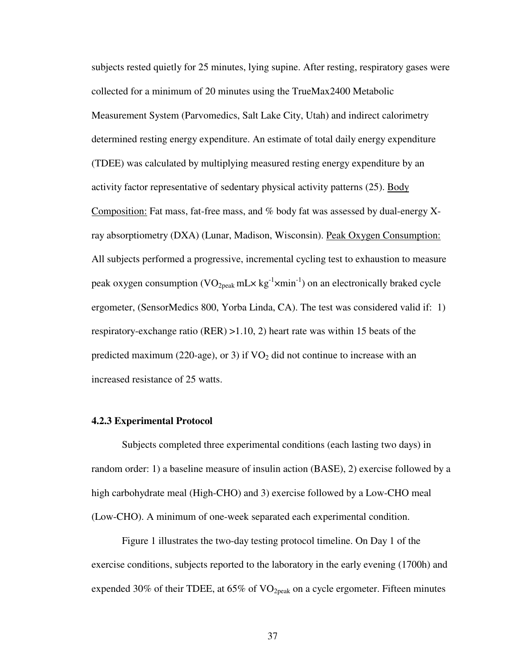subjects rested quietly for 25 minutes, lying supine. After resting, respiratory gases were collected for a minimum of 20 minutes using the TrueMax2400 Metabolic Measurement System (Parvomedics, Salt Lake City, Utah) and indirect calorimetry determined resting energy expenditure. An estimate of total daily energy expenditure (TDEE) was calculated by multiplying measured resting energy expenditure by an activity factor representative of sedentary physical activity patterns (25). Body Composition: Fat mass, fat-free mass, and % body fat was assessed by dual-energy Xray absorptiometry (DXA) (Lunar, Madison, Wisconsin). Peak Oxygen Consumption: All subjects performed a progressive, incremental cycling test to exhaustion to measure peak oxygen consumption (VO<sub>2peak</sub> mL $\times$  kg<sup>-1</sup> $\times$ min<sup>-1</sup>) on an electronically braked cycle ergometer, (SensorMedics 800, Yorba Linda, CA). The test was considered valid if: 1) respiratory-exchange ratio (RER) >1.10, 2) heart rate was within 15 beats of the predicted maximum (220-age), or 3) if  $VO<sub>2</sub>$  did not continue to increase with an increased resistance of 25 watts.

#### **4.2.3 Experimental Protocol**

Subjects completed three experimental conditions (each lasting two days) in random order: 1) a baseline measure of insulin action (BASE), 2) exercise followed by a high carbohydrate meal (High-CHO) and 3) exercise followed by a Low-CHO meal (Low-CHO). A minimum of one-week separated each experimental condition.

Figure 1 illustrates the two-day testing protocol timeline. On Day 1 of the exercise conditions, subjects reported to the laboratory in the early evening (1700h) and expended 30% of their TDEE, at  $65\%$  of VO<sub>2peak</sub> on a cycle ergometer. Fifteen minutes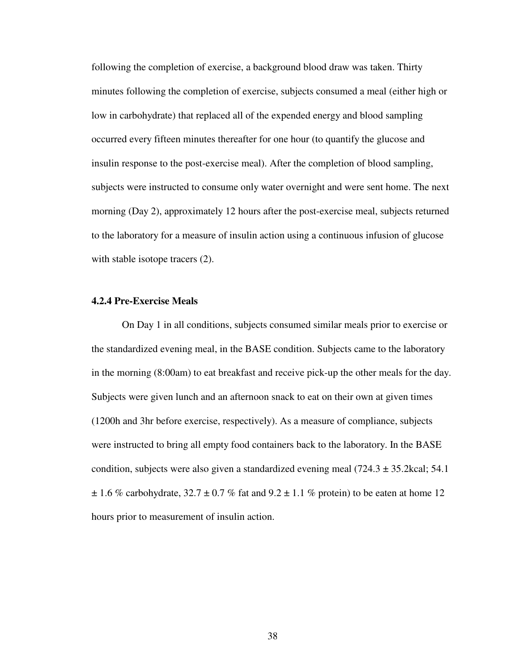following the completion of exercise, a background blood draw was taken. Thirty minutes following the completion of exercise, subjects consumed a meal (either high or low in carbohydrate) that replaced all of the expended energy and blood sampling occurred every fifteen minutes thereafter for one hour (to quantify the glucose and insulin response to the post-exercise meal). After the completion of blood sampling, subjects were instructed to consume only water overnight and were sent home. The next morning (Day 2), approximately 12 hours after the post-exercise meal, subjects returned to the laboratory for a measure of insulin action using a continuous infusion of glucose with stable isotope tracers  $(2)$ .

#### **4.2.4 Pre-Exercise Meals**

On Day 1 in all conditions, subjects consumed similar meals prior to exercise or the standardized evening meal, in the BASE condition. Subjects came to the laboratory in the morning (8:00am) to eat breakfast and receive pick-up the other meals for the day. Subjects were given lunch and an afternoon snack to eat on their own at given times (1200h and 3hr before exercise, respectively). As a measure of compliance, subjects were instructed to bring all empty food containers back to the laboratory. In the BASE condition, subjects were also given a standardized evening meal  $(724.3 \pm 35.2 \text{kcal}; 54.1)$  $\pm$  1.6 % carbohydrate, 32.7  $\pm$  0.7 % fat and 9.2  $\pm$  1.1 % protein) to be eaten at home 12 hours prior to measurement of insulin action.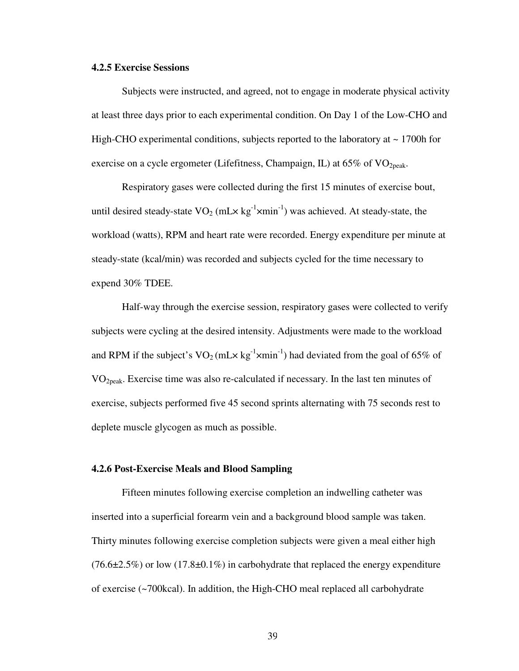#### **4.2.5 Exercise Sessions**

Subjects were instructed, and agreed, not to engage in moderate physical activity at least three days prior to each experimental condition. On Day 1 of the Low-CHO and High-CHO experimental conditions, subjects reported to the laboratory at  $\sim$  1700h for exercise on a cycle ergometer (Lifefitness, Champaign, IL) at  $65\%$  of VO<sub>2peak</sub>.

Respiratory gases were collected during the first 15 minutes of exercise bout, until desired steady-state  $VO_2$  (mL $\times$  kg<sup>-1</sup> $\times$ min<sup>-1</sup>) was achieved. At steady-state, the workload (watts), RPM and heart rate were recorded. Energy expenditure per minute at steady-state (kcal/min) was recorded and subjects cycled for the time necessary to expend 30% TDEE.

Half-way through the exercise session, respiratory gases were collected to verify subjects were cycling at the desired intensity. Adjustments were made to the workload and RPM if the subject's  $VO_2(mL \times kg^{-1} \times min^{-1})$  had deviated from the goal of 65% of VO2peak. Exercise time was also re-calculated if necessary. In the last ten minutes of exercise, subjects performed five 45 second sprints alternating with 75 seconds rest to deplete muscle glycogen as much as possible.

## **4.2.6 Post-Exercise Meals and Blood Sampling**

Fifteen minutes following exercise completion an indwelling catheter was inserted into a superficial forearm vein and a background blood sample was taken. Thirty minutes following exercise completion subjects were given a meal either high  $(76.6\pm2.5\%)$  or low  $(17.8\pm0.1\%)$  in carbohydrate that replaced the energy expenditure of exercise (~700kcal). In addition, the High-CHO meal replaced all carbohydrate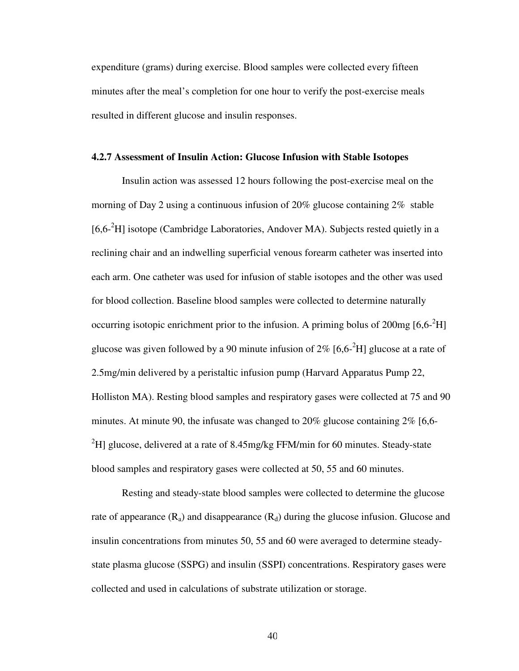expenditure (grams) during exercise. Blood samples were collected every fifteen minutes after the meal's completion for one hour to verify the post-exercise meals resulted in different glucose and insulin responses.

#### **4.2.7 Assessment of Insulin Action: Glucose Infusion with Stable Isotopes**

Insulin action was assessed 12 hours following the post-exercise meal on the morning of Day 2 using a continuous infusion of 20% glucose containing 2% stable [6,6<sup>-2</sup>H] isotope (Cambridge Laboratories, Andover MA). Subjects rested quietly in a reclining chair and an indwelling superficial venous forearm catheter was inserted into each arm. One catheter was used for infusion of stable isotopes and the other was used for blood collection. Baseline blood samples were collected to determine naturally occurring isotopic enrichment prior to the infusion. A priming bolus of  $200mg [6,6<sup>2</sup>H]$ glucose was given followed by a 90 minute infusion of  $2\%$  [6,6- $^{2}$ H] glucose at a rate of 2.5mg/min delivered by a peristaltic infusion pump (Harvard Apparatus Pump 22, Holliston MA). Resting blood samples and respiratory gases were collected at 75 and 90 minutes. At minute 90, the infusate was changed to  $20\%$  glucose containing  $2\%$  [6,6- $^{2}$ H] glucose, delivered at a rate of 8.45mg/kg FFM/min for 60 minutes. Steady-state blood samples and respiratory gases were collected at 50, 55 and 60 minutes.

Resting and steady-state blood samples were collected to determine the glucose rate of appearance  $(R_a)$  and disappearance  $(R_d)$  during the glucose infusion. Glucose and insulin concentrations from minutes 50, 55 and 60 were averaged to determine steadystate plasma glucose (SSPG) and insulin (SSPI) concentrations. Respiratory gases were collected and used in calculations of substrate utilization or storage.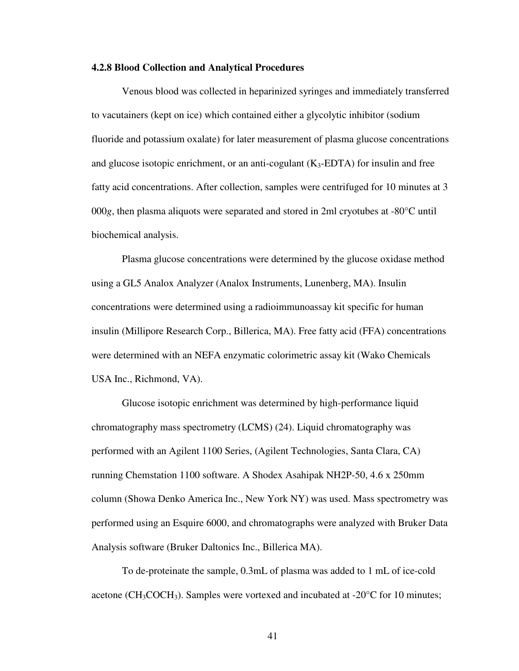#### **4.2.8 Blood Collection and Analytical Procedures**

Venous blood was collected in heparinized syringes and immediately transferred to vacutainers (kept on ice) which contained either a glycolytic inhibitor (sodium fluoride and potassium oxalate) for later measurement of plasma glucose concentrations and glucose isotopic enrichment, or an anti-cogulant  $(K_3$ -EDTA) for insulin and free fatty acid concentrations. After collection, samples were centrifuged for 10 minutes at 3 000*g*, then plasma aliquots were separated and stored in 2ml cryotubes at -80°C until biochemical analysis.

Plasma glucose concentrations were determined by the glucose oxidase method using a GL5 Analox Analyzer (Analox Instruments, Lunenberg, MA). Insulin concentrations were determined using a radioimmunoassay kit specific for human insulin (Millipore Research Corp., Billerica, MA). Free fatty acid (FFA) concentrations were determined with an NEFA enzymatic colorimetric assay kit (Wako Chemicals USA Inc., Richmond, VA).

Glucose isotopic enrichment was determined by high-performance liquid chromatography mass spectrometry (LCMS) (24). Liquid chromatography was performed with an Agilent 1100 Series, (Agilent Technologies, Santa Clara, CA) running Chemstation 1100 software. A Shodex Asahipak NH2P-50, 4.6 x 250mm column (Showa Denko America Inc., New York NY) was used. Mass spectrometry was performed using an Esquire 6000, and chromatographs were analyzed with Bruker Data Analysis software (Bruker Daltonics Inc., Billerica MA).

To de-proteinate the sample, 0.3mL of plasma was added to 1 mL of ice-cold acetone (CH<sub>3</sub>COCH<sub>3</sub>). Samples were vortexed and incubated at -20 $\degree$ C for 10 minutes;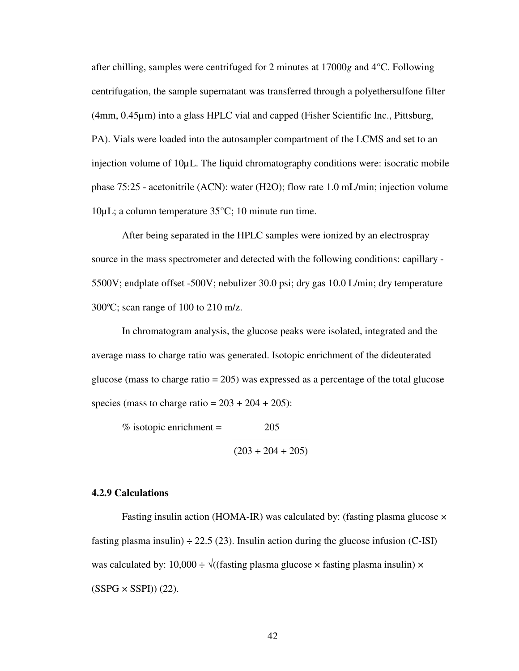after chilling, samples were centrifuged for 2 minutes at 17000*g* and 4°C. Following centrifugation, the sample supernatant was transferred through a polyethersulfone filter (4mm, 0.45µm) into a glass HPLC vial and capped (Fisher Scientific Inc., Pittsburg, PA). Vials were loaded into the autosampler compartment of the LCMS and set to an injection volume of 10µL. The liquid chromatography conditions were: isocratic mobile phase 75:25 - acetonitrile (ACN): water (H2O); flow rate 1.0 mL/min; injection volume 10µL; a column temperature 35°C; 10 minute run time.

After being separated in the HPLC samples were ionized by an electrospray source in the mass spectrometer and detected with the following conditions: capillary - 5500V; endplate offset -500V; nebulizer 30.0 psi; dry gas 10.0 L/min; dry temperature 300ºC; scan range of 100 to 210 m/z.

In chromatogram analysis, the glucose peaks were isolated, integrated and the average mass to charge ratio was generated. Isotopic enrichment of the dideuterated glucose (mass to charge ratio = 205) was expressed as a percentage of the total glucose species (mass to charge ratio =  $203 + 204 + 205$ ):

% isotopic enrichment  $=$  205  $(203 + 204 + 205)$ 

## **4.2.9 Calculations**

Fasting insulin action (HOMA-IR) was calculated by: (fasting plasma glucose × fasting plasma insulin)  $\div$  22.5 (23). Insulin action during the glucose infusion (C-ISI) was calculated by: 10,000 ÷  $\sqrt{(}$  (fasting plasma glucose  $\times$  fasting plasma insulin)  $\times$  $(SSPG \times SSPI)$  $(22)$ .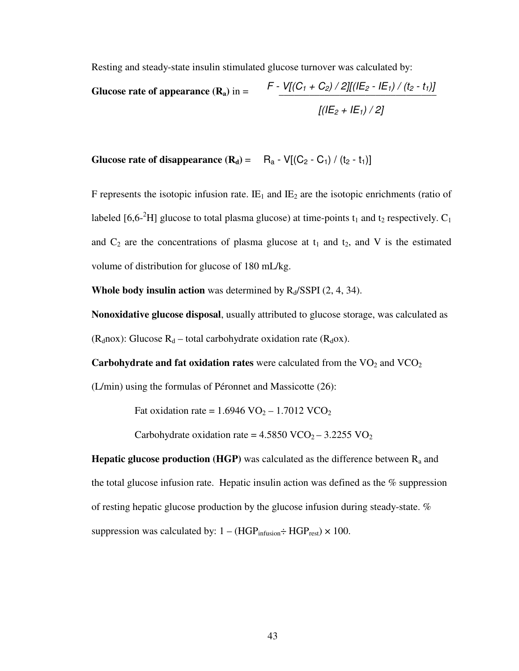Resting and steady-state insulin stimulated glucose turnover was calculated by:

**Glucose rate of appearance**  $(\mathbf{R}_a)$  **in =**  $\qquad \frac{\mathcal{F}}{\mathcal{F}} \cdot \frac{V[(C_1 + C_2)/2][(I(E_2 - I E_1) / (t_2 - t_1)]}{V[(E_2 - I E_2) / (t_2 - t_1)]}$  $[(IE_2 + IE_1)/2]$ 

**Glucose rate of disappearance**  $(\mathbf{R}_d) = \mathbf{R}_a - V[(\mathbf{C}_2 - \mathbf{C}_1) / (t_2 - t_1)]$ 

F represents the isotopic infusion rate.  $I\!E_1$  and  $I\!E_2$  are the isotopic enrichments (ratio of labeled [6,6<sup>-2</sup>H] glucose to total plasma glucose) at time-points  $t_1$  and  $t_2$  respectively.  $C_1$ and  $C_2$  are the concentrations of plasma glucose at  $t_1$  and  $t_2$ , and V is the estimated volume of distribution for glucose of 180 mL/kg.

**Whole body insulin action** was determined by  $R_d/SSPI$  (2, 4, 34).

**Nonoxidative glucose disposal**, usually attributed to glucose storage, was calculated as ( $R_d$ nox): Glucose  $R_d$  – total carbohydrate oxidation rate ( $R_d$ ox).

**Carbohydrate and fat oxidation rates** were calculated from the VO<sub>2</sub> and VCO<sub>2</sub>

(L/min) using the formulas of Péronnet and Massicotte (26):

Fat oxidation rate =  $1.6946 \text{ VO}_2 - 1.7012 \text{ VCO}_2$ 

Carbohydrate oxidation rate =  $4.5850$  VCO<sub>2</sub> –  $3.2255$  VO<sub>2</sub>

**Hepatic glucose production (HGP)** was calculated as the difference between  $R_a$  and the total glucose infusion rate. Hepatic insulin action was defined as the  $%$  suppression of resting hepatic glucose production by the glucose infusion during steady-state. % suppression was calculated by:  $1 - (HGP_{\text{infusion}} \div HGP_{\text{rest}}) \times 100$ .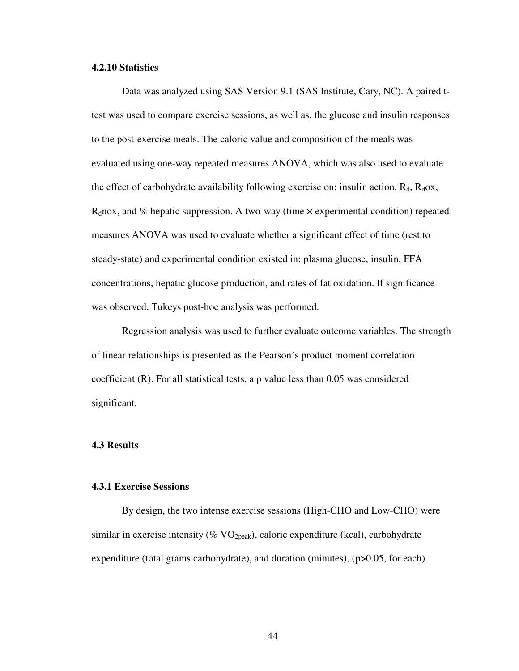## **4.2.10 Statistics**

Data was analyzed using SAS Version 9.1 (SAS Institute, Cary, NC). A paired ttest was used to compare exercise sessions, as well as, the glucose and insulin responses to the post-exercise meals. The caloric value and composition of the meals was evaluated using one-way repeated measures ANOVA, which was also used to evaluate the effect of carbohydrate availability following exercise on: insulin action,  $R_d$ ,  $R_d$ ox,  $R_d$ nox, and % hepatic suppression. A two-way (time  $\times$  experimental condition) repeated measures ANOVA was used to evaluate whether a significant effect of time (rest to steady-state) and experimental condition existed in: plasma glucose, insulin, FFA concentrations, hepatic glucose production, and rates of fat oxidation. If significance was observed, Tukeys post-hoc analysis was performed.

Regression analysis was used to further evaluate outcome variables. The strength of linear relationships is presented as the Pearson's product moment correlation coefficient (R). For all statistical tests, a p value less than 0.05 was considered significant.

#### **4.3 Results**

## **4.3.1 Exercise Sessions**

By design, the two intense exercise sessions (High-CHO and Low-CHO) were similar in exercise intensity (%  $VO<sub>2peak</sub>$ ), caloric expenditure (kcal), carbohydrate expenditure (total grams carbohydrate), and duration (minutes), (p>0.05, for each).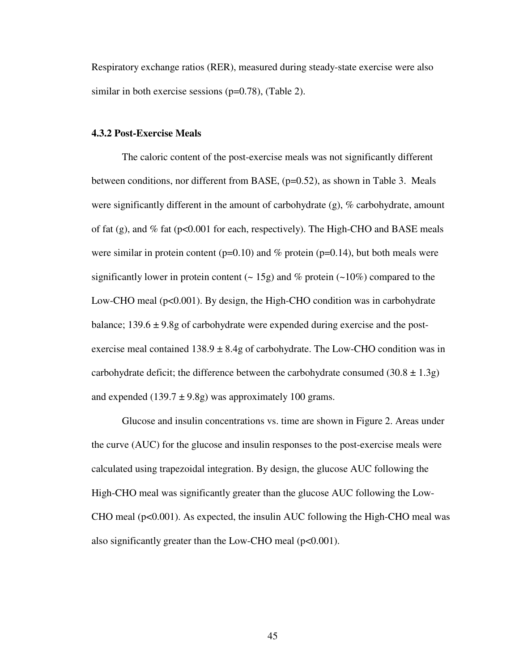Respiratory exchange ratios (RER), measured during steady-state exercise were also similar in both exercise sessions (p=0.78), (Table 2).

#### **4.3.2 Post-Exercise Meals**

The caloric content of the post-exercise meals was not significantly different between conditions, nor different from BASE, (p=0.52), as shown in Table 3. Meals were significantly different in the amount of carbohydrate (g), % carbohydrate, amount of fat (g), and % fat ( $p<0.001$  for each, respectively). The High-CHO and BASE meals were similar in protein content ( $p=0.10$ ) and % protein ( $p=0.14$ ), but both meals were significantly lower in protein content ( $\sim$  15g) and % protein ( $\sim$ 10%) compared to the Low-CHO meal  $(p<0.001)$ . By design, the High-CHO condition was in carbohydrate balance;  $139.6 \pm 9.8$ g of carbohydrate were expended during exercise and the postexercise meal contained  $138.9 \pm 8.4$ g of carbohydrate. The Low-CHO condition was in carbohydrate deficit; the difference between the carbohydrate consumed  $(30.8 \pm 1.3$ g) and expended  $(139.7 \pm 9.8g)$  was approximately 100 grams.

Glucose and insulin concentrations vs. time are shown in Figure 2. Areas under the curve (AUC) for the glucose and insulin responses to the post-exercise meals were calculated using trapezoidal integration. By design, the glucose AUC following the High-CHO meal was significantly greater than the glucose AUC following the Low-CHO meal  $(p<0.001)$ . As expected, the insulin AUC following the High-CHO meal was also significantly greater than the Low-CHO meal  $(p<0.001)$ .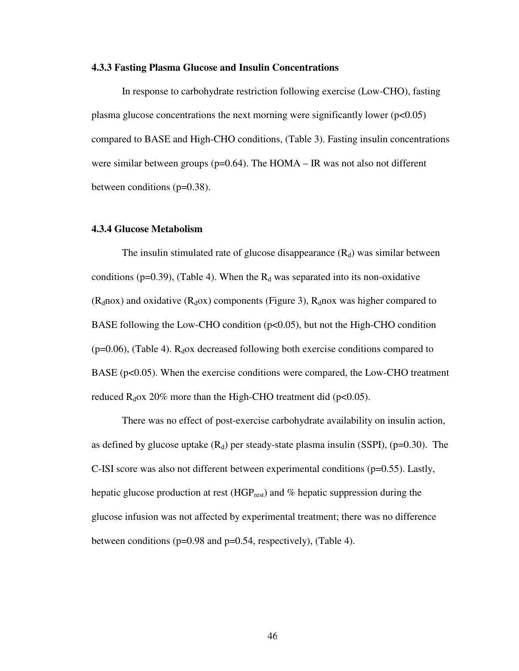#### **4.3.3 Fasting Plasma Glucose and Insulin Concentrations**

In response to carbohydrate restriction following exercise (Low-CHO), fasting plasma glucose concentrations the next morning were significantly lower  $(p<0.05)$ compared to BASE and High-CHO conditions, (Table 3). Fasting insulin concentrations were similar between groups ( $p=0.64$ ). The HOMA – IR was not also not different between conditions (p=0.38).

## **4.3.4 Glucose Metabolism**

The insulin stimulated rate of glucose disappearance  $(R_d)$  was similar between conditions (p=0.39), (Table 4). When the  $R_d$  was separated into its non-oxidative  $(R_d$ nox) and oxidative  $(R_d$ ox) components (Figure 3),  $R_d$ nox was higher compared to BASE following the Low-CHO condition  $(p<0.05)$ , but not the High-CHO condition ( $p=0.06$ ), (Table 4).  $R_d$ ox decreased following both exercise conditions compared to BASE ( $p<0.05$ ). When the exercise conditions were compared, the Low-CHO treatment reduced  $R_d$ ox 20% more than the High-CHO treatment did (p<0.05).

There was no effect of post-exercise carbohydrate availability on insulin action, as defined by glucose uptake  $(R_d)$  per steady-state plasma insulin (SSPI), (p=0.30). The C-ISI score was also not different between experimental conditions (p=0.55). Lastly, hepatic glucose production at rest  $(HGP_{rest})$  and % hepatic suppression during the glucose infusion was not affected by experimental treatment; there was no difference between conditions (p=0.98 and p=0.54, respectively), (Table 4).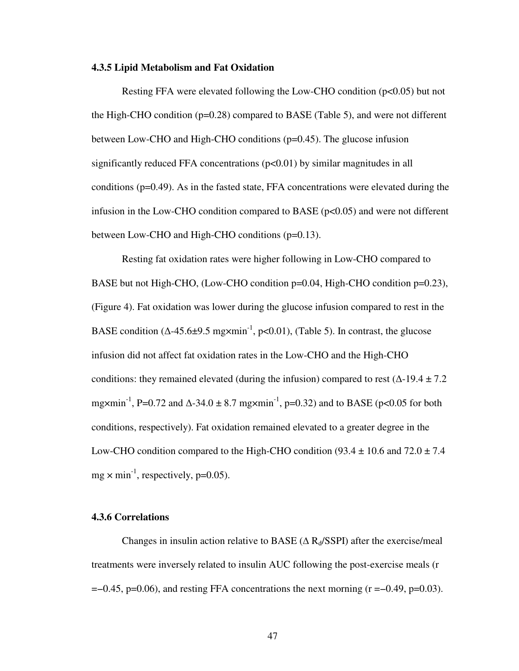#### **4.3.5 Lipid Metabolism and Fat Oxidation**

Resting FFA were elevated following the Low-CHO condition (p<0.05) but not the High-CHO condition  $(p=0.28)$  compared to BASE (Table 5), and were not different between Low-CHO and High-CHO conditions (p=0.45). The glucose infusion significantly reduced FFA concentrations  $(p<0.01)$  by similar magnitudes in all conditions (p=0.49). As in the fasted state, FFA concentrations were elevated during the infusion in the Low-CHO condition compared to BASE ( $p<0.05$ ) and were not different between Low-CHO and High-CHO conditions (p=0.13).

Resting fat oxidation rates were higher following in Low-CHO compared to BASE but not High-CHO, (Low-CHO condition p=0.04, High-CHO condition p=0.23), (Figure 4). Fat oxidation was lower during the glucose infusion compared to rest in the BASE condition ( $\triangle$ -45.6±9.5 mg×min<sup>-1</sup>, p<0.01), (Table 5). In contrast, the glucose infusion did not affect fat oxidation rates in the Low-CHO and the High-CHO conditions: they remained elevated (during the infusion) compared to rest ( $\Delta$ -19.4 ± 7.2 mg×min<sup>-1</sup>, P=0.72 and  $\Delta$ -34.0 ± 8.7 mg×min<sup>-1</sup>, p=0.32) and to BASE (p<0.05 for both conditions, respectively). Fat oxidation remained elevated to a greater degree in the Low-CHO condition compared to the High-CHO condition (93.4  $\pm$  10.6 and 72.0  $\pm$  7.4  $mg \times min^{-1}$ , respectively, p=0.05).

## **4.3.6 Correlations**

Changes in insulin action relative to BASE ( $\Delta$  R<sub>d</sub>/SSPI) after the exercise/meal treatments were inversely related to insulin AUC following the post-exercise meals (r  $=-0.45$ , p=0.06), and resting FFA concentrations the next morning (r =−0.49, p=0.03).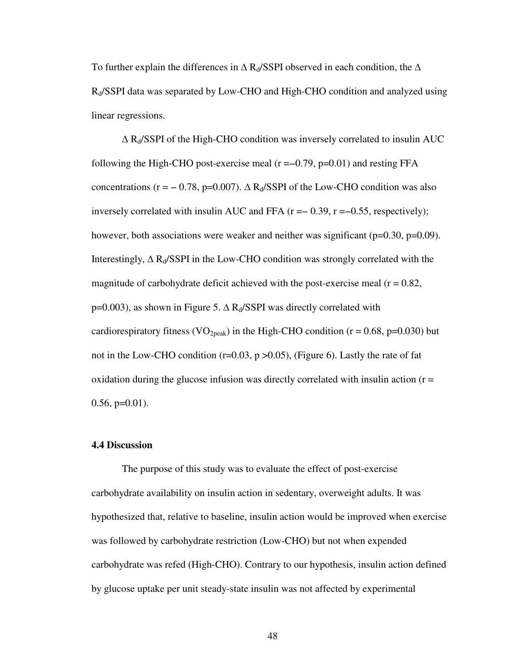To further explain the differences in  $\Delta$  R<sub>d</sub>/SSPI observed in each condition, the  $\Delta$ Rd/SSPI data was separated by Low-CHO and High-CHO condition and analyzed using linear regressions.

 $\Delta$  R<sub>d</sub>/SSPI of the High-CHO condition was inversely correlated to insulin AUC following the High-CHO post-exercise meal  $(r = -0.79, p = 0.01)$  and resting FFA concentrations (r = − 0.78, p=0.007).  $\Delta$  R<sub>d</sub>/SSPI of the Low-CHO condition was also inversely correlated with insulin AUC and FFA  $(r = 0.39, r = -0.55,$  respectively); however, both associations were weaker and neither was significant ( $p=0.30$ ,  $p=0.09$ ). Interestingly,  $\Delta R_d/SSPI$  in the Low-CHO condition was strongly correlated with the magnitude of carbohydrate deficit achieved with the post-exercise meal  $(r = 0.82)$ ,  $p=0.003$ ), as shown in Figure 5.  $\Delta$  R<sub>d</sub>/SSPI was directly correlated with cardiorespiratory fitness (VO<sub>2peak</sub>) in the High-CHO condition ( $r = 0.68$ ,  $p=0.030$ ) but not in the Low-CHO condition ( $r=0.03$ ,  $p > 0.05$ ), (Figure 6). Lastly the rate of fat oxidation during the glucose infusion was directly correlated with insulin action  $(r =$  $0.56$ ,  $p=0.01$ ).

### **4.4 Discussion**

The purpose of this study was to evaluate the effect of post-exercise carbohydrate availability on insulin action in sedentary, overweight adults. It was hypothesized that, relative to baseline, insulin action would be improved when exercise was followed by carbohydrate restriction (Low-CHO) but not when expended carbohydrate was refed (High-CHO). Contrary to our hypothesis, insulin action defined by glucose uptake per unit steady-state insulin was not affected by experimental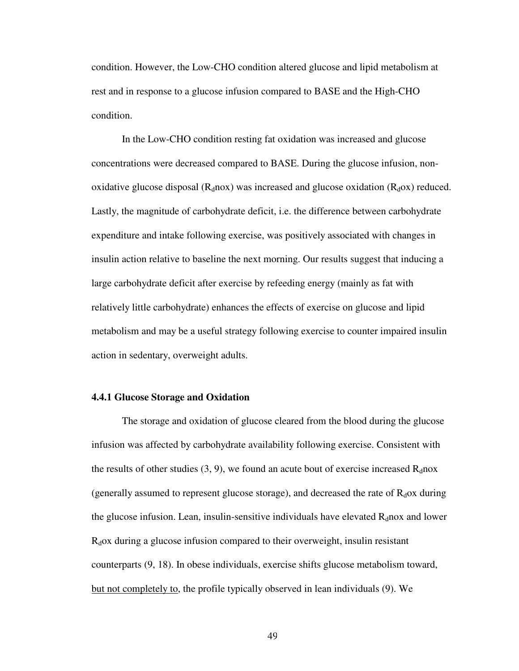condition. However, the Low-CHO condition altered glucose and lipid metabolism at rest and in response to a glucose infusion compared to BASE and the High-CHO condition.

In the Low-CHO condition resting fat oxidation was increased and glucose concentrations were decreased compared to BASE. During the glucose infusion, nonoxidative glucose disposal  $(R_d \cdot nox)$  was increased and glucose oxidation  $(R_d \cdot \alpha x)$  reduced. Lastly, the magnitude of carbohydrate deficit, i.e. the difference between carbohydrate expenditure and intake following exercise, was positively associated with changes in insulin action relative to baseline the next morning. Our results suggest that inducing a large carbohydrate deficit after exercise by refeeding energy (mainly as fat with relatively little carbohydrate) enhances the effects of exercise on glucose and lipid metabolism and may be a useful strategy following exercise to counter impaired insulin action in sedentary, overweight adults.

### **4.4.1 Glucose Storage and Oxidation**

The storage and oxidation of glucose cleared from the blood during the glucose infusion was affected by carbohydrate availability following exercise. Consistent with the results of other studies  $(3, 9)$ , we found an acute bout of exercise increased  $R_d$ nox (generally assumed to represent glucose storage), and decreased the rate of  $R_d$ ox during the glucose infusion. Lean, insulin-sensitive individuals have elevated  $R_d$ nox and lower  $R_d$ ox during a glucose infusion compared to their overweight, insulin resistant counterparts (9, 18). In obese individuals, exercise shifts glucose metabolism toward, but not completely to, the profile typically observed in lean individuals (9). We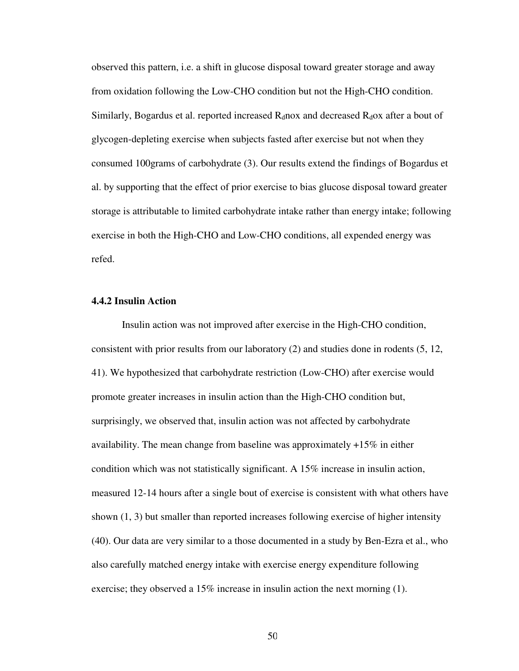observed this pattern, i.e. a shift in glucose disposal toward greater storage and away from oxidation following the Low-CHO condition but not the High-CHO condition. Similarly, Bogardus et al. reported increased  $R_d$  nox and decreased  $R_d$  ox after a bout of glycogen-depleting exercise when subjects fasted after exercise but not when they consumed 100grams of carbohydrate (3). Our results extend the findings of Bogardus et al. by supporting that the effect of prior exercise to bias glucose disposal toward greater storage is attributable to limited carbohydrate intake rather than energy intake; following exercise in both the High-CHO and Low-CHO conditions, all expended energy was refed.

## **4.4.2 Insulin Action**

Insulin action was not improved after exercise in the High-CHO condition, consistent with prior results from our laboratory (2) and studies done in rodents (5, 12, 41). We hypothesized that carbohydrate restriction (Low-CHO) after exercise would promote greater increases in insulin action than the High-CHO condition but, surprisingly, we observed that, insulin action was not affected by carbohydrate availability. The mean change from baseline was approximately +15% in either condition which was not statistically significant. A 15% increase in insulin action, measured 12-14 hours after a single bout of exercise is consistent with what others have shown (1, 3) but smaller than reported increases following exercise of higher intensity (40). Our data are very similar to a those documented in a study by Ben-Ezra et al., who also carefully matched energy intake with exercise energy expenditure following exercise; they observed a 15% increase in insulin action the next morning (1).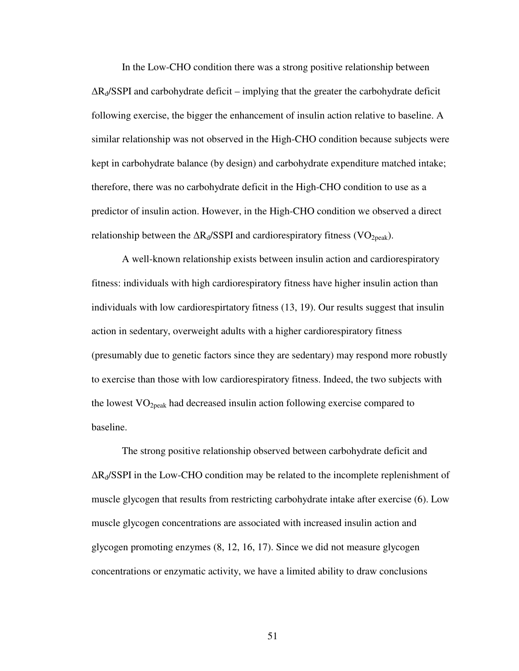In the Low-CHO condition there was a strong positive relationship between  $\Delta R_d$ /SSPI and carbohydrate deficit – implying that the greater the carbohydrate deficit following exercise, the bigger the enhancement of insulin action relative to baseline. A similar relationship was not observed in the High-CHO condition because subjects were kept in carbohydrate balance (by design) and carbohydrate expenditure matched intake; therefore, there was no carbohydrate deficit in the High-CHO condition to use as a predictor of insulin action. However, in the High-CHO condition we observed a direct relationship between the  $\Delta R_d / SSPI$  and cardiorespiratory fitness (VO<sub>2peak</sub>).

A well-known relationship exists between insulin action and cardiorespiratory fitness: individuals with high cardiorespiratory fitness have higher insulin action than individuals with low cardiorespirtatory fitness (13, 19). Our results suggest that insulin action in sedentary, overweight adults with a higher cardiorespiratory fitness (presumably due to genetic factors since they are sedentary) may respond more robustly to exercise than those with low cardiorespiratory fitness. Indeed, the two subjects with the lowest  $VO<sub>2peak</sub>$  had decreased insulin action following exercise compared to baseline.

The strong positive relationship observed between carbohydrate deficit and ∆R<sub>d</sub>/SSPI in the Low-CHO condition may be related to the incomplete replenishment of muscle glycogen that results from restricting carbohydrate intake after exercise (6). Low muscle glycogen concentrations are associated with increased insulin action and glycogen promoting enzymes (8, 12, 16, 17). Since we did not measure glycogen concentrations or enzymatic activity, we have a limited ability to draw conclusions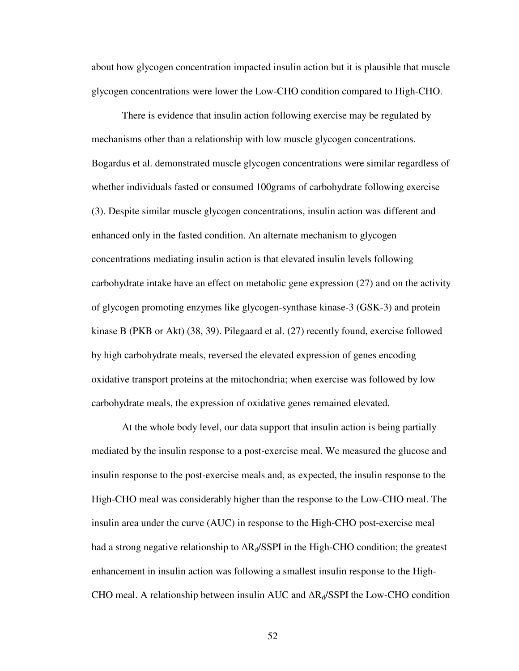about how glycogen concentration impacted insulin action but it is plausible that muscle glycogen concentrations were lower the Low-CHO condition compared to High-CHO.

There is evidence that insulin action following exercise may be regulated by mechanisms other than a relationship with low muscle glycogen concentrations. Bogardus et al. demonstrated muscle glycogen concentrations were similar regardless of whether individuals fasted or consumed 100grams of carbohydrate following exercise (3). Despite similar muscle glycogen concentrations, insulin action was different and enhanced only in the fasted condition. An alternate mechanism to glycogen concentrations mediating insulin action is that elevated insulin levels following carbohydrate intake have an effect on metabolic gene expression (27) and on the activity of glycogen promoting enzymes like glycogen-synthase kinase-3 (GSK-3) and protein kinase B (PKB or Akt) (38, 39). Pilegaard et al. (27) recently found, exercise followed by high carbohydrate meals, reversed the elevated expression of genes encoding oxidative transport proteins at the mitochondria; when exercise was followed by low carbohydrate meals, the expression of oxidative genes remained elevated.

At the whole body level, our data support that insulin action is being partially mediated by the insulin response to a post-exercise meal. We measured the glucose and insulin response to the post-exercise meals and, as expected, the insulin response to the High-CHO meal was considerably higher than the response to the Low-CHO meal. The insulin area under the curve (AUC) in response to the High-CHO post-exercise meal had a strong negative relationship to  $\Delta R_d$ /SSPI in the High-CHO condition; the greatest enhancement in insulin action was following a smallest insulin response to the High-CHO meal. A relationship between insulin AUC and ∆R<sub>d</sub>/SSPI the Low-CHO condition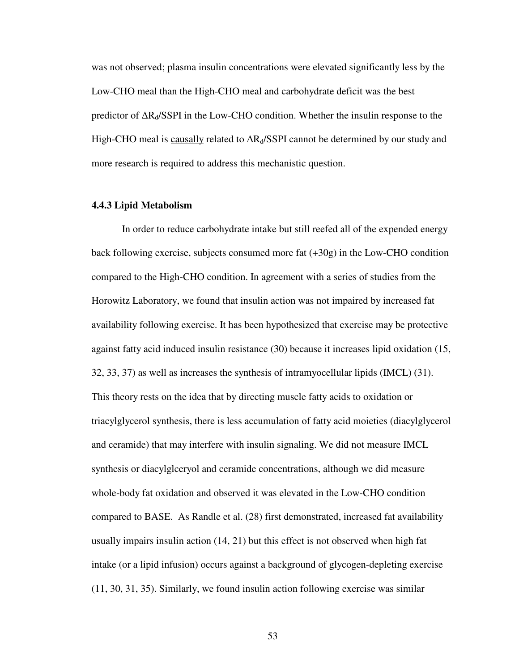was not observed; plasma insulin concentrations were elevated significantly less by the Low-CHO meal than the High-CHO meal and carbohydrate deficit was the best predictor of ∆R<sub>d</sub>/SSPI in the Low-CHO condition. Whether the insulin response to the High-CHO meal is causally related to ∆R<sub>d</sub>/SSPI cannot be determined by our study and more research is required to address this mechanistic question.

## **4.4.3 Lipid Metabolism**

In order to reduce carbohydrate intake but still reefed all of the expended energy back following exercise, subjects consumed more fat (+30g) in the Low-CHO condition compared to the High-CHO condition. In agreement with a series of studies from the Horowitz Laboratory, we found that insulin action was not impaired by increased fat availability following exercise. It has been hypothesized that exercise may be protective against fatty acid induced insulin resistance (30) because it increases lipid oxidation (15, 32, 33, 37) as well as increases the synthesis of intramyocellular lipids (IMCL) (31). This theory rests on the idea that by directing muscle fatty acids to oxidation or triacylglycerol synthesis, there is less accumulation of fatty acid moieties (diacylglycerol and ceramide) that may interfere with insulin signaling. We did not measure IMCL synthesis or diacylglceryol and ceramide concentrations, although we did measure whole-body fat oxidation and observed it was elevated in the Low-CHO condition compared to BASE. As Randle et al. (28) first demonstrated, increased fat availability usually impairs insulin action (14, 21) but this effect is not observed when high fat intake (or a lipid infusion) occurs against a background of glycogen-depleting exercise (11, 30, 31, 35). Similarly, we found insulin action following exercise was similar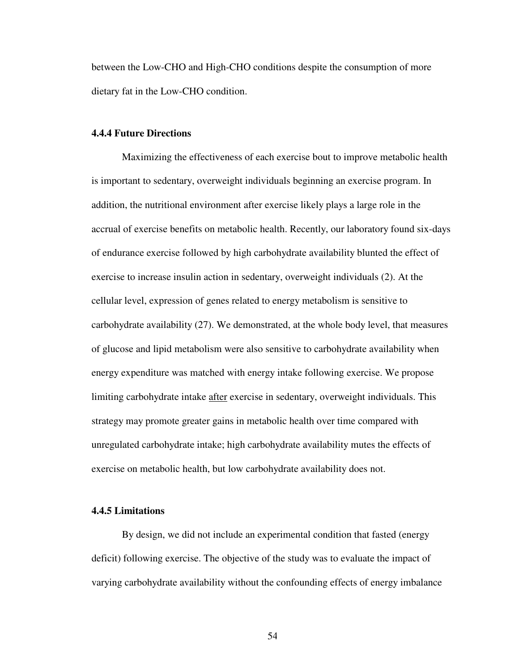between the Low-CHO and High-CHO conditions despite the consumption of more dietary fat in the Low-CHO condition.

#### **4.4.4 Future Directions**

Maximizing the effectiveness of each exercise bout to improve metabolic health is important to sedentary, overweight individuals beginning an exercise program. In addition, the nutritional environment after exercise likely plays a large role in the accrual of exercise benefits on metabolic health. Recently, our laboratory found six-days of endurance exercise followed by high carbohydrate availability blunted the effect of exercise to increase insulin action in sedentary, overweight individuals (2). At the cellular level, expression of genes related to energy metabolism is sensitive to carbohydrate availability (27). We demonstrated, at the whole body level, that measures of glucose and lipid metabolism were also sensitive to carbohydrate availability when energy expenditure was matched with energy intake following exercise. We propose limiting carbohydrate intake after exercise in sedentary, overweight individuals. This strategy may promote greater gains in metabolic health over time compared with unregulated carbohydrate intake; high carbohydrate availability mutes the effects of exercise on metabolic health, but low carbohydrate availability does not.

## **4.4.5 Limitations**

By design, we did not include an experimental condition that fasted (energy deficit) following exercise. The objective of the study was to evaluate the impact of varying carbohydrate availability without the confounding effects of energy imbalance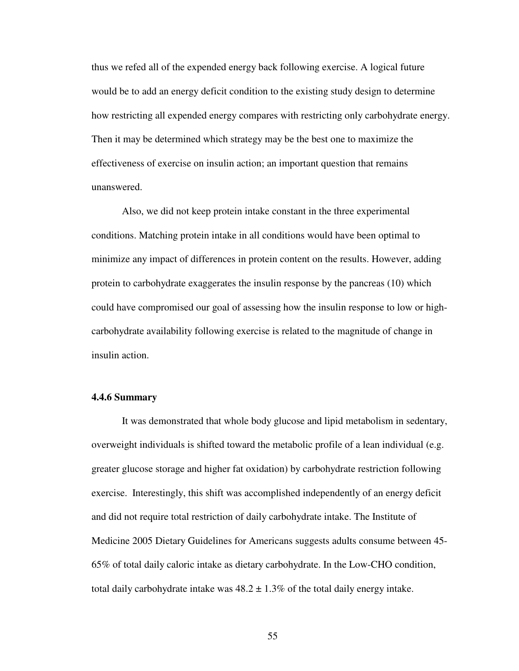thus we refed all of the expended energy back following exercise. A logical future would be to add an energy deficit condition to the existing study design to determine how restricting all expended energy compares with restricting only carbohydrate energy. Then it may be determined which strategy may be the best one to maximize the effectiveness of exercise on insulin action; an important question that remains unanswered.

Also, we did not keep protein intake constant in the three experimental conditions. Matching protein intake in all conditions would have been optimal to minimize any impact of differences in protein content on the results. However, adding protein to carbohydrate exaggerates the insulin response by the pancreas (10) which could have compromised our goal of assessing how the insulin response to low or highcarbohydrate availability following exercise is related to the magnitude of change in insulin action.

## **4.4.6 Summary**

It was demonstrated that whole body glucose and lipid metabolism in sedentary, overweight individuals is shifted toward the metabolic profile of a lean individual (e.g. greater glucose storage and higher fat oxidation) by carbohydrate restriction following exercise. Interestingly, this shift was accomplished independently of an energy deficit and did not require total restriction of daily carbohydrate intake. The Institute of Medicine 2005 Dietary Guidelines for Americans suggests adults consume between 45- 65% of total daily caloric intake as dietary carbohydrate. In the Low-CHO condition, total daily carbohydrate intake was  $48.2 \pm 1.3\%$  of the total daily energy intake.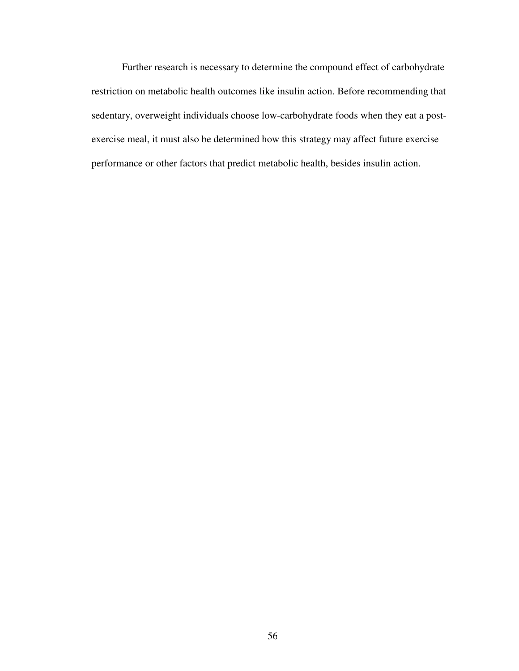Further research is necessary to determine the compound effect of carbohydrate restriction on metabolic health outcomes like insulin action. Before recommending that sedentary, overweight individuals choose low-carbohydrate foods when they eat a postexercise meal, it must also be determined how this strategy may affect future exercise performance or other factors that predict metabolic health, besides insulin action.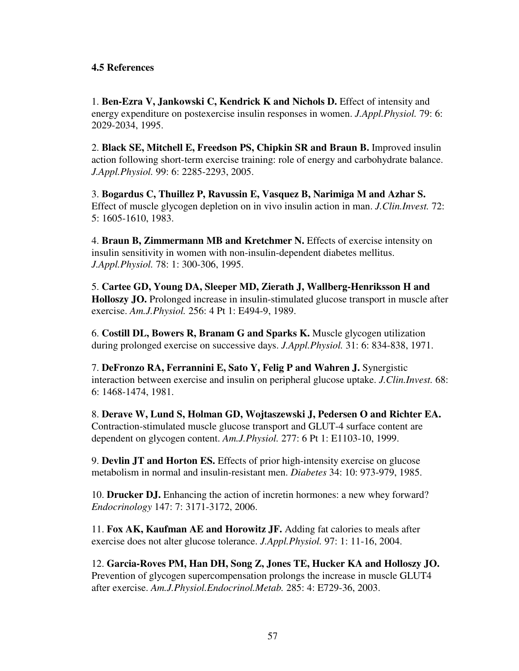# **4.5 References**

1. **Ben-Ezra V, Jankowski C, Kendrick K and Nichols D.** Effect of intensity and energy expenditure on postexercise insulin responses in women. *J.Appl.Physiol.* 79: 6: 2029-2034, 1995.

2. **Black SE, Mitchell E, Freedson PS, Chipkin SR and Braun B.** Improved insulin action following short-term exercise training: role of energy and carbohydrate balance. *J.Appl.Physiol.* 99: 6: 2285-2293, 2005.

3. **Bogardus C, Thuillez P, Ravussin E, Vasquez B, Narimiga M and Azhar S.**  Effect of muscle glycogen depletion on in vivo insulin action in man. *J.Clin.Invest.* 72: 5: 1605-1610, 1983.

4. **Braun B, Zimmermann MB and Kretchmer N.** Effects of exercise intensity on insulin sensitivity in women with non-insulin-dependent diabetes mellitus. *J.Appl.Physiol.* 78: 1: 300-306, 1995.

5. **Cartee GD, Young DA, Sleeper MD, Zierath J, Wallberg-Henriksson H and Holloszy JO.** Prolonged increase in insulin-stimulated glucose transport in muscle after exercise. *Am.J.Physiol.* 256: 4 Pt 1: E494-9, 1989.

6. **Costill DL, Bowers R, Branam G and Sparks K.** Muscle glycogen utilization during prolonged exercise on successive days. *J.Appl.Physiol.* 31: 6: 834-838, 1971.

7. **DeFronzo RA, Ferrannini E, Sato Y, Felig P and Wahren J.** Synergistic interaction between exercise and insulin on peripheral glucose uptake. *J.Clin.Invest.* 68: 6: 1468-1474, 1981.

8. **Derave W, Lund S, Holman GD, Wojtaszewski J, Pedersen O and Richter EA.**  Contraction-stimulated muscle glucose transport and GLUT-4 surface content are dependent on glycogen content. *Am.J.Physiol.* 277: 6 Pt 1: E1103-10, 1999.

9. **Devlin JT and Horton ES.** Effects of prior high-intensity exercise on glucose metabolism in normal and insulin-resistant men. *Diabetes* 34: 10: 973-979, 1985.

10. **Drucker DJ.** Enhancing the action of incretin hormones: a new whey forward? *Endocrinology* 147: 7: 3171-3172, 2006.

11. **Fox AK, Kaufman AE and Horowitz JF.** Adding fat calories to meals after exercise does not alter glucose tolerance. *J.Appl.Physiol.* 97: 1: 11-16, 2004.

12. **Garcia-Roves PM, Han DH, Song Z, Jones TE, Hucker KA and Holloszy JO.**  Prevention of glycogen supercompensation prolongs the increase in muscle GLUT4 after exercise. *Am.J.Physiol.Endocrinol.Metab.* 285: 4: E729-36, 2003.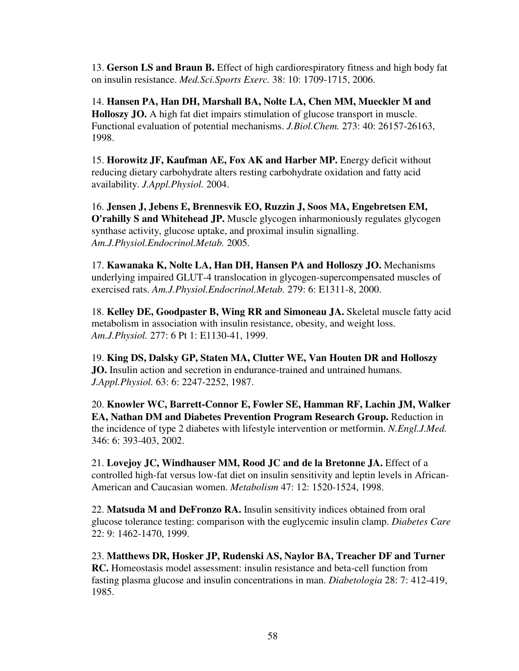13. **Gerson LS and Braun B.** Effect of high cardiorespiratory fitness and high body fat on insulin resistance. *Med.Sci.Sports Exerc.* 38: 10: 1709-1715, 2006.

14. **Hansen PA, Han DH, Marshall BA, Nolte LA, Chen MM, Mueckler M and Holloszy JO.** A high fat diet impairs stimulation of glucose transport in muscle. Functional evaluation of potential mechanisms. *J.Biol.Chem.* 273: 40: 26157-26163, 1998.

15. Horowitz JF, Kaufman AE, Fox AK and Harber MP. Energy deficit without reducing dietary carbohydrate alters resting carbohydrate oxidation and fatty acid availability. *J.Appl.Physiol.* 2004.

16. **Jensen J, Jebens E, Brennesvik EO, Ruzzin J, Soos MA, Engebretsen EM, O'rahilly S and Whitehead JP.** Muscle glycogen inharmoniously regulates glycogen synthase activity, glucose uptake, and proximal insulin signalling. *Am.J.Physiol.Endocrinol.Metab.* 2005.

17. **Kawanaka K, Nolte LA, Han DH, Hansen PA and Holloszy JO.** Mechanisms underlying impaired GLUT-4 translocation in glycogen-supercompensated muscles of exercised rats. *Am.J.Physiol.Endocrinol.Metab.* 279: 6: E1311-8, 2000.

18. **Kelley DE, Goodpaster B, Wing RR and Simoneau JA.** Skeletal muscle fatty acid metabolism in association with insulin resistance, obesity, and weight loss. *Am.J.Physiol.* 277: 6 Pt 1: E1130-41, 1999.

19. **King DS, Dalsky GP, Staten MA, Clutter WE, Van Houten DR and Holloszy JO.** Insulin action and secretion in endurance-trained and untrained humans. *J.Appl.Physiol.* 63: 6: 2247-2252, 1987.

20. **Knowler WC, Barrett-Connor E, Fowler SE, Hamman RF, Lachin JM, Walker EA, Nathan DM and Diabetes Prevention Program Research Group.** Reduction in the incidence of type 2 diabetes with lifestyle intervention or metformin. *N.Engl.J.Med.*  346: 6: 393-403, 2002.

21. **Lovejoy JC, Windhauser MM, Rood JC and de la Bretonne JA.** Effect of a controlled high-fat versus low-fat diet on insulin sensitivity and leptin levels in African-American and Caucasian women. *Metabolism* 47: 12: 1520-1524, 1998.

22. **Matsuda M and DeFronzo RA.** Insulin sensitivity indices obtained from oral glucose tolerance testing: comparison with the euglycemic insulin clamp. *Diabetes Care*  22: 9: 1462-1470, 1999.

23. **Matthews DR, Hosker JP, Rudenski AS, Naylor BA, Treacher DF and Turner RC.** Homeostasis model assessment: insulin resistance and beta-cell function from fasting plasma glucose and insulin concentrations in man. *Diabetologia* 28: 7: 412-419, 1985.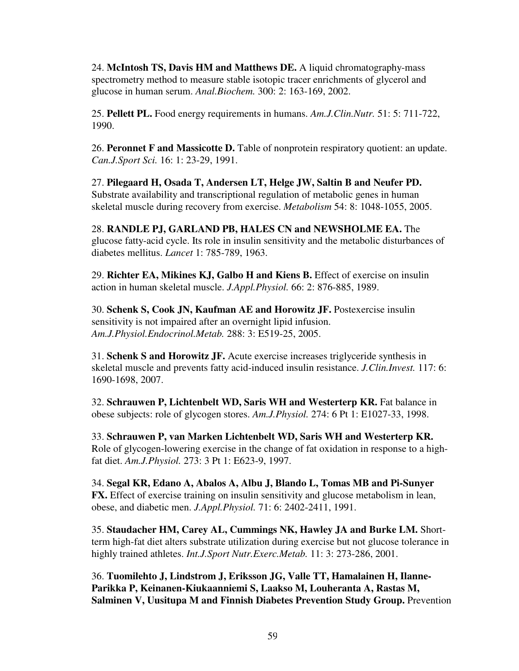24. **McIntosh TS, Davis HM and Matthews DE.** A liquid chromatography-mass spectrometry method to measure stable isotopic tracer enrichments of glycerol and glucose in human serum. *Anal.Biochem.* 300: 2: 163-169, 2002.

25. **Pellett PL.** Food energy requirements in humans. *Am.J.Clin.Nutr.* 51: 5: 711-722, 1990.

26. **Peronnet F and Massicotte D.** Table of nonprotein respiratory quotient: an update. *Can.J.Sport Sci.* 16: 1: 23-29, 1991.

27. **Pilegaard H, Osada T, Andersen LT, Helge JW, Saltin B and Neufer PD.**  Substrate availability and transcriptional regulation of metabolic genes in human skeletal muscle during recovery from exercise. *Metabolism* 54: 8: 1048-1055, 2005.

28. **RANDLE PJ, GARLAND PB, HALES CN and NEWSHOLME EA.** The glucose fatty-acid cycle. Its role in insulin sensitivity and the metabolic disturbances of diabetes mellitus. *Lancet* 1: 785-789, 1963.

29. **Richter EA, Mikines KJ, Galbo H and Kiens B.** Effect of exercise on insulin action in human skeletal muscle. *J.Appl.Physiol.* 66: 2: 876-885, 1989.

30. **Schenk S, Cook JN, Kaufman AE and Horowitz JF.** Postexercise insulin sensitivity is not impaired after an overnight lipid infusion. *Am.J.Physiol.Endocrinol.Metab.* 288: 3: E519-25, 2005.

31. **Schenk S and Horowitz JF.** Acute exercise increases triglyceride synthesis in skeletal muscle and prevents fatty acid-induced insulin resistance. *J.Clin.Invest.* 117: 6: 1690-1698, 2007.

32. **Schrauwen P, Lichtenbelt WD, Saris WH and Westerterp KR.** Fat balance in obese subjects: role of glycogen stores. *Am.J.Physiol.* 274: 6 Pt 1: E1027-33, 1998.

33. **Schrauwen P, van Marken Lichtenbelt WD, Saris WH and Westerterp KR.**  Role of glycogen-lowering exercise in the change of fat oxidation in response to a highfat diet. *Am.J.Physiol.* 273: 3 Pt 1: E623-9, 1997.

34. **Segal KR, Edano A, Abalos A, Albu J, Blando L, Tomas MB and Pi-Sunyer FX.** Effect of exercise training on insulin sensitivity and glucose metabolism in lean, obese, and diabetic men. *J.Appl.Physiol.* 71: 6: 2402-2411, 1991.

35. **Staudacher HM, Carey AL, Cummings NK, Hawley JA and Burke LM.** Shortterm high-fat diet alters substrate utilization during exercise but not glucose tolerance in highly trained athletes. *Int.J.Sport Nutr.Exerc.Metab.* 11: 3: 273-286, 2001.

36. **Tuomilehto J, Lindstrom J, Eriksson JG, Valle TT, Hamalainen H, Ilanne-Parikka P, Keinanen-Kiukaanniemi S, Laakso M, Louheranta A, Rastas M, Salminen V, Uusitupa M and Finnish Diabetes Prevention Study Group.** Prevention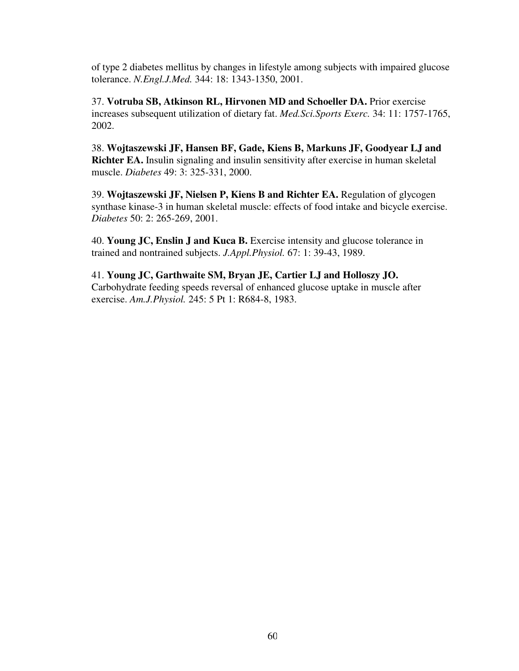of type 2 diabetes mellitus by changes in lifestyle among subjects with impaired glucose tolerance. *N.Engl.J.Med.* 344: 18: 1343-1350, 2001.

37. **Votruba SB, Atkinson RL, Hirvonen MD and Schoeller DA.** Prior exercise increases subsequent utilization of dietary fat. *Med.Sci.Sports Exerc.* 34: 11: 1757-1765, 2002.

38. **Wojtaszewski JF, Hansen BF, Gade, Kiens B, Markuns JF, Goodyear LJ and Richter EA.** Insulin signaling and insulin sensitivity after exercise in human skeletal muscle. *Diabetes* 49: 3: 325-331, 2000.

39. **Wojtaszewski JF, Nielsen P, Kiens B and Richter EA.** Regulation of glycogen synthase kinase-3 in human skeletal muscle: effects of food intake and bicycle exercise. *Diabetes* 50: 2: 265-269, 2001.

40. **Young JC, Enslin J and Kuca B.** Exercise intensity and glucose tolerance in trained and nontrained subjects. *J.Appl.Physiol.* 67: 1: 39-43, 1989.

41. **Young JC, Garthwaite SM, Bryan JE, Cartier LJ and Holloszy JO.**  Carbohydrate feeding speeds reversal of enhanced glucose uptake in muscle after exercise. *Am.J.Physiol.* 245: 5 Pt 1: R684-8, 1983.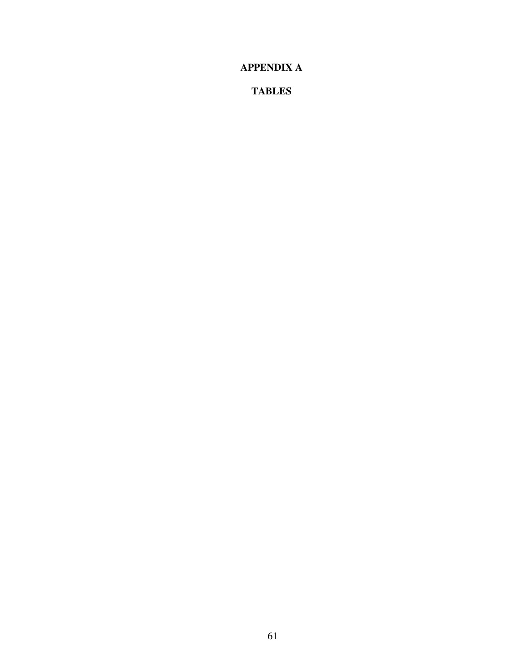**APPENDIX A** 

**TABLES**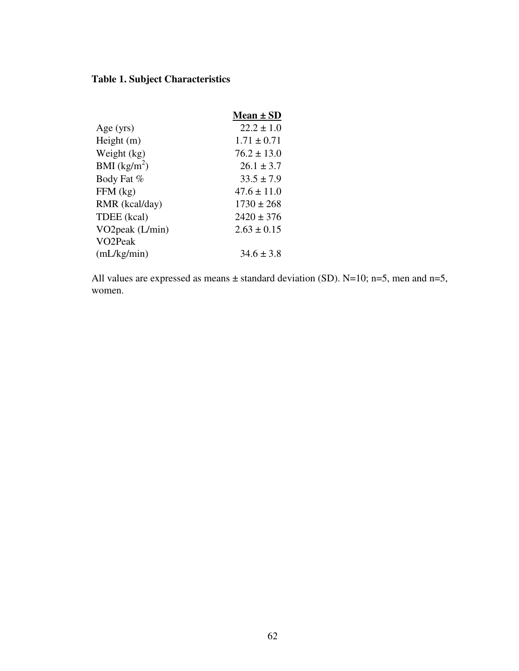# **Table 1. Subject Characteristics**

|                      | Mean $\pm$ SD   |
|----------------------|-----------------|
| Age $(yrs)$          | $22.2 \pm 1.0$  |
| Height $(m)$         | $1.71 \pm 0.71$ |
| Weight (kg)          | $76.2 \pm 13.0$ |
| BMI $(kg/m^2)$       | $26.1 \pm 3.7$  |
| Body Fat %           | $33.5 \pm 7.9$  |
| $FFM$ (kg)           | $47.6 \pm 11.0$ |
| RMR (kcal/day)       | $1730 \pm 268$  |
| TDEE (kcal)          | $2420 \pm 376$  |
| VO2peak $(L/min)$    | $2.63 \pm 0.15$ |
| VO <sub>2</sub> Peak |                 |
| (mL/kg/min)          | $34.6 \pm 3.8$  |

All values are expressed as means  $\pm$  standard deviation (SD). N=10; n=5, men and n=5, women.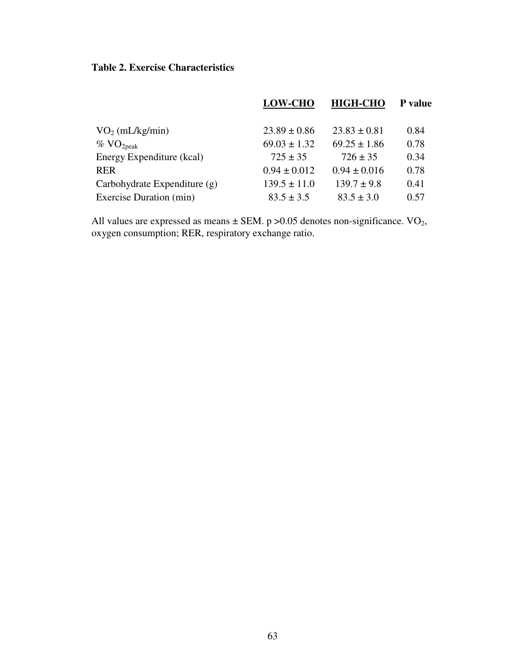### **Table 2. Exercise Characteristics**

|                              | <b>LOW-CHO</b>   | <b>HIGH-CHO</b>  | P value |
|------------------------------|------------------|------------------|---------|
| VO <sub>2</sub> (mL/kg/min)  | $23.89 \pm 0.86$ | $23.83 \pm 0.81$ | 0.84    |
| $\%$ VO <sub>2peak</sub>     | $69.03 \pm 1.32$ | $69.25 \pm 1.86$ | 0.78    |
| Energy Expenditure (kcal)    | $725 \pm 35$     | $726 \pm 35$     | 0.34    |
| <b>RER</b>                   | $0.94 \pm 0.012$ | $0.94 \pm 0.016$ | 0.78    |
| Carbohydrate Expenditure (g) | $139.5 \pm 11.0$ | $139.7 \pm 9.8$  | 0.41    |
| Exercise Duration (min)      | $83.5 \pm 3.5$   | $83.5 \pm 3.0$   | 0.57    |

All values are expressed as means  $\pm$  SEM. p >0.05 denotes non-significance. VO<sub>2</sub>, oxygen consumption; RER, respiratory exchange ratio.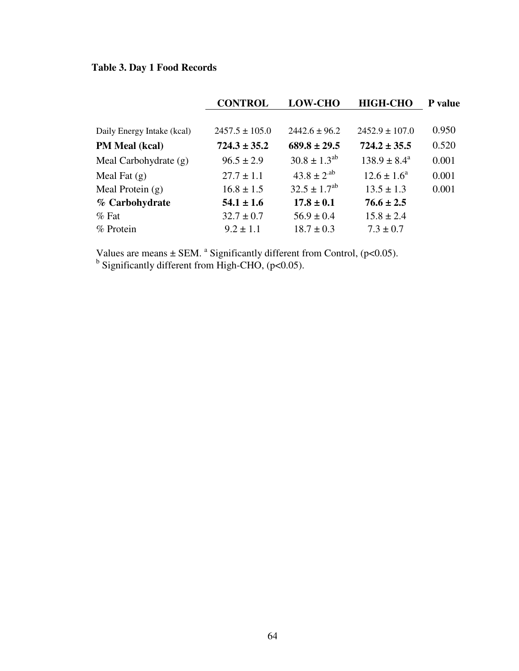# **Table 3. Day 1 Food Records**

|                            | <b>CONTROL</b>     | <b>LOW-CHO</b>      | <b>HIGH-CHO</b>         | <b>P</b> value |
|----------------------------|--------------------|---------------------|-------------------------|----------------|
|                            |                    |                     |                         |                |
| Daily Energy Intake (kcal) | $2457.5 \pm 105.0$ | $2442.6 \pm 96.2$   | $2452.9 \pm 107.0$      | 0.950          |
| <b>PM Meal (kcal)</b>      | $724.3 \pm 35.2$   | $689.8 \pm 29.5$    | $724.2 \pm 35.5$        | 0.520          |
| Meal Carbohydrate (g)      | $96.5 \pm 2.9$     | $30.8 \pm 1.3^{ab}$ | $138.9 \pm 8.4^{\circ}$ | 0.001          |
| Meal Fat $(g)$             | $27.7 \pm 1.1$     | $43.8 \pm 2^{ab}$   | $12.6 \pm 1.6^a$        | 0.001          |
| Meal Protein $(g)$         | $16.8 \pm 1.5$     | $32.5 \pm 1.7^{ab}$ | $13.5 \pm 1.3$          | 0.001          |
| % Carbohydrate             | $54.1 \pm 1.6$     | $17.8 \pm 0.1$      | $76.6 \pm 2.5$          |                |
| $%$ Fat                    | $32.7 \pm 0.7$     | $56.9 \pm 0.4$      | $15.8 \pm 2.4$          |                |
| % Protein                  | $9.2 \pm 1.1$      | $18.7 \pm 0.3$      | $7.3 \pm 0.7$           |                |

Values are means  $\pm$  SEM. <sup>a</sup> Significantly different from Control, (p<0.05).<br><sup>b</sup> Significantly different from High-CHO, (p<0.05).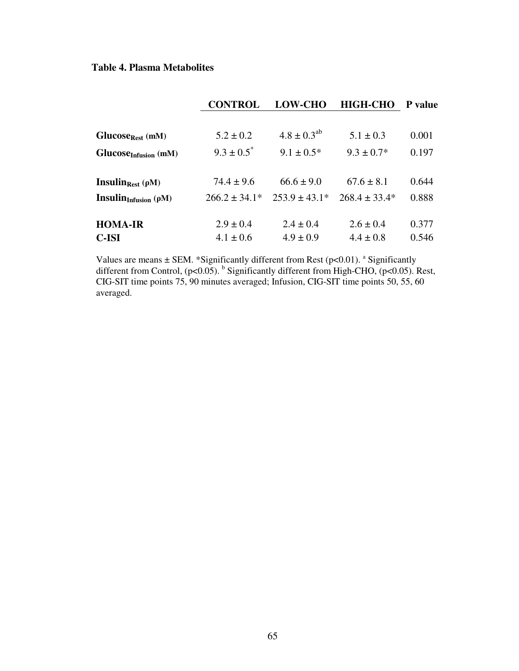### **Table 4. Plasma Metabolites**

|                                     | <b>CONTROL</b>    | <b>LOW-CHO</b>     | <b>HIGH-CHO</b>   | <b>P</b> value |
|-------------------------------------|-------------------|--------------------|-------------------|----------------|
|                                     |                   |                    |                   |                |
| Glucose <sub>Rest</sub> (mM)        | $5.2 \pm 0.2$     | $4.8 \pm 0.3^{ab}$ | $5.1 \pm 0.3$     | 0.001          |
| $GlucoseInfusion$ (mM)              | $9.3 \pm 0.5^*$   | $9.1 \pm 0.5^*$    | $9.3 \pm 0.7^*$   | 0.197          |
|                                     |                   |                    |                   |                |
| Insulin <sub>Rest</sub> $(\rho M)$  | $74.4 \pm 9.6$    | $66.6 \pm 9.0$     | $67.6 \pm 8.1$    | 0.644          |
| <b>Insulin</b> Infusion ( $\rho$ M) | $266.2 \pm 34.1*$ | $253.9 \pm 43.1*$  | $268.4 \pm 33.4*$ | 0.888          |
|                                     |                   |                    |                   |                |
| <b>HOMA-IR</b>                      | $2.9 \pm 0.4$     | $2.4 \pm 0.4$      | $2.6 \pm 0.4$     | 0.377          |
| <b>C-ISI</b>                        | $4.1 \pm 0.6$     | $4.9 \pm 0.9$      | $4.4 \pm 0.8$     | 0.546          |

Values are means  $\pm$  SEM. \*Significantly different from Rest (p<0.01). <sup>a</sup> Significantly different from Control,  $(p<0.05)$ . <sup>b</sup> Significantly different from High-CHO,  $(p<0.05)$ . Rest, CIG-SIT time points 75, 90 minutes averaged; Infusion, CIG-SIT time points 50, 55, 60 averaged.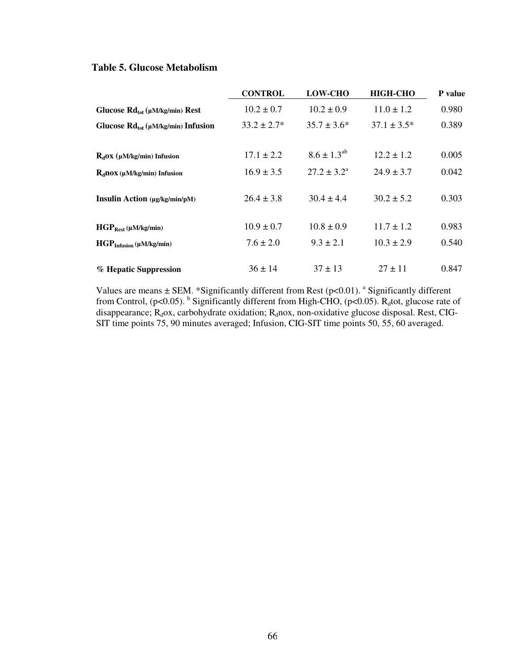### **Table 5. Glucose Metabolism**

|                                            | <b>CONTROL</b>   | <b>LOW-CHO</b>         | <b>HIGH-CHO</b>  | P value |
|--------------------------------------------|------------------|------------------------|------------------|---------|
| Glucose $Rd_{tot}(\mu M/kg/min)$ Rest      | $10.2 \pm 0.7$   | $10.2 \pm 0.9$         | $11.0 \pm 1.2$   | 0.980   |
| Glucose $Rd_{tot}(\mu M/kg/min)$ Infusion  | $33.2 \pm 2.7^*$ | $35.7 \pm 3.6^*$       | $37.1 \pm 3.5^*$ | 0.389   |
|                                            |                  |                        |                  |         |
| $R_d$ OX (µM/kg/min) Infusion              | $17.1 \pm 2.2$   | $8.6 \pm 1.3^{ab}$     | $12.2 \pm 1.2$   | 0.005   |
| $R_d$ nox (µM/kg/min) Infusion             | $16.9 \pm 3.5$   | $27.2 \pm 3.2^{\circ}$ | $24.9 \pm 3.7$   | 0.042   |
| <b>Insulin Action</b> (µg/kg/min/pM)       | $26.4 \pm 3.8$   | $30.4 \pm 4.4$         | $30.2 \pm 5.2$   | 0.303   |
| $\text{HGP}_{\text{Rest}}$ (µM/kg/min)     | $10.9 \pm 0.7$   | $10.8 \pm 0.9$         | $11.7 \pm 1.2$   | 0.983   |
| $\text{HGP}_{\text{Infusion}}$ (µM/kg/min) | $7.6 \pm 2.0$    | $9.3 \pm 2.1$          | $10.3 \pm 2.9$   | 0.540   |
| % Hepatic Suppression                      | $36 \pm 14$      | $37 \pm 13$            | $27 \pm 11$      | 0.847   |

Values are means  $\pm$  SEM. \*Significantly different from Rest (p<0.01). <sup>a</sup> Significantly different from Control, (p<0.05). <sup>b</sup> Significantly different from High-CHO, (p<0.05). R<sub>d</sub>tot, glucose rate of disappearance;  $R_d$ ox, carbohydrate oxidation;  $R_d$ nox, non-oxidative glucose disposal. Rest, CIG-SIT time points 75, 90 minutes averaged; Infusion, CIG-SIT time points 50, 55, 60 averaged.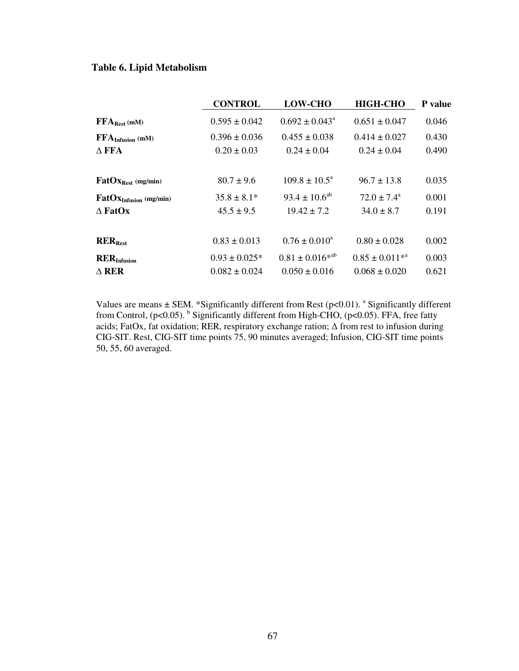### **Table 6. Lipid Metabolism**

|                                           | <b>CONTROL</b>     | <b>LOW-CHO</b>            | <b>HIGH-CHO</b>        | P value |
|-------------------------------------------|--------------------|---------------------------|------------------------|---------|
| $FFA_{\text{Rest}}$ (mM)                  | $0.595 \pm 0.042$  | $0.692 \pm 0.043^{\circ}$ | $0.651 \pm 0.047$      | 0.046   |
| $\mathbf{FFA}_{\text{Infusion}}$ (mM)     | $0.396 \pm 0.036$  | $0.455 \pm 0.038$         | $0.414 \pm 0.027$      | 0.430   |
| $\Delta$ FFA                              | $0.20 \pm 0.03$    | $0.24 \pm 0.04$           | $0.24 \pm 0.04$        | 0.490   |
|                                           |                    |                           |                        |         |
| $\text{FatOx}_{\text{Rest}}$ (mg/min)     | $80.7 \pm 9.6$     | $109.8 \pm 10.5^{\circ}$  | $96.7 \pm 13.8$        | 0.035   |
| $\text{FatOx}_{\text{Infusion}}$ (mg/min) | $35.8 \pm 8.1*$    | $93.4 \pm 10.6^{ab}$      | $72.0 \pm 7.4^{\circ}$ | 0.001   |
| $\triangle$ FatOx                         | $45.5 \pm 9.5$     | $19.42 \pm 7.2$           | $34.0 \pm 8.7$         | 0.191   |
|                                           |                    |                           |                        |         |
| $RER_{Rest}$                              | $0.83 \pm 0.013$   | $0.76 \pm 0.010^4$        | $0.80 \pm 0.028$       | 0.002   |
| $\text{RER}_{\text{Infusion}}$            | $0.93 \pm 0.025$ * | $0.81 \pm 0.016^{*ab}$    | $0.85 \pm 0.011^{*a}$  | 0.003   |
| $\triangle$ RER                           | $0.082 \pm 0.024$  | $0.050 \pm 0.016$         | $0.068 \pm 0.020$      | 0.621   |

Values are means  $\pm$  SEM. \*Significantly different from Rest (p<0.01). <sup>a</sup> Significantly different from Control,  $(p<0.05)$ . <sup>b</sup> Significantly different from High-CHO,  $(p<0.05)$ . FFA, free fatty acids; FatOx, fat oxidation; RER, respiratory exchange ration; ∆ from rest to infusion during CIG-SIT. Rest, CIG-SIT time points 75, 90 minutes averaged; Infusion, CIG-SIT time points 50, 55, 60 averaged.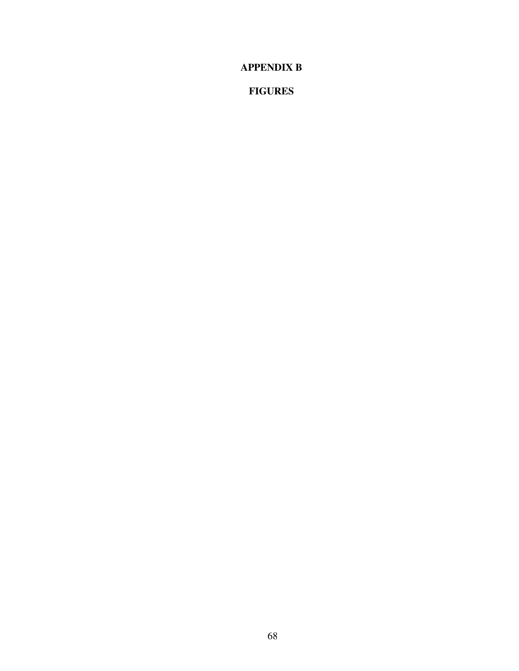**APPENDIX B** 

**FIGURES**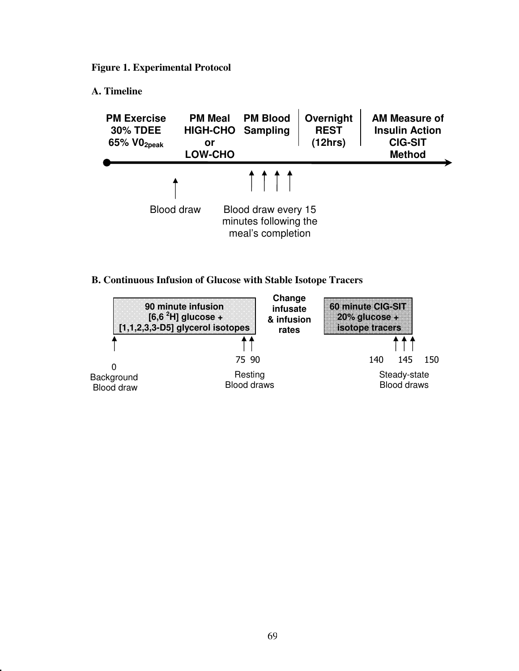**Figure 1. Experimental Protocol** 

### **A. Timeline**



### **B. Continuous Infusion of Glucose with Stable Isotope Tracers**

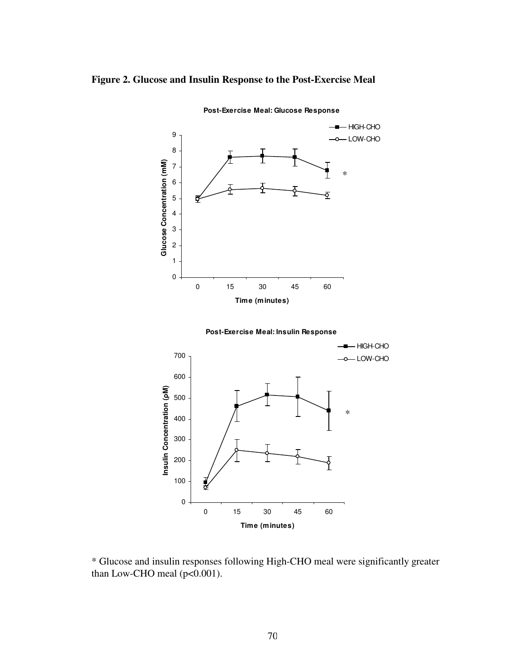### **Figure 2. Glucose and Insulin Response to the Post-Exercise Meal**



**Post-Exercise Meal: Glucose Response**





\* Glucose and insulin responses following High-CHO meal were significantly greater than Low-CHO meal ( $p<0.001$ ).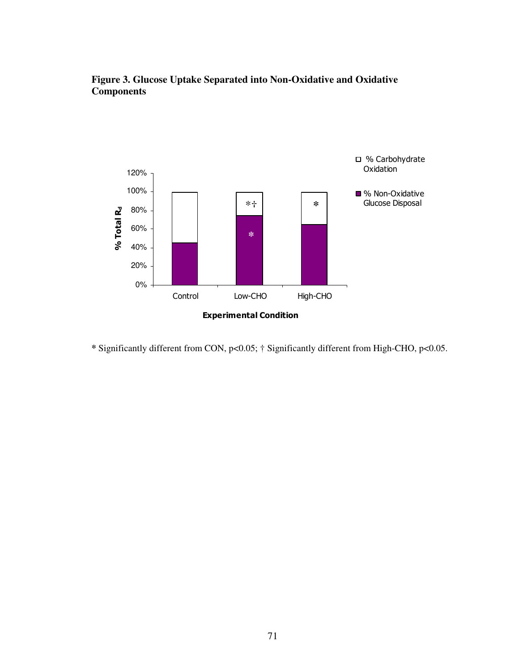### **Figure 3. Glucose Uptake Separated into Non-Oxidative and Oxidative Components**



**\*** Significantly different from CON, p<0.05; † Significantly different from High-CHO, p<0.05.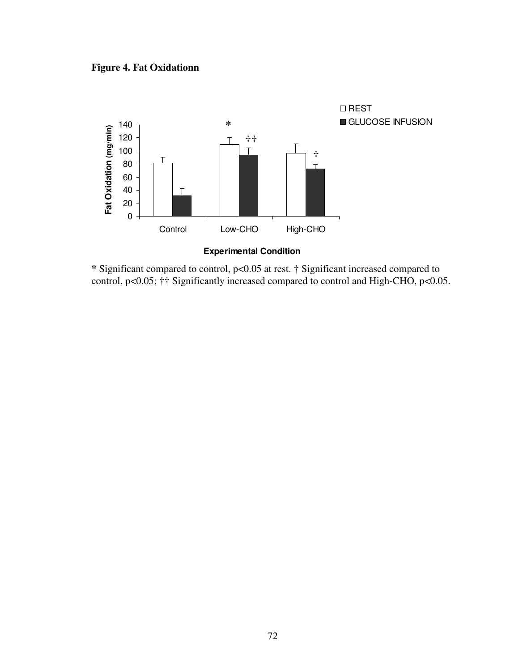### **Figure 4. Fat Oxidationn**



**\*** Significant compared to control, p<0.05 at rest. † Significant increased compared to control, p<0.05; †† Significantly increased compared to control and High-CHO, p<0.05.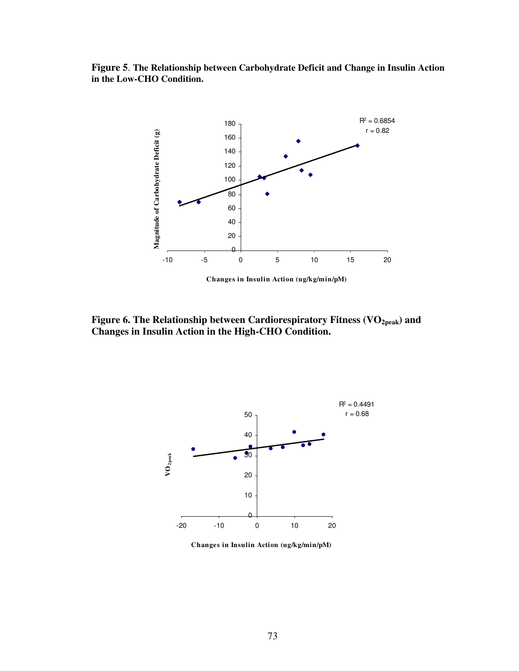**Figure 5**. **The Relationship between Carbohydrate Deficit and Change in Insulin Action in the Low-CHO Condition.**



**Figure 6. The Relationship between Cardiorespiratory Fitness (VO2peak) and Changes in Insulin Action in the High-CHO Condition.** 



**Changes in Insulin Action (ug/kg/min/pM)**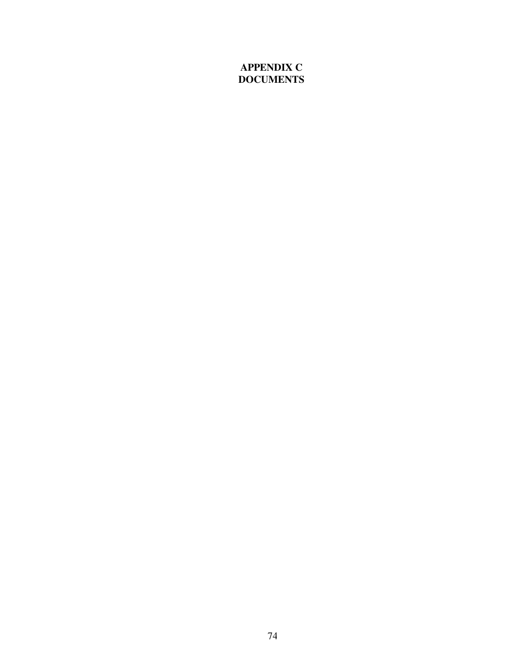### **APPENDIX C DOCUMENTS**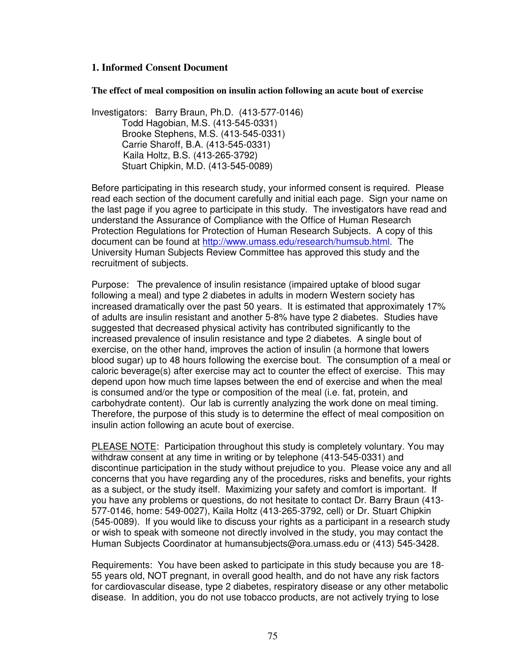#### **1. Informed Consent Document**

**The effect of meal composition on insulin action following an acute bout of exercise** 

Investigators: Barry Braun, Ph.D. (413-577-0146) Todd Hagobian, M.S. (413-545-0331) Brooke Stephens, M.S. (413-545-0331) Carrie Sharoff, B.A. (413-545-0331) Kaila Holtz, B.S. (413-265-3792) Stuart Chipkin, M.D. (413-545-0089)

Before participating in this research study, your informed consent is required. Please read each section of the document carefully and initial each page. Sign your name on the last page if you agree to participate in this study. The investigators have read and understand the Assurance of Compliance with the Office of Human Research Protection Regulations for Protection of Human Research Subjects. A copy of this document can be found at http://www.umass.edu/research/humsub.html. The University Human Subjects Review Committee has approved this study and the recruitment of subjects.

Purpose: The prevalence of insulin resistance (impaired uptake of blood sugar following a meal) and type 2 diabetes in adults in modern Western society has increased dramatically over the past 50 years. It is estimated that approximately 17% of adults are insulin resistant and another 5-8% have type 2 diabetes. Studies have suggested that decreased physical activity has contributed significantly to the increased prevalence of insulin resistance and type 2 diabetes. A single bout of exercise, on the other hand, improves the action of insulin (a hormone that lowers blood sugar) up to 48 hours following the exercise bout. The consumption of a meal or caloric beverage(s) after exercise may act to counter the effect of exercise. This may depend upon how much time lapses between the end of exercise and when the meal is consumed and/or the type or composition of the meal (i.e. fat, protein, and carbohydrate content). Our lab is currently analyzing the work done on meal timing. Therefore, the purpose of this study is to determine the effect of meal composition on insulin action following an acute bout of exercise.

PLEASE NOTE: Participation throughout this study is completely voluntary. You may withdraw consent at any time in writing or by telephone (413-545-0331) and discontinue participation in the study without prejudice to you. Please voice any and all concerns that you have regarding any of the procedures, risks and benefits, your rights as a subject, or the study itself. Maximizing your safety and comfort is important. If you have any problems or questions, do not hesitate to contact Dr. Barry Braun (413- 577-0146, home: 549-0027), Kaila Holtz (413-265-3792, cell) or Dr. Stuart Chipkin (545-0089). If you would like to discuss your rights as a participant in a research study or wish to speak with someone not directly involved in the study, you may contact the Human Subjects Coordinator at humansubjects@ora.umass.edu or (413) 545-3428.

Requirements: You have been asked to participate in this study because you are 18- 55 years old, NOT pregnant, in overall good health, and do not have any risk factors for cardiovascular disease, type 2 diabetes, respiratory disease or any other metabolic disease. In addition, you do not use tobacco products, are not actively trying to lose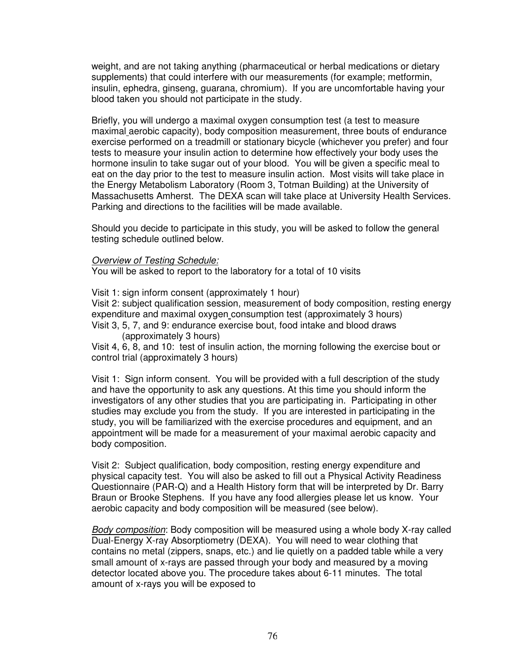weight, and are not taking anything (pharmaceutical or herbal medications or dietary supplements) that could interfere with our measurements (for example; metformin, insulin, ephedra, ginseng, guarana, chromium). If you are uncomfortable having your blood taken you should not participate in the study.

Briefly, you will undergo a maximal oxygen consumption test (a test to measure maximal aerobic capacity), body composition measurement, three bouts of endurance exercise performed on a treadmill or stationary bicycle (whichever you prefer) and four tests to measure your insulin action to determine how effectively your body uses the hormone insulin to take sugar out of your blood. You will be given a specific meal to eat on the day prior to the test to measure insulin action. Most visits will take place in the Energy Metabolism Laboratory (Room 3, Totman Building) at the University of Massachusetts Amherst. The DEXA scan will take place at University Health Services. Parking and directions to the facilities will be made available.

Should you decide to participate in this study, you will be asked to follow the general testing schedule outlined below.

#### **Overview of Testing Schedule:**

You will be asked to report to the laboratory for a total of 10 visits

Visit 1: sign inform consent (approximately 1 hour)

Visit 2: subject qualification session, measurement of body composition, resting energy expenditure and maximal oxygen consumption test (approximately 3 hours) Visit 3, 5, 7, and 9: endurance exercise bout, food intake and blood draws

(approximately 3 hours)

Visit 4, 6, 8, and 10: test of insulin action, the morning following the exercise bout or control trial (approximately 3 hours)

Visit 1: Sign inform consent. You will be provided with a full description of the study and have the opportunity to ask any questions. At this time you should inform the investigators of any other studies that you are participating in. Participating in other studies may exclude you from the study. If you are interested in participating in the study, you will be familiarized with the exercise procedures and equipment, and an appointment will be made for a measurement of your maximal aerobic capacity and body composition.

Visit 2: Subject qualification, body composition, resting energy expenditure and physical capacity test. You will also be asked to fill out a Physical Activity Readiness Questionnaire (PAR-Q) and a Health History form that will be interpreted by Dr. Barry Braun or Brooke Stephens. If you have any food allergies please let us know. Your aerobic capacity and body composition will be measured (see below).

Body composition: Body composition will be measured using a whole body X-ray called Dual-Energy X-ray Absorptiometry (DEXA). You will need to wear clothing that contains no metal (zippers, snaps, etc.) and lie quietly on a padded table while a very small amount of x-rays are passed through your body and measured by a moving detector located above you. The procedure takes about 6-11 minutes. The total amount of x-rays you will be exposed to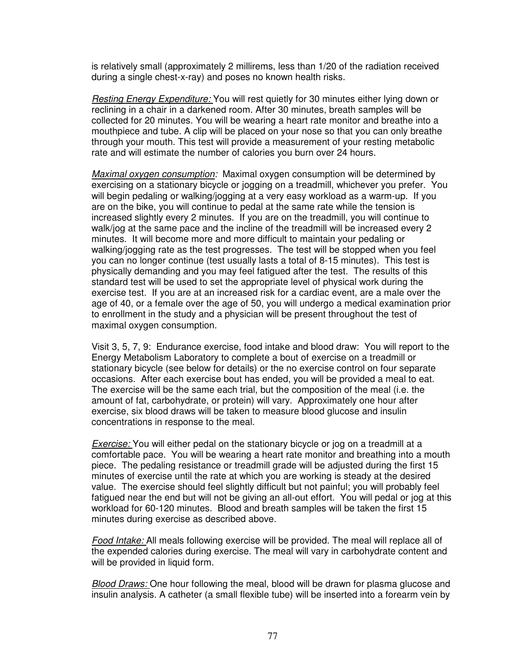is relatively small (approximately 2 millirems, less than 1/20 of the radiation received during a single chest-x-ray) and poses no known health risks.

Resting Energy Expenditure: You will rest quietly for 30 minutes either lying down or reclining in a chair in a darkened room. After 30 minutes, breath samples will be collected for 20 minutes. You will be wearing a heart rate monitor and breathe into a mouthpiece and tube. A clip will be placed on your nose so that you can only breathe through your mouth. This test will provide a measurement of your resting metabolic rate and will estimate the number of calories you burn over 24 hours.

Maximal oxygen consumption: Maximal oxygen consumption will be determined by exercising on a stationary bicycle or jogging on a treadmill, whichever you prefer. You will begin pedaling or walking/jogging at a very easy workload as a warm-up. If you are on the bike, you will continue to pedal at the same rate while the tension is increased slightly every 2 minutes. If you are on the treadmill, you will continue to walk/jog at the same pace and the incline of the treadmill will be increased every 2 minutes. It will become more and more difficult to maintain your pedaling or walking/jogging rate as the test progresses. The test will be stopped when you feel you can no longer continue (test usually lasts a total of 8-15 minutes). This test is physically demanding and you may feel fatigued after the test. The results of this standard test will be used to set the appropriate level of physical work during the exercise test. If you are at an increased risk for a cardiac event, are a male over the age of 40, or a female over the age of 50, you will undergo a medical examination prior to enrollment in the study and a physician will be present throughout the test of maximal oxygen consumption.

Visit 3, 5, 7, 9: Endurance exercise, food intake and blood draw: You will report to the Energy Metabolism Laboratory to complete a bout of exercise on a treadmill or stationary bicycle (see below for details) or the no exercise control on four separate occasions. After each exercise bout has ended, you will be provided a meal to eat. The exercise will be the same each trial, but the composition of the meal (i.e. the amount of fat, carbohydrate, or protein) will vary. Approximately one hour after exercise, six blood draws will be taken to measure blood glucose and insulin concentrations in response to the meal.

Exercise: You will either pedal on the stationary bicycle or jog on a treadmill at a comfortable pace. You will be wearing a heart rate monitor and breathing into a mouth piece. The pedaling resistance or treadmill grade will be adjusted during the first 15 minutes of exercise until the rate at which you are working is steady at the desired value. The exercise should feel slightly difficult but not painful; you will probably feel fatigued near the end but will not be giving an all-out effort. You will pedal or jog at this workload for 60-120 minutes. Blood and breath samples will be taken the first 15 minutes during exercise as described above.

Food Intake: All meals following exercise will be provided. The meal will replace all of the expended calories during exercise. The meal will vary in carbohydrate content and will be provided in liquid form.

Blood Draws: One hour following the meal, blood will be drawn for plasma glucose and insulin analysis. A catheter (a small flexible tube) will be inserted into a forearm vein by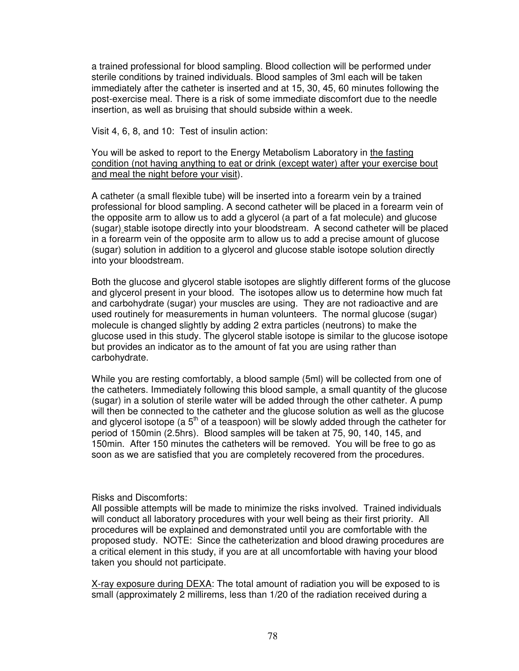a trained professional for blood sampling. Blood collection will be performed under sterile conditions by trained individuals. Blood samples of 3ml each will be taken immediately after the catheter is inserted and at 15, 30, 45, 60 minutes following the post-exercise meal. There is a risk of some immediate discomfort due to the needle insertion, as well as bruising that should subside within a week.

Visit 4, 6, 8, and 10: Test of insulin action:

You will be asked to report to the Energy Metabolism Laboratory in the fasting condition (not having anything to eat or drink (except water) after your exercise bout and meal the night before your visit).

A catheter (a small flexible tube) will be inserted into a forearm vein by a trained professional for blood sampling. A second catheter will be placed in a forearm vein of the opposite arm to allow us to add a glycerol (a part of a fat molecule) and glucose (sugar) stable isotope directly into your bloodstream. A second catheter will be placed in a forearm vein of the opposite arm to allow us to add a precise amount of glucose (sugar) solution in addition to a glycerol and glucose stable isotope solution directly into your bloodstream.

Both the glucose and glycerol stable isotopes are slightly different forms of the glucose and glycerol present in your blood. The isotopes allow us to determine how much fat and carbohydrate (sugar) your muscles are using. They are not radioactive and are used routinely for measurements in human volunteers. The normal glucose (sugar) molecule is changed slightly by adding 2 extra particles (neutrons) to make the glucose used in this study. The glycerol stable isotope is similar to the glucose isotope but provides an indicator as to the amount of fat you are using rather than carbohydrate.

While you are resting comfortably, a blood sample (5ml) will be collected from one of the catheters. Immediately following this blood sample, a small quantity of the glucose (sugar) in a solution of sterile water will be added through the other catheter. A pump will then be connected to the catheter and the glucose solution as well as the glucose and glycerol isotope (a  $5<sup>th</sup>$  of a teaspoon) will be slowly added through the catheter for period of 150min (2.5hrs). Blood samples will be taken at 75, 90, 140, 145, and 150min. After 150 minutes the catheters will be removed. You will be free to go as soon as we are satisfied that you are completely recovered from the procedures.

#### Risks and Discomforts:

All possible attempts will be made to minimize the risks involved. Trained individuals will conduct all laboratory procedures with your well being as their first priority. All procedures will be explained and demonstrated until you are comfortable with the proposed study. NOTE: Since the catheterization and blood drawing procedures are a critical element in this study, if you are at all uncomfortable with having your blood taken you should not participate.

X-ray exposure during DEXA: The total amount of radiation you will be exposed to is small (approximately 2 millirems, less than 1/20 of the radiation received during a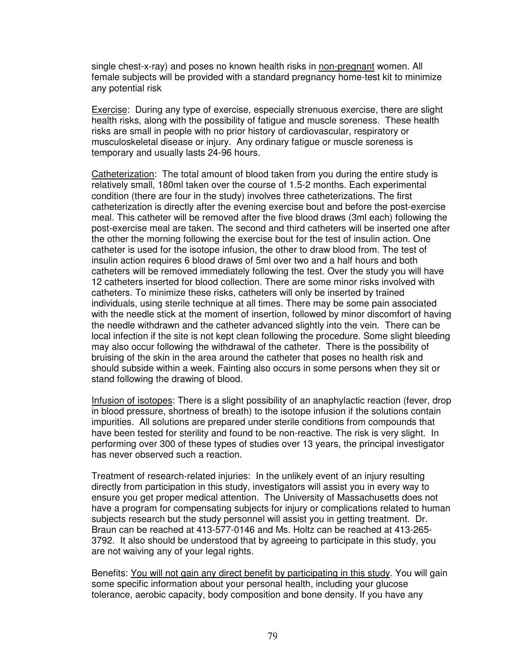single chest-x-ray) and poses no known health risks in non-pregnant women. All female subjects will be provided with a standard pregnancy home-test kit to minimize any potential risk

Exercise: During any type of exercise, especially strenuous exercise, there are slight health risks, along with the possibility of fatigue and muscle soreness. These health risks are small in people with no prior history of cardiovascular, respiratory or musculoskeletal disease or injury. Any ordinary fatigue or muscle soreness is temporary and usually lasts 24-96 hours.

Catheterization: The total amount of blood taken from you during the entire study is relatively small, 180ml taken over the course of 1.5-2 months. Each experimental condition (there are four in the study) involves three catheterizations. The first catheterization is directly after the evening exercise bout and before the post-exercise meal. This catheter will be removed after the five blood draws (3ml each) following the post-exercise meal are taken. The second and third catheters will be inserted one after the other the morning following the exercise bout for the test of insulin action. One catheter is used for the isotope infusion, the other to draw blood from. The test of insulin action requires 6 blood draws of 5ml over two and a half hours and both catheters will be removed immediately following the test. Over the study you will have 12 catheters inserted for blood collection. There are some minor risks involved with catheters. To minimize these risks, catheters will only be inserted by trained individuals, using sterile technique at all times. There may be some pain associated with the needle stick at the moment of insertion, followed by minor discomfort of having the needle withdrawn and the catheter advanced slightly into the vein. There can be local infection if the site is not kept clean following the procedure. Some slight bleeding may also occur following the withdrawal of the catheter. There is the possibility of bruising of the skin in the area around the catheter that poses no health risk and should subside within a week. Fainting also occurs in some persons when they sit or stand following the drawing of blood.

Infusion of isotopes: There is a slight possibility of an anaphylactic reaction (fever, drop in blood pressure, shortness of breath) to the isotope infusion if the solutions contain impurities. All solutions are prepared under sterile conditions from compounds that have been tested for sterility and found to be non-reactive. The risk is very slight. In performing over 300 of these types of studies over 13 years, the principal investigator has never observed such a reaction.

Treatment of research-related injuries: In the unlikely event of an injury resulting directly from participation in this study, investigators will assist you in every way to ensure you get proper medical attention. The University of Massachusetts does not have a program for compensating subjects for injury or complications related to human subjects research but the study personnel will assist you in getting treatment. Dr. Braun can be reached at 413-577-0146 and Ms. Holtz can be reached at 413-265- 3792. It also should be understood that by agreeing to participate in this study, you are not waiving any of your legal rights.

Benefits: You will not gain any direct benefit by participating in this study. You will gain some specific information about your personal health, including your glucose tolerance, aerobic capacity, body composition and bone density. If you have any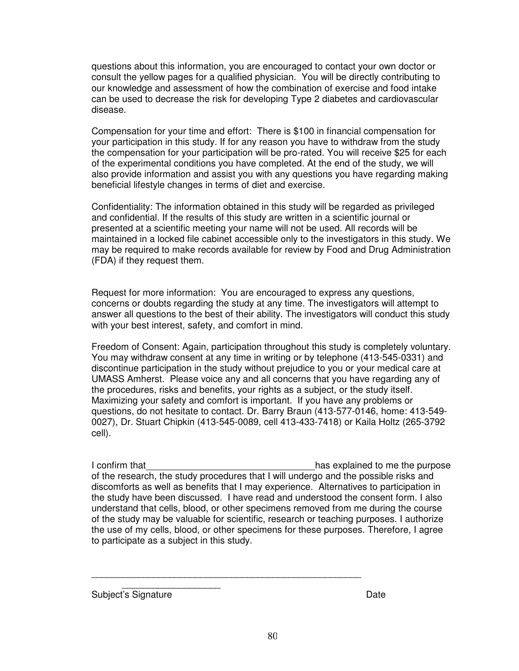questions about this information, you are encouraged to contact your own doctor or consult the yellow pages for a qualified physician. You will be directly contributing to our knowledge and assessment of how the combination of exercise and food intake can be used to decrease the risk for developing Type 2 diabetes and cardiovascular disease.

Compensation for your time and effort: There is \$100 in financial compensation for your participation in this study. If for any reason you have to withdraw from the study the compensation for your participation will be pro-rated. You will receive \$25 for each of the experimental conditions you have completed. At the end of the study, we will also provide information and assist you with any questions you have regarding making beneficial lifestyle changes in terms of diet and exercise.

Confidentiality: The information obtained in this study will be regarded as privileged and confidential. If the results of this study are written in a scientific journal or presented at a scientific meeting your name will not be used. All records will be maintained in a locked file cabinet accessible only to the investigators in this study. We may be required to make records available for review by Food and Drug Administration (FDA) if they request them.

Request for more information: You are encouraged to express any questions, concerns or doubts regarding the study at any time. The investigators will attempt to answer all questions to the best of their ability. The investigators will conduct this study with your best interest, safety, and comfort in mind.

Freedom of Consent: Again, participation throughout this study is completely voluntary. You may withdraw consent at any time in writing or by telephone (413-545-0331) and discontinue participation in the study without prejudice to you or your medical care at UMASS Amherst. Please voice any and all concerns that you have regarding any of the procedures, risks and benefits, your rights as a subject, or the study itself. Maximizing your safety and comfort is important. If you have any problems or questions, do not hesitate to contact. Dr. Barry Braun (413-577-0146, home: 413-549- 0027), Dr. Stuart Chipkin (413-545-0089, cell 413-433-7418) or Kaila Holtz (265-3792 cell).

I confirm that **has explained to me the purpose** of the research, the study procedures that I will undergo and the possible risks and discomforts as well as benefits that I may experience. Alternatives to participation in the study have been discussed. I have read and understood the consent form. I also understand that cells, blood, or other specimens removed from me during the course of the study may be valuable for scientific, research or teaching purposes. I authorize the use of my cells, blood, or other specimens for these purposes. Therefore, I agree to participate as a subject in this study.

 $\frac{1}{2}$ Subject's Signature **Date** Date **Date** 

\_\_\_\_\_\_\_\_\_\_\_\_\_\_\_\_\_\_\_\_\_\_\_\_\_\_\_\_\_\_\_\_\_\_\_\_\_\_\_\_\_\_\_\_\_\_\_\_\_\_\_\_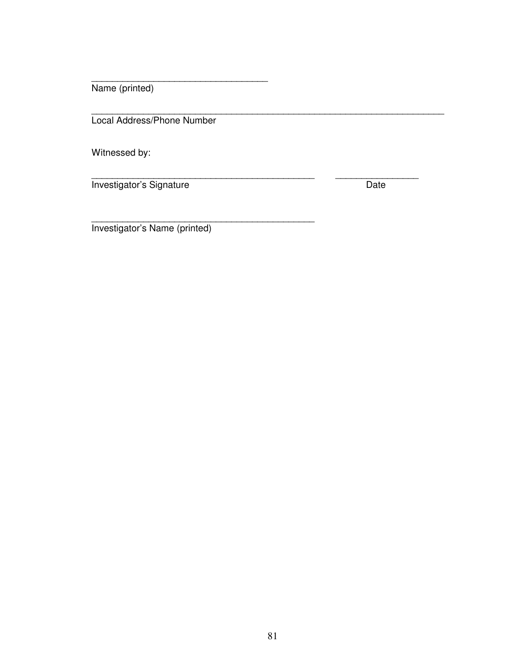Name (printed)

Local Address/Phone Number

\_\_\_\_\_\_\_\_\_\_\_\_\_\_\_\_\_\_\_\_\_\_\_\_\_\_\_\_\_\_\_\_\_\_

\_\_\_\_\_\_\_\_\_\_\_\_\_\_\_\_\_\_\_\_\_\_\_\_\_\_\_\_\_\_\_\_\_\_\_\_\_\_\_\_\_\_\_

\_\_\_\_\_\_\_\_\_\_\_\_\_\_\_\_\_\_\_\_\_\_\_\_\_\_\_\_\_\_\_\_\_\_\_\_\_\_\_\_\_\_\_\_\_\_\_\_\_\_\_\_\_\_\_\_\_\_\_\_\_\_\_\_\_\_\_\_

Witnessed by:

\_\_\_\_\_\_\_\_\_\_\_\_\_\_\_\_\_\_\_\_\_\_\_\_\_\_\_\_\_\_\_\_\_\_\_\_\_\_\_\_\_\_\_ \_\_\_\_\_\_\_\_\_\_\_\_\_\_\_\_ Investigator's Signature **Date** Date

Investigator's Name (printed)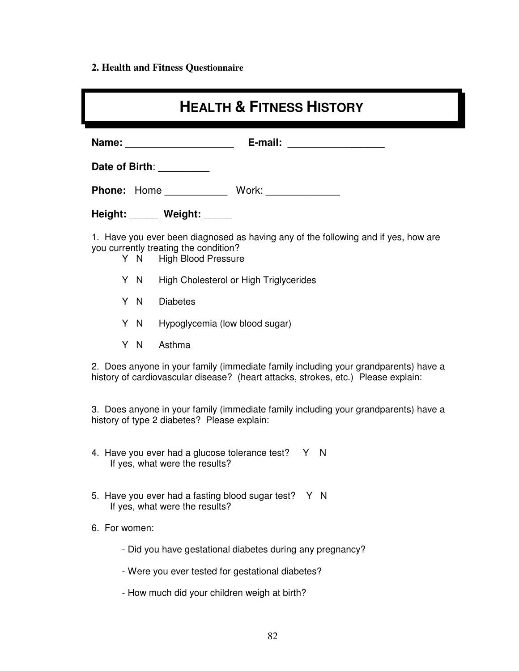# **2. Health and Fitness Questionnaire**

| <b>HEALTH &amp; FITNESS HISTORY</b>                                                                                                                                      |  |  |  |
|--------------------------------------------------------------------------------------------------------------------------------------------------------------------------|--|--|--|
| E-mail:<br>Name:<br><u> 1980 - Jan Barat, prima popular popular popular popular popular popular popular popular popular popular popula</u>                               |  |  |  |
| Date of Birth: <u>_________</u>                                                                                                                                          |  |  |  |
| Phone: Home ______________ Work: _____________                                                                                                                           |  |  |  |
| Height: Weight: ____                                                                                                                                                     |  |  |  |
| 1. Have you ever been diagnosed as having any of the following and if yes, how are<br>you currently treating the condition?<br>Y N High Blood Pressure                   |  |  |  |
| Y N<br>High Cholesterol or High Triglycerides                                                                                                                            |  |  |  |
| Y N<br><b>Diabetes</b>                                                                                                                                                   |  |  |  |
| Y N<br>Hypoglycemia (low blood sugar)                                                                                                                                    |  |  |  |
| Y N<br>Asthma                                                                                                                                                            |  |  |  |
| 2. Does anyone in your family (immediate family including your grandparents) have a<br>history of cardiovascular disease? (heart attacks, strokes, etc.) Please explain: |  |  |  |
| 3. Does anyone in your family (immediate family including your grandparents) have a<br>history of type 2 diabetes? Please explain:                                       |  |  |  |
| 4. Have you ever had a glucose tolerance test? Y N<br>If yes, what were the results?                                                                                     |  |  |  |
| 5. Have you ever had a fasting blood sugar test? Y N<br>If yes, what were the results?                                                                                   |  |  |  |
| 6. For women:                                                                                                                                                            |  |  |  |
| - Did you have gestational diabetes during any pregnancy?                                                                                                                |  |  |  |
| - Were you ever tested for gestational diabetes?                                                                                                                         |  |  |  |
| - How much did your children weigh at birth?                                                                                                                             |  |  |  |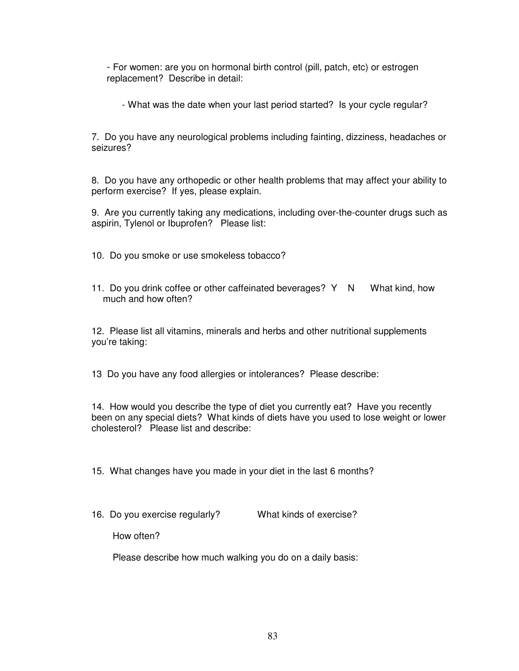- For women: are you on hormonal birth control (pill, patch, etc) or estrogen replacement? Describe in detail:

- What was the date when your last period started? Is your cycle regular?

7. Do you have any neurological problems including fainting, dizziness, headaches or seizures?

8. Do you have any orthopedic or other health problems that may affect your ability to perform exercise? If yes, please explain.

9. Are you currently taking any medications, including over-the-counter drugs such as aspirin, Tylenol or Ibuprofen? Please list:

10. Do you smoke or use smokeless tobacco?

11. Do you drink coffee or other caffeinated beverages? Y N What kind, how much and how often?

12. Please list all vitamins, minerals and herbs and other nutritional supplements you're taking:

13 Do you have any food allergies or intolerances? Please describe:

14. How would you describe the type of diet you currently eat? Have you recently been on any special diets? What kinds of diets have you used to lose weight or lower cholesterol? Please list and describe:

15. What changes have you made in your diet in the last 6 months?

16. Do you exercise regularly? What kinds of exercise?

How often?

Please describe how much walking you do on a daily basis: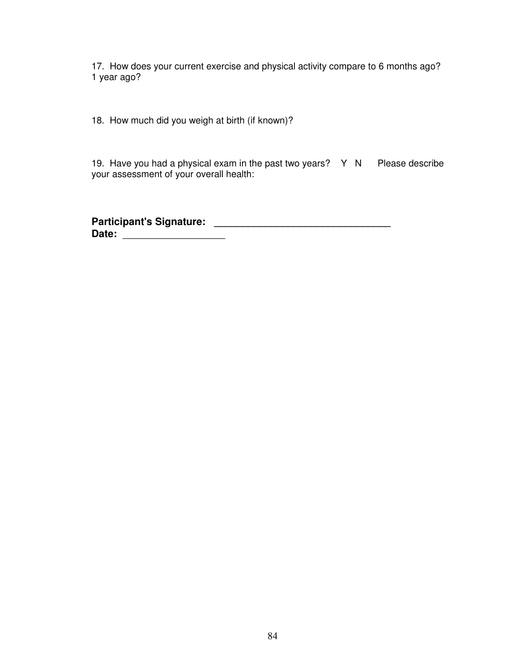17. How does your current exercise and physical activity compare to 6 months ago? 1 year ago?

18. How much did you weigh at birth (if known)?

19. Have you had a physical exam in the past two years? Y N Please describe your assessment of your overall health:

**Participant's Signature: \_\_\_\_\_\_\_\_\_\_\_\_\_\_\_\_\_\_\_\_\_\_\_\_\_\_\_\_\_\_\_ Date:** \_\_\_\_\_\_\_\_\_\_\_\_\_\_\_\_\_\_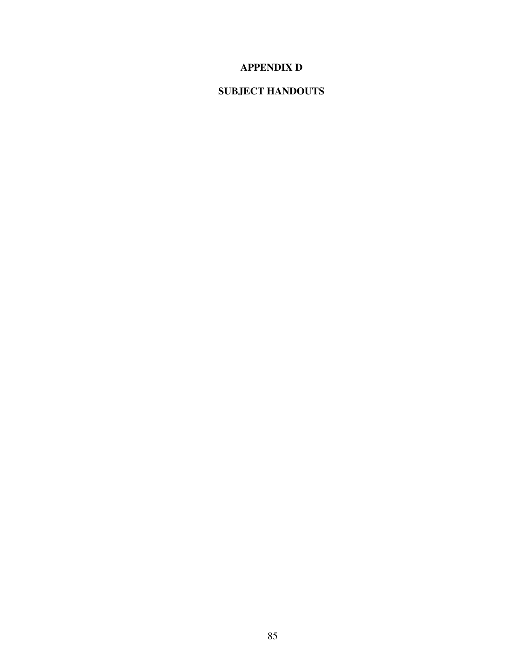### **APPENDIX D**

### **SUBJECT HANDOUTS**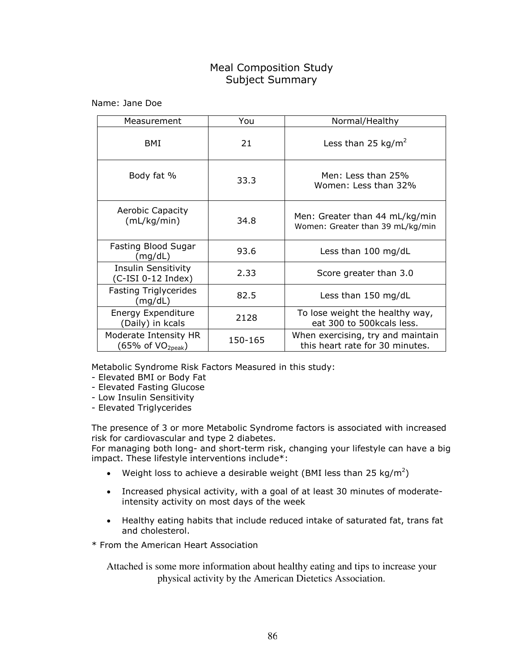### Meal Composition Study Subject Summary

Name: Jane Doe

| Measurement                                            | You     | Normal/Healthy                                                       |
|--------------------------------------------------------|---------|----------------------------------------------------------------------|
| BMI                                                    | 21      | Less than 25 kg/m <sup>2</sup>                                       |
| Body fat %                                             | 33.3    | Men: Less than 25%<br>Women: Less than 32%                           |
| <b>Aerobic Capacity</b><br>(mL/kg/min)                 | 34.8    | Men: Greater than 44 mL/kg/min<br>Women: Greater than 39 mL/kg/min   |
| Fasting Blood Sugar<br>(mg/dL)                         | 93.6    | Less than $100 \text{ mg/dL}$                                        |
| Insulin Sensitivity<br>$(C-ISI 0-12 Index)$            | 2.33    | Score greater than 3.0                                               |
| <b>Fasting Triglycerides</b><br>(mg/dL)                | 82.5    | Less than 150 mg/dL                                                  |
| <b>Energy Expenditure</b><br>(Daily) in kcals          | 2128    | To lose weight the healthy way,<br>eat 300 to 500kcals less.         |
| Moderate Intensity HR<br>(65% of VO <sub>2peak</sub> ) | 150-165 | When exercising, try and maintain<br>this heart rate for 30 minutes. |

Metabolic Syndrome Risk Factors Measured in this study:

- Elevated BMI or Body Fat
- Elevated Fasting Glucose
- Low Insulin Sensitivity
- Elevated Triglycerides

The presence of 3 or more Metabolic Syndrome factors is associated with increased risk for cardiovascular and type 2 diabetes.

For managing both long- and short-term risk, changing your lifestyle can have a big impact. These lifestyle interventions include\*:

- Weight loss to achieve a desirable weight (BMI less than 25 kg/m<sup>2</sup>)
- Increased physical activity, with a goal of at least 30 minutes of moderateintensity activity on most days of the week
- Healthy eating habits that include reduced intake of saturated fat, trans fat and cholesterol.

\* From the American Heart Association

Attached is some more information about healthy eating and tips to increase your physical activity by the American Dietetics Association.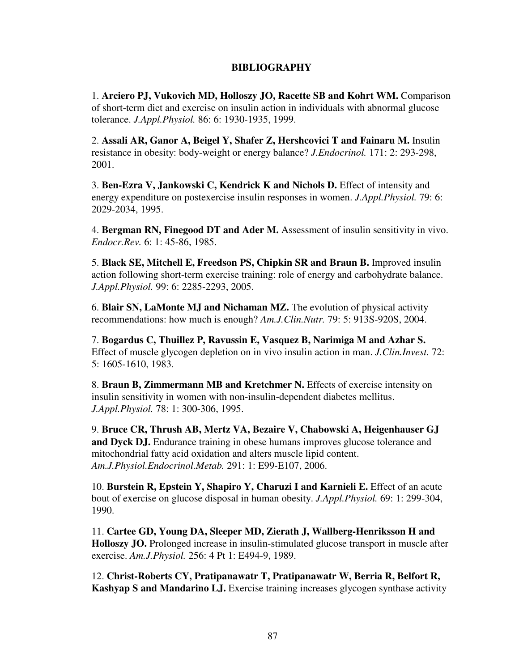### **BIBLIOGRAPHY**

1. **Arciero PJ, Vukovich MD, Holloszy JO, Racette SB and Kohrt WM.** Comparison of short-term diet and exercise on insulin action in individuals with abnormal glucose tolerance. *J.Appl.Physiol.* 86: 6: 1930-1935, 1999.

2. **Assali AR, Ganor A, Beigel Y, Shafer Z, Hershcovici T and Fainaru M.** Insulin resistance in obesity: body-weight or energy balance? *J.Endocrinol.* 171: 2: 293-298, 2001.

3. **Ben-Ezra V, Jankowski C, Kendrick K and Nichols D.** Effect of intensity and energy expenditure on postexercise insulin responses in women. *J.Appl.Physiol.* 79: 6: 2029-2034, 1995.

4. **Bergman RN, Finegood DT and Ader M.** Assessment of insulin sensitivity in vivo. *Endocr.Rev.* 6: 1: 45-86, 1985.

5. **Black SE, Mitchell E, Freedson PS, Chipkin SR and Braun B.** Improved insulin action following short-term exercise training: role of energy and carbohydrate balance. *J.Appl.Physiol.* 99: 6: 2285-2293, 2005.

6. **Blair SN, LaMonte MJ and Nichaman MZ.** The evolution of physical activity recommendations: how much is enough? *Am.J.Clin.Nutr.* 79: 5: 913S-920S, 2004.

7. **Bogardus C, Thuillez P, Ravussin E, Vasquez B, Narimiga M and Azhar S.**  Effect of muscle glycogen depletion on in vivo insulin action in man. *J.Clin.Invest.* 72: 5: 1605-1610, 1983.

8. **Braun B, Zimmermann MB and Kretchmer N.** Effects of exercise intensity on insulin sensitivity in women with non-insulin-dependent diabetes mellitus. *J.Appl.Physiol.* 78: 1: 300-306, 1995.

9. **Bruce CR, Thrush AB, Mertz VA, Bezaire V, Chabowski A, Heigenhauser GJ**  and Dyck DJ. Endurance training in obese humans improves glucose tolerance and mitochondrial fatty acid oxidation and alters muscle lipid content. *Am.J.Physiol.Endocrinol.Metab.* 291: 1: E99-E107, 2006.

10. **Burstein R, Epstein Y, Shapiro Y, Charuzi I and Karnieli E.** Effect of an acute bout of exercise on glucose disposal in human obesity. *J.Appl.Physiol.* 69: 1: 299-304, 1990.

11. **Cartee GD, Young DA, Sleeper MD, Zierath J, Wallberg-Henriksson H and Holloszy JO.** Prolonged increase in insulin-stimulated glucose transport in muscle after exercise. *Am.J.Physiol.* 256: 4 Pt 1: E494-9, 1989.

12. **Christ-Roberts CY, Pratipanawatr T, Pratipanawatr W, Berria R, Belfort R, Kashyap S and Mandarino LJ.** Exercise training increases glycogen synthase activity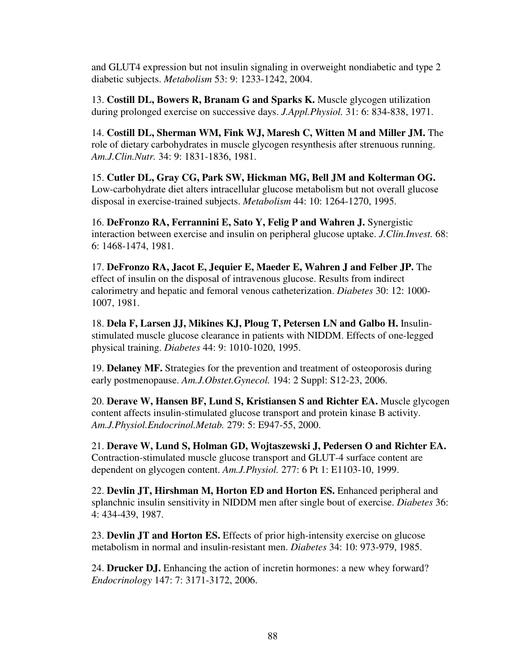and GLUT4 expression but not insulin signaling in overweight nondiabetic and type 2 diabetic subjects. *Metabolism* 53: 9: 1233-1242, 2004.

13. **Costill DL, Bowers R, Branam G and Sparks K.** Muscle glycogen utilization during prolonged exercise on successive days. *J.Appl.Physiol.* 31: 6: 834-838, 1971.

14. **Costill DL, Sherman WM, Fink WJ, Maresh C, Witten M and Miller JM.** The role of dietary carbohydrates in muscle glycogen resynthesis after strenuous running. *Am.J.Clin.Nutr.* 34: 9: 1831-1836, 1981.

15. **Cutler DL, Gray CG, Park SW, Hickman MG, Bell JM and Kolterman OG.**  Low-carbohydrate diet alters intracellular glucose metabolism but not overall glucose disposal in exercise-trained subjects. *Metabolism* 44: 10: 1264-1270, 1995.

16. **DeFronzo RA, Ferrannini E, Sato Y, Felig P and Wahren J.** Synergistic interaction between exercise and insulin on peripheral glucose uptake. *J.Clin.Invest.* 68: 6: 1468-1474, 1981.

17. **DeFronzo RA, Jacot E, Jequier E, Maeder E, Wahren J and Felber JP.** The effect of insulin on the disposal of intravenous glucose. Results from indirect calorimetry and hepatic and femoral venous catheterization. *Diabetes* 30: 12: 1000- 1007, 1981.

18. **Dela F, Larsen JJ, Mikines KJ, Ploug T, Petersen LN and Galbo H.** Insulinstimulated muscle glucose clearance in patients with NIDDM. Effects of one-legged physical training. *Diabetes* 44: 9: 1010-1020, 1995.

19. **Delaney MF.** Strategies for the prevention and treatment of osteoporosis during early postmenopause. *Am.J.Obstet.Gynecol.* 194: 2 Suppl: S12-23, 2006.

20. **Derave W, Hansen BF, Lund S, Kristiansen S and Richter EA.** Muscle glycogen content affects insulin-stimulated glucose transport and protein kinase B activity. *Am.J.Physiol.Endocrinol.Metab.* 279: 5: E947-55, 2000.

21. **Derave W, Lund S, Holman GD, Wojtaszewski J, Pedersen O and Richter EA.**  Contraction-stimulated muscle glucose transport and GLUT-4 surface content are dependent on glycogen content. *Am.J.Physiol.* 277: 6 Pt 1: E1103-10, 1999.

22. **Devlin JT, Hirshman M, Horton ED and Horton ES.** Enhanced peripheral and splanchnic insulin sensitivity in NIDDM men after single bout of exercise. *Diabetes* 36: 4: 434-439, 1987.

23. **Devlin JT and Horton ES.** Effects of prior high-intensity exercise on glucose metabolism in normal and insulin-resistant men. *Diabetes* 34: 10: 973-979, 1985.

24. **Drucker DJ.** Enhancing the action of incretin hormones: a new whey forward? *Endocrinology* 147: 7: 3171-3172, 2006.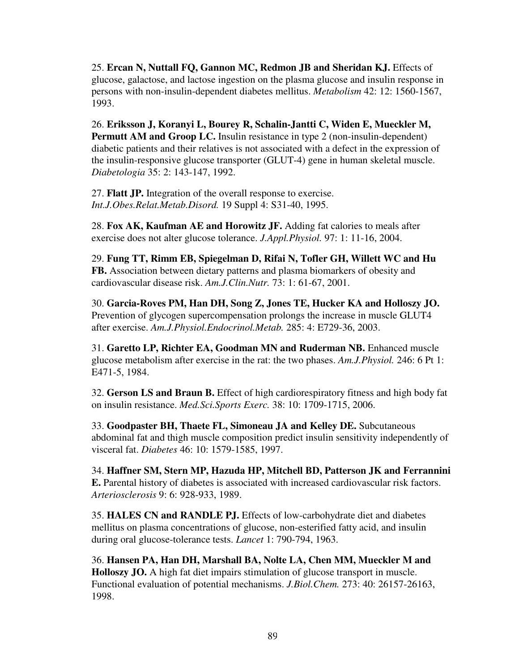25. **Ercan N, Nuttall FQ, Gannon MC, Redmon JB and Sheridan KJ.** Effects of glucose, galactose, and lactose ingestion on the plasma glucose and insulin response in persons with non-insulin-dependent diabetes mellitus. *Metabolism* 42: 12: 1560-1567, 1993.

26. **Eriksson J, Koranyi L, Bourey R, Schalin-Jantti C, Widen E, Mueckler M, Permutt AM and Groop LC.** Insulin resistance in type 2 (non-insulin-dependent) diabetic patients and their relatives is not associated with a defect in the expression of the insulin-responsive glucose transporter (GLUT-4) gene in human skeletal muscle. *Diabetologia* 35: 2: 143-147, 1992.

27. **Flatt JP.** Integration of the overall response to exercise. *Int.J.Obes.Relat.Metab.Disord.* 19 Suppl 4: S31-40, 1995.

28. **Fox AK, Kaufman AE and Horowitz JF.** Adding fat calories to meals after exercise does not alter glucose tolerance. *J.Appl.Physiol.* 97: 1: 11-16, 2004.

29. **Fung TT, Rimm EB, Spiegelman D, Rifai N, Tofler GH, Willett WC and Hu FB.** Association between dietary patterns and plasma biomarkers of obesity and cardiovascular disease risk. *Am.J.Clin.Nutr.* 73: 1: 61-67, 2001.

30. **Garcia-Roves PM, Han DH, Song Z, Jones TE, Hucker KA and Holloszy JO.**  Prevention of glycogen supercompensation prolongs the increase in muscle GLUT4 after exercise. *Am.J.Physiol.Endocrinol.Metab.* 285: 4: E729-36, 2003.

31. **Garetto LP, Richter EA, Goodman MN and Ruderman NB.** Enhanced muscle glucose metabolism after exercise in the rat: the two phases. *Am.J.Physiol.* 246: 6 Pt 1: E471-5, 1984.

32. **Gerson LS and Braun B.** Effect of high cardiorespiratory fitness and high body fat on insulin resistance. *Med.Sci.Sports Exerc.* 38: 10: 1709-1715, 2006.

33. **Goodpaster BH, Thaete FL, Simoneau JA and Kelley DE.** Subcutaneous abdominal fat and thigh muscle composition predict insulin sensitivity independently of visceral fat. *Diabetes* 46: 10: 1579-1585, 1997.

34. **Haffner SM, Stern MP, Hazuda HP, Mitchell BD, Patterson JK and Ferrannini E.** Parental history of diabetes is associated with increased cardiovascular risk factors. *Arteriosclerosis* 9: 6: 928-933, 1989.

35. **HALES CN and RANDLE PJ.** Effects of low-carbohydrate diet and diabetes mellitus on plasma concentrations of glucose, non-esterified fatty acid, and insulin during oral glucose-tolerance tests. *Lancet* 1: 790-794, 1963.

36. **Hansen PA, Han DH, Marshall BA, Nolte LA, Chen MM, Mueckler M and Holloszy JO.** A high fat diet impairs stimulation of glucose transport in muscle. Functional evaluation of potential mechanisms. *J.Biol.Chem.* 273: 40: 26157-26163, 1998.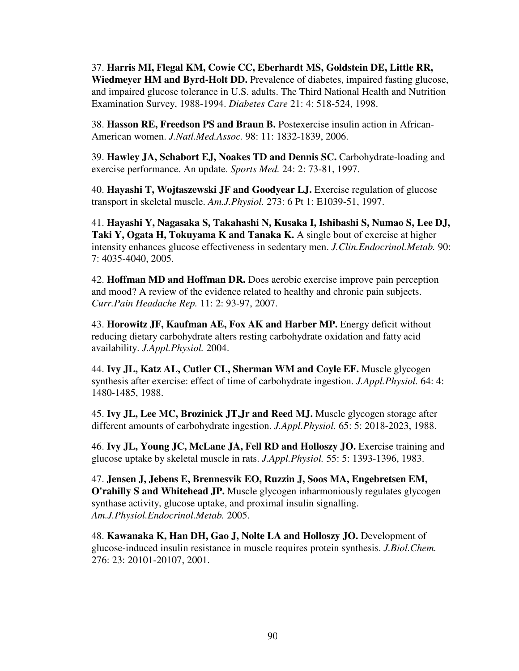37. **Harris MI, Flegal KM, Cowie CC, Eberhardt MS, Goldstein DE, Little RR, Wiedmeyer HM and Byrd-Holt DD.** Prevalence of diabetes, impaired fasting glucose, and impaired glucose tolerance in U.S. adults. The Third National Health and Nutrition Examination Survey, 1988-1994. *Diabetes Care* 21: 4: 518-524, 1998.

38. **Hasson RE, Freedson PS and Braun B.** Postexercise insulin action in African-American women. *J.Natl.Med.Assoc.* 98: 11: 1832-1839, 2006.

39. **Hawley JA, Schabort EJ, Noakes TD and Dennis SC.** Carbohydrate-loading and exercise performance. An update. *Sports Med.* 24: 2: 73-81, 1997.

40. **Hayashi T, Wojtaszewski JF and Goodyear LJ.** Exercise regulation of glucose transport in skeletal muscle. *Am.J.Physiol.* 273: 6 Pt 1: E1039-51, 1997.

41. **Hayashi Y, Nagasaka S, Takahashi N, Kusaka I, Ishibashi S, Numao S, Lee DJ, Taki Y, Ogata H, Tokuyama K and Tanaka K.** A single bout of exercise at higher intensity enhances glucose effectiveness in sedentary men. *J.Clin.Endocrinol.Metab.* 90: 7: 4035-4040, 2005.

42. **Hoffman MD and Hoffman DR.** Does aerobic exercise improve pain perception and mood? A review of the evidence related to healthy and chronic pain subjects. *Curr.Pain Headache Rep.* 11: 2: 93-97, 2007.

43. **Horowitz JF, Kaufman AE, Fox AK and Harber MP.** Energy deficit without reducing dietary carbohydrate alters resting carbohydrate oxidation and fatty acid availability. *J.Appl.Physiol.* 2004.

44. **Ivy JL, Katz AL, Cutler CL, Sherman WM and Coyle EF.** Muscle glycogen synthesis after exercise: effect of time of carbohydrate ingestion. *J.Appl.Physiol.* 64: 4: 1480-1485, 1988.

45. **Ivy JL, Lee MC, Brozinick JT,Jr and Reed MJ.** Muscle glycogen storage after different amounts of carbohydrate ingestion. *J.Appl.Physiol.* 65: 5: 2018-2023, 1988.

46. **Ivy JL, Young JC, McLane JA, Fell RD and Holloszy JO.** Exercise training and glucose uptake by skeletal muscle in rats. *J.Appl.Physiol.* 55: 5: 1393-1396, 1983.

47. **Jensen J, Jebens E, Brennesvik EO, Ruzzin J, Soos MA, Engebretsen EM, O'rahilly S and Whitehead JP.** Muscle glycogen inharmoniously regulates glycogen synthase activity, glucose uptake, and proximal insulin signalling. *Am.J.Physiol.Endocrinol.Metab.* 2005.

48. **Kawanaka K, Han DH, Gao J, Nolte LA and Holloszy JO.** Development of glucose-induced insulin resistance in muscle requires protein synthesis. *J.Biol.Chem.*  276: 23: 20101-20107, 2001.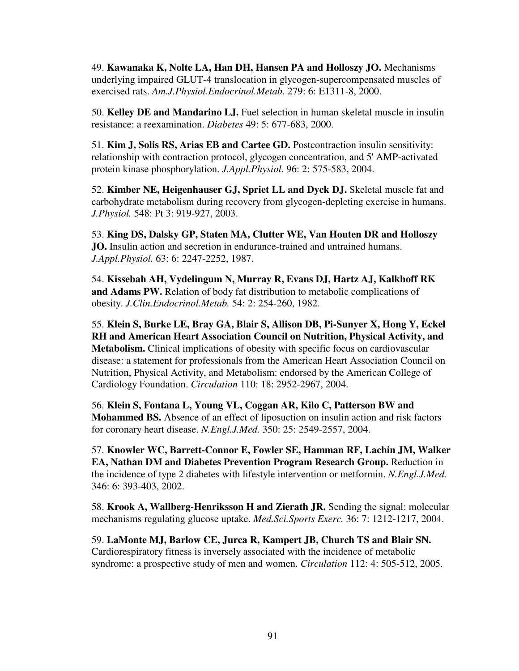49. **Kawanaka K, Nolte LA, Han DH, Hansen PA and Holloszy JO.** Mechanisms underlying impaired GLUT-4 translocation in glycogen-supercompensated muscles of exercised rats. *Am.J.Physiol.Endocrinol.Metab.* 279: 6: E1311-8, 2000.

50. **Kelley DE and Mandarino LJ.** Fuel selection in human skeletal muscle in insulin resistance: a reexamination. *Diabetes* 49: 5: 677-683, 2000.

51. **Kim J, Solis RS, Arias EB and Cartee GD.** Postcontraction insulin sensitivity: relationship with contraction protocol, glycogen concentration, and 5' AMP-activated protein kinase phosphorylation. *J.Appl.Physiol.* 96: 2: 575-583, 2004.

52. **Kimber NE, Heigenhauser GJ, Spriet LL and Dyck DJ.** Skeletal muscle fat and carbohydrate metabolism during recovery from glycogen-depleting exercise in humans. *J.Physiol.* 548: Pt 3: 919-927, 2003.

53. **King DS, Dalsky GP, Staten MA, Clutter WE, Van Houten DR and Holloszy JO.** Insulin action and secretion in endurance-trained and untrained humans. *J.Appl.Physiol.* 63: 6: 2247-2252, 1987.

54. **Kissebah AH, Vydelingum N, Murray R, Evans DJ, Hartz AJ, Kalkhoff RK and Adams PW.** Relation of body fat distribution to metabolic complications of obesity. *J.Clin.Endocrinol.Metab.* 54: 2: 254-260, 1982.

55. **Klein S, Burke LE, Bray GA, Blair S, Allison DB, Pi-Sunyer X, Hong Y, Eckel RH and American Heart Association Council on Nutrition, Physical Activity, and Metabolism.** Clinical implications of obesity with specific focus on cardiovascular disease: a statement for professionals from the American Heart Association Council on Nutrition, Physical Activity, and Metabolism: endorsed by the American College of Cardiology Foundation. *Circulation* 110: 18: 2952-2967, 2004.

56. **Klein S, Fontana L, Young VL, Coggan AR, Kilo C, Patterson BW and Mohammed BS.** Absence of an effect of liposuction on insulin action and risk factors for coronary heart disease. *N.Engl.J.Med.* 350: 25: 2549-2557, 2004.

57. **Knowler WC, Barrett-Connor E, Fowler SE, Hamman RF, Lachin JM, Walker EA, Nathan DM and Diabetes Prevention Program Research Group.** Reduction in the incidence of type 2 diabetes with lifestyle intervention or metformin. *N.Engl.J.Med.*  346: 6: 393-403, 2002.

58. **Krook A, Wallberg-Henriksson H and Zierath JR.** Sending the signal: molecular mechanisms regulating glucose uptake. *Med.Sci.Sports Exerc.* 36: 7: 1212-1217, 2004.

59. **LaMonte MJ, Barlow CE, Jurca R, Kampert JB, Church TS and Blair SN.**  Cardiorespiratory fitness is inversely associated with the incidence of metabolic syndrome: a prospective study of men and women. *Circulation* 112: 4: 505-512, 2005.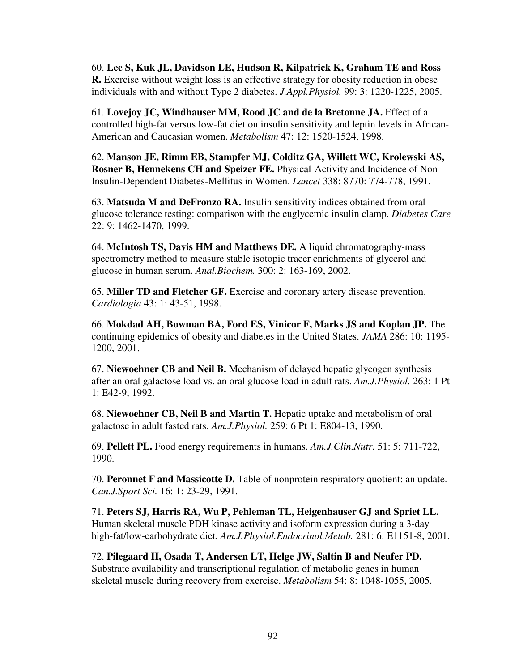60. **Lee S, Kuk JL, Davidson LE, Hudson R, Kilpatrick K, Graham TE and Ross R.** Exercise without weight loss is an effective strategy for obesity reduction in obese individuals with and without Type 2 diabetes. *J.Appl.Physiol.* 99: 3: 1220-1225, 2005.

61. **Lovejoy JC, Windhauser MM, Rood JC and de la Bretonne JA.** Effect of a controlled high-fat versus low-fat diet on insulin sensitivity and leptin levels in African-American and Caucasian women. *Metabolism* 47: 12: 1520-1524, 1998.

62. **Manson JE, Rimm EB, Stampfer MJ, Colditz GA, Willett WC, Krolewski AS, Rosner B, Hennekens CH and Speizer FE.** Physical-Activity and Incidence of Non-Insulin-Dependent Diabetes-Mellitus in Women. *Lancet* 338: 8770: 774-778, 1991.

63. **Matsuda M and DeFronzo RA.** Insulin sensitivity indices obtained from oral glucose tolerance testing: comparison with the euglycemic insulin clamp. *Diabetes Care*  22: 9: 1462-1470, 1999.

64. **McIntosh TS, Davis HM and Matthews DE.** A liquid chromatography-mass spectrometry method to measure stable isotopic tracer enrichments of glycerol and glucose in human serum. *Anal.Biochem.* 300: 2: 163-169, 2002.

65. **Miller TD and Fletcher GF.** Exercise and coronary artery disease prevention. *Cardiologia* 43: 1: 43-51, 1998.

66. **Mokdad AH, Bowman BA, Ford ES, Vinicor F, Marks JS and Koplan JP.** The continuing epidemics of obesity and diabetes in the United States. *JAMA* 286: 10: 1195- 1200, 2001.

67. **Niewoehner CB and Neil B.** Mechanism of delayed hepatic glycogen synthesis after an oral galactose load vs. an oral glucose load in adult rats. *Am.J.Physiol.* 263: 1 Pt 1: E42-9, 1992.

68. **Niewoehner CB, Neil B and Martin T.** Hepatic uptake and metabolism of oral galactose in adult fasted rats. *Am.J.Physiol.* 259: 6 Pt 1: E804-13, 1990.

69. **Pellett PL.** Food energy requirements in humans. *Am.J.Clin.Nutr.* 51: 5: 711-722, 1990.

70. **Peronnet F and Massicotte D.** Table of nonprotein respiratory quotient: an update. *Can.J.Sport Sci.* 16: 1: 23-29, 1991.

71. **Peters SJ, Harris RA, Wu P, Pehleman TL, Heigenhauser GJ and Spriet LL.**  Human skeletal muscle PDH kinase activity and isoform expression during a 3-day high-fat/low-carbohydrate diet. *Am.J.Physiol.Endocrinol.Metab.* 281: 6: E1151-8, 2001.

72. **Pilegaard H, Osada T, Andersen LT, Helge JW, Saltin B and Neufer PD.**  Substrate availability and transcriptional regulation of metabolic genes in human skeletal muscle during recovery from exercise. *Metabolism* 54: 8: 1048-1055, 2005.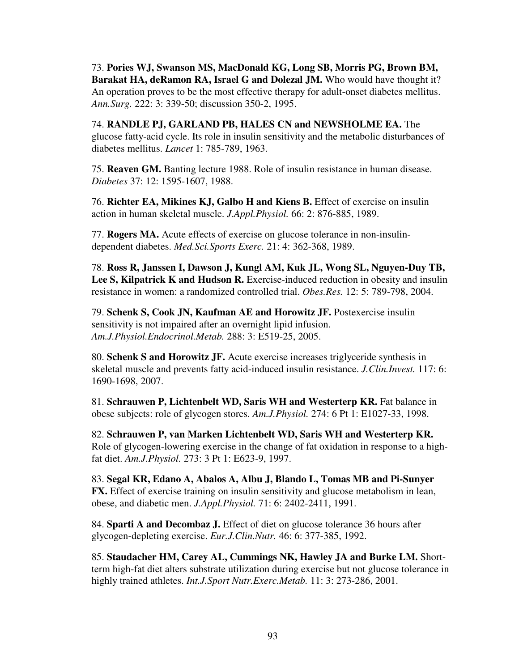73. **Pories WJ, Swanson MS, MacDonald KG, Long SB, Morris PG, Brown BM, Barakat HA, deRamon RA, Israel G and Dolezal JM.** Who would have thought it? An operation proves to be the most effective therapy for adult-onset diabetes mellitus. *Ann.Surg.* 222: 3: 339-50; discussion 350-2, 1995.

74. **RANDLE PJ, GARLAND PB, HALES CN and NEWSHOLME EA.** The glucose fatty-acid cycle. Its role in insulin sensitivity and the metabolic disturbances of diabetes mellitus. *Lancet* 1: 785-789, 1963.

75. **Reaven GM.** Banting lecture 1988. Role of insulin resistance in human disease. *Diabetes* 37: 12: 1595-1607, 1988.

76. **Richter EA, Mikines KJ, Galbo H and Kiens B.** Effect of exercise on insulin action in human skeletal muscle. *J.Appl.Physiol.* 66: 2: 876-885, 1989.

77. **Rogers MA.** Acute effects of exercise on glucose tolerance in non-insulindependent diabetes. *Med.Sci.Sports Exerc.* 21: 4: 362-368, 1989.

78. **Ross R, Janssen I, Dawson J, Kungl AM, Kuk JL, Wong SL, Nguyen-Duy TB,**  Lee S, Kilpatrick K and Hudson R. Exercise-induced reduction in obesity and insulin resistance in women: a randomized controlled trial. *Obes.Res.* 12: 5: 789-798, 2004.

79. **Schenk S, Cook JN, Kaufman AE and Horowitz JF.** Postexercise insulin sensitivity is not impaired after an overnight lipid infusion. *Am.J.Physiol.Endocrinol.Metab.* 288: 3: E519-25, 2005.

80. **Schenk S and Horowitz JF.** Acute exercise increases triglyceride synthesis in skeletal muscle and prevents fatty acid-induced insulin resistance. *J.Clin.Invest.* 117: 6: 1690-1698, 2007.

81. **Schrauwen P, Lichtenbelt WD, Saris WH and Westerterp KR.** Fat balance in obese subjects: role of glycogen stores. *Am.J.Physiol.* 274: 6 Pt 1: E1027-33, 1998.

82. **Schrauwen P, van Marken Lichtenbelt WD, Saris WH and Westerterp KR.**  Role of glycogen-lowering exercise in the change of fat oxidation in response to a highfat diet. *Am.J.Physiol.* 273: 3 Pt 1: E623-9, 1997.

83. **Segal KR, Edano A, Abalos A, Albu J, Blando L, Tomas MB and Pi-Sunyer FX.** Effect of exercise training on insulin sensitivity and glucose metabolism in lean, obese, and diabetic men. *J.Appl.Physiol.* 71: 6: 2402-2411, 1991.

84. **Sparti A and Decombaz J.** Effect of diet on glucose tolerance 36 hours after glycogen-depleting exercise. *Eur.J.Clin.Nutr.* 46: 6: 377-385, 1992.

85. **Staudacher HM, Carey AL, Cummings NK, Hawley JA and Burke LM.** Shortterm high-fat diet alters substrate utilization during exercise but not glucose tolerance in highly trained athletes. *Int.J.Sport Nutr.Exerc.Metab.* 11: 3: 273-286, 2001.